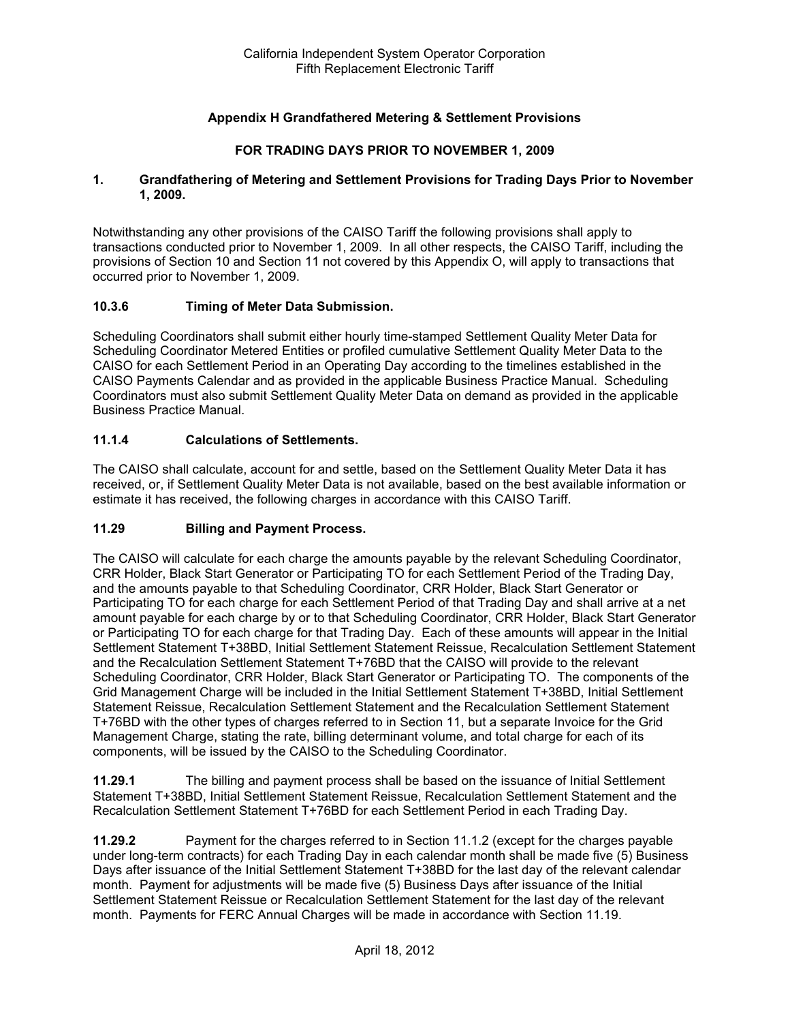## **Appendix H Grandfathered Metering & Settlement Provisions**

### **FOR TRADING DAYS PRIOR TO NOVEMBER 1, 2009**

#### **1. Grandfathering of Metering and Settlement Provisions for Trading Days Prior to November 1, 2009.**

Notwithstanding any other provisions of the CAISO Tariff the following provisions shall apply to transactions conducted prior to November 1, 2009. In all other respects, the CAISO Tariff, including the provisions of Section 10 and Section 11 not covered by this Appendix O, will apply to transactions that occurred prior to November 1, 2009.

#### **10.3.6 Timing of Meter Data Submission.**

Scheduling Coordinators shall submit either hourly time-stamped Settlement Quality Meter Data for Scheduling Coordinator Metered Entities or profiled cumulative Settlement Quality Meter Data to the CAISO for each Settlement Period in an Operating Day according to the timelines established in the CAISO Payments Calendar and as provided in the applicable Business Practice Manual. Scheduling Coordinators must also submit Settlement Quality Meter Data on demand as provided in the applicable Business Practice Manual.

#### **11.1.4 Calculations of Settlements.**

The CAISO shall calculate, account for and settle, based on the Settlement Quality Meter Data it has received, or, if Settlement Quality Meter Data is not available, based on the best available information or estimate it has received, the following charges in accordance with this CAISO Tariff.

### **11.29 Billing and Payment Process.**

The CAISO will calculate for each charge the amounts payable by the relevant Scheduling Coordinator, CRR Holder, Black Start Generator or Participating TO for each Settlement Period of the Trading Day, and the amounts payable to that Scheduling Coordinator, CRR Holder, Black Start Generator or Participating TO for each charge for each Settlement Period of that Trading Day and shall arrive at a net amount payable for each charge by or to that Scheduling Coordinator, CRR Holder, Black Start Generator or Participating TO for each charge for that Trading Day. Each of these amounts will appear in the Initial Settlement Statement T+38BD, Initial Settlement Statement Reissue, Recalculation Settlement Statement and the Recalculation Settlement Statement T+76BD that the CAISO will provide to the relevant Scheduling Coordinator, CRR Holder, Black Start Generator or Participating TO. The components of the Grid Management Charge will be included in the Initial Settlement Statement T+38BD, Initial Settlement Statement Reissue, Recalculation Settlement Statement and the Recalculation Settlement Statement T+76BD with the other types of charges referred to in Section 11, but a separate Invoice for the Grid Management Charge, stating the rate, billing determinant volume, and total charge for each of its components, will be issued by the CAISO to the Scheduling Coordinator.

**11.29.1** The billing and payment process shall be based on the issuance of Initial Settlement Statement T+38BD, Initial Settlement Statement Reissue, Recalculation Settlement Statement and the Recalculation Settlement Statement T+76BD for each Settlement Period in each Trading Day.

**11.29.2** Payment for the charges referred to in Section 11.1.2 (except for the charges payable under long-term contracts) for each Trading Day in each calendar month shall be made five (5) Business Days after issuance of the Initial Settlement Statement T+38BD for the last day of the relevant calendar month. Payment for adjustments will be made five (5) Business Days after issuance of the Initial Settlement Statement Reissue or Recalculation Settlement Statement for the last day of the relevant month. Payments for FERC Annual Charges will be made in accordance with Section 11.19.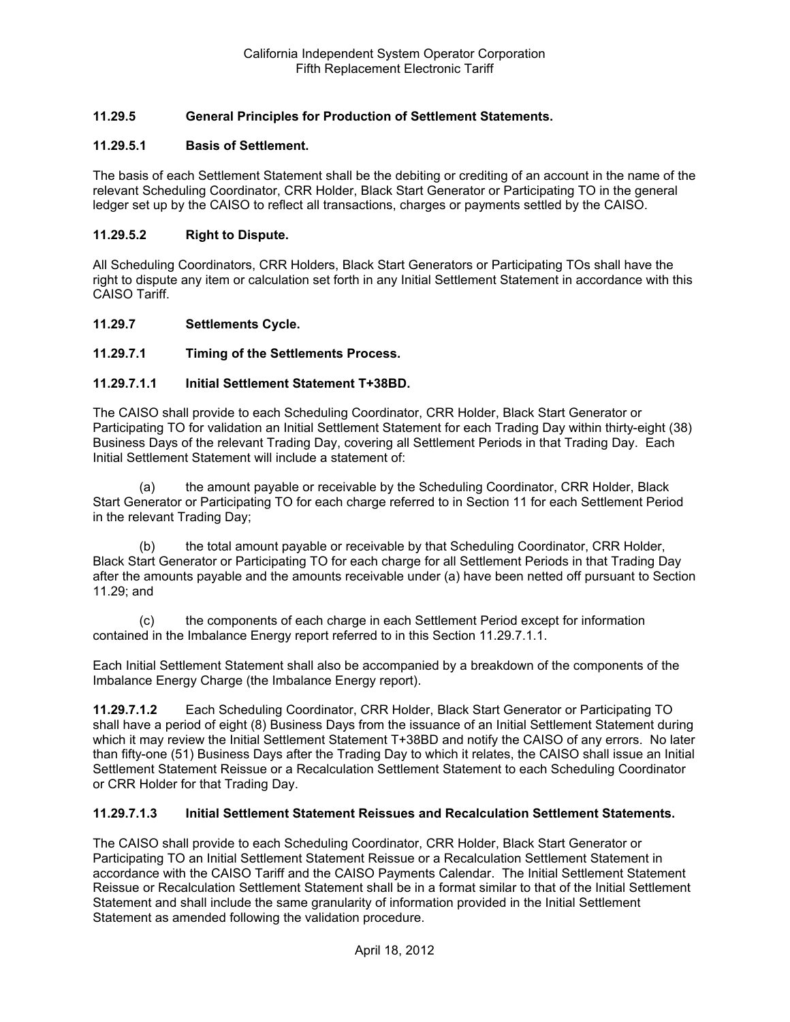## **11.29.5 General Principles for Production of Settlement Statements.**

### **11.29.5.1 Basis of Settlement.**

The basis of each Settlement Statement shall be the debiting or crediting of an account in the name of the relevant Scheduling Coordinator, CRR Holder, Black Start Generator or Participating TO in the general ledger set up by the CAISO to reflect all transactions, charges or payments settled by the CAISO.

#### **11.29.5.2 Right to Dispute.**

All Scheduling Coordinators, CRR Holders, Black Start Generators or Participating TOs shall have the right to dispute any item or calculation set forth in any Initial Settlement Statement in accordance with this CAISO Tariff.

#### **11.29.7 Settlements Cycle.**

### **11.29.7.1 Timing of the Settlements Process.**

#### **11.29.7.1.1 Initial Settlement Statement T+38BD.**

The CAISO shall provide to each Scheduling Coordinator, CRR Holder, Black Start Generator or Participating TO for validation an Initial Settlement Statement for each Trading Day within thirty-eight (38) Business Days of the relevant Trading Day, covering all Settlement Periods in that Trading Day. Each Initial Settlement Statement will include a statement of:

(a) the amount payable or receivable by the Scheduling Coordinator, CRR Holder, Black Start Generator or Participating TO for each charge referred to in Section 11 for each Settlement Period in the relevant Trading Day;

(b) the total amount payable or receivable by that Scheduling Coordinator, CRR Holder, Black Start Generator or Participating TO for each charge for all Settlement Periods in that Trading Day after the amounts payable and the amounts receivable under (a) have been netted off pursuant to Section 11.29; and

(c) the components of each charge in each Settlement Period except for information contained in the Imbalance Energy report referred to in this Section 11.29.7.1.1.

Each Initial Settlement Statement shall also be accompanied by a breakdown of the components of the Imbalance Energy Charge (the Imbalance Energy report).

**11.29.7.1.2** Each Scheduling Coordinator, CRR Holder, Black Start Generator or Participating TO shall have a period of eight (8) Business Days from the issuance of an Initial Settlement Statement during which it may review the Initial Settlement Statement T+38BD and notify the CAISO of any errors. No later than fifty-one (51) Business Days after the Trading Day to which it relates, the CAISO shall issue an Initial Settlement Statement Reissue or a Recalculation Settlement Statement to each Scheduling Coordinator or CRR Holder for that Trading Day.

#### **11.29.7.1.3 Initial Settlement Statement Reissues and Recalculation Settlement Statements.**

The CAISO shall provide to each Scheduling Coordinator, CRR Holder, Black Start Generator or Participating TO an Initial Settlement Statement Reissue or a Recalculation Settlement Statement in accordance with the CAISO Tariff and the CAISO Payments Calendar. The Initial Settlement Statement Reissue or Recalculation Settlement Statement shall be in a format similar to that of the Initial Settlement Statement and shall include the same granularity of information provided in the Initial Settlement Statement as amended following the validation procedure.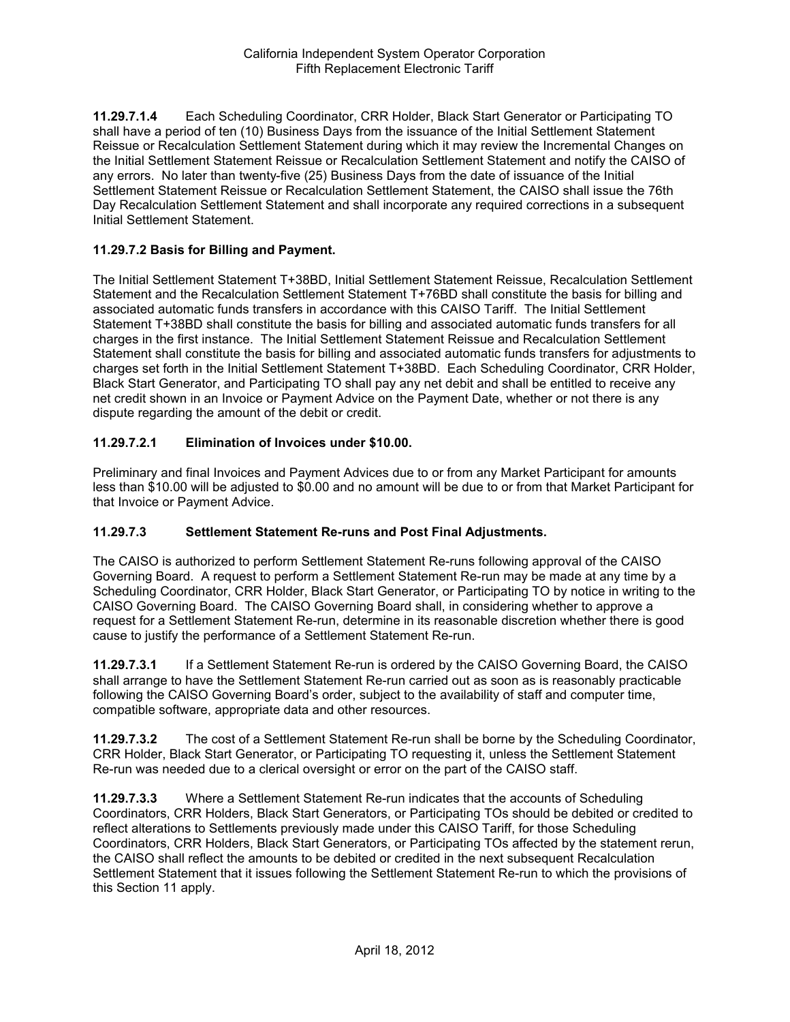**11.29.7.1.4** Each Scheduling Coordinator, CRR Holder, Black Start Generator or Participating TO shall have a period of ten (10) Business Days from the issuance of the Initial Settlement Statement Reissue or Recalculation Settlement Statement during which it may review the Incremental Changes on the Initial Settlement Statement Reissue or Recalculation Settlement Statement and notify the CAISO of any errors. No later than twenty-five (25) Business Days from the date of issuance of the Initial Settlement Statement Reissue or Recalculation Settlement Statement, the CAISO shall issue the 76th Day Recalculation Settlement Statement and shall incorporate any required corrections in a subsequent Initial Settlement Statement.

## **11.29.7.2 Basis for Billing and Payment.**

The Initial Settlement Statement T+38BD, Initial Settlement Statement Reissue, Recalculation Settlement Statement and the Recalculation Settlement Statement T+76BD shall constitute the basis for billing and associated automatic funds transfers in accordance with this CAISO Tariff. The Initial Settlement Statement T+38BD shall constitute the basis for billing and associated automatic funds transfers for all charges in the first instance. The Initial Settlement Statement Reissue and Recalculation Settlement Statement shall constitute the basis for billing and associated automatic funds transfers for adjustments to charges set forth in the Initial Settlement Statement T+38BD. Each Scheduling Coordinator, CRR Holder, Black Start Generator, and Participating TO shall pay any net debit and shall be entitled to receive any net credit shown in an Invoice or Payment Advice on the Payment Date, whether or not there is any dispute regarding the amount of the debit or credit.

## **11.29.7.2.1 Elimination of Invoices under \$10.00.**

Preliminary and final Invoices and Payment Advices due to or from any Market Participant for amounts less than \$10.00 will be adjusted to \$0.00 and no amount will be due to or from that Market Participant for that Invoice or Payment Advice.

### **11.29.7.3 Settlement Statement Re-runs and Post Final Adjustments.**

The CAISO is authorized to perform Settlement Statement Re-runs following approval of the CAISO Governing Board. A request to perform a Settlement Statement Re-run may be made at any time by a Scheduling Coordinator, CRR Holder, Black Start Generator, or Participating TO by notice in writing to the CAISO Governing Board. The CAISO Governing Board shall, in considering whether to approve a request for a Settlement Statement Re-run, determine in its reasonable discretion whether there is good cause to justify the performance of a Settlement Statement Re-run.

**11.29.7.3.1** If a Settlement Statement Re-run is ordered by the CAISO Governing Board, the CAISO shall arrange to have the Settlement Statement Re-run carried out as soon as is reasonably practicable following the CAISO Governing Board's order, subject to the availability of staff and computer time, compatible software, appropriate data and other resources.

**11.29.7.3.2** The cost of a Settlement Statement Re-run shall be borne by the Scheduling Coordinator, CRR Holder, Black Start Generator, or Participating TO requesting it, unless the Settlement Statement Re-run was needed due to a clerical oversight or error on the part of the CAISO staff.

**11.29.7.3.3** Where a Settlement Statement Re-run indicates that the accounts of Scheduling Coordinators, CRR Holders, Black Start Generators, or Participating TOs should be debited or credited to reflect alterations to Settlements previously made under this CAISO Tariff, for those Scheduling Coordinators, CRR Holders, Black Start Generators, or Participating TOs affected by the statement rerun, the CAISO shall reflect the amounts to be debited or credited in the next subsequent Recalculation Settlement Statement that it issues following the Settlement Statement Re-run to which the provisions of this Section 11 apply.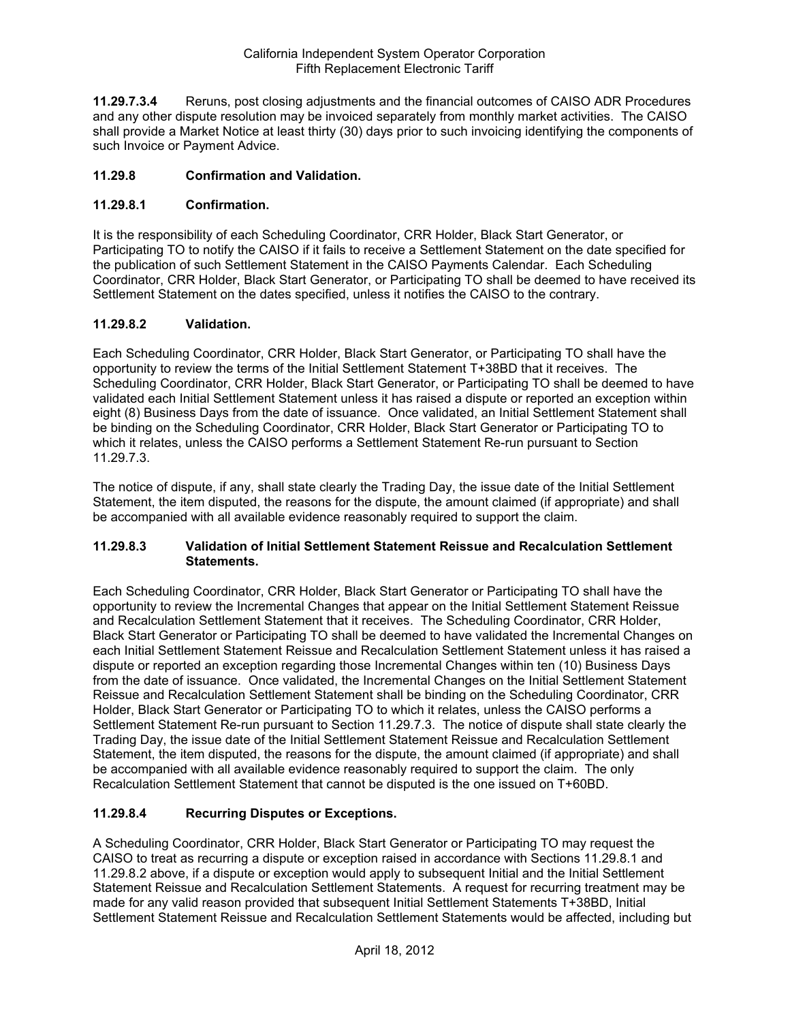**11.29.7.3.4** Reruns, post closing adjustments and the financial outcomes of CAISO ADR Procedures and any other dispute resolution may be invoiced separately from monthly market activities. The CAISO shall provide a Market Notice at least thirty (30) days prior to such invoicing identifying the components of such Invoice or Payment Advice.

## **11.29.8 Confirmation and Validation.**

## **11.29.8.1 Confirmation.**

It is the responsibility of each Scheduling Coordinator, CRR Holder, Black Start Generator, or Participating TO to notify the CAISO if it fails to receive a Settlement Statement on the date specified for the publication of such Settlement Statement in the CAISO Payments Calendar. Each Scheduling Coordinator, CRR Holder, Black Start Generator, or Participating TO shall be deemed to have received its Settlement Statement on the dates specified, unless it notifies the CAISO to the contrary.

## **11.29.8.2 Validation.**

Each Scheduling Coordinator, CRR Holder, Black Start Generator, or Participating TO shall have the opportunity to review the terms of the Initial Settlement Statement T+38BD that it receives. The Scheduling Coordinator, CRR Holder, Black Start Generator, or Participating TO shall be deemed to have validated each Initial Settlement Statement unless it has raised a dispute or reported an exception within eight (8) Business Days from the date of issuance. Once validated, an Initial Settlement Statement shall be binding on the Scheduling Coordinator, CRR Holder, Black Start Generator or Participating TO to which it relates, unless the CAISO performs a Settlement Statement Re-run pursuant to Section 11.29.7.3.

The notice of dispute, if any, shall state clearly the Trading Day, the issue date of the Initial Settlement Statement, the item disputed, the reasons for the dispute, the amount claimed (if appropriate) and shall be accompanied with all available evidence reasonably required to support the claim.

### **11.29.8.3 Validation of Initial Settlement Statement Reissue and Recalculation Settlement Statements.**

Each Scheduling Coordinator, CRR Holder, Black Start Generator or Participating TO shall have the opportunity to review the Incremental Changes that appear on the Initial Settlement Statement Reissue and Recalculation Settlement Statement that it receives. The Scheduling Coordinator, CRR Holder, Black Start Generator or Participating TO shall be deemed to have validated the Incremental Changes on each Initial Settlement Statement Reissue and Recalculation Settlement Statement unless it has raised a dispute or reported an exception regarding those Incremental Changes within ten (10) Business Days from the date of issuance. Once validated, the Incremental Changes on the Initial Settlement Statement Reissue and Recalculation Settlement Statement shall be binding on the Scheduling Coordinator, CRR Holder, Black Start Generator or Participating TO to which it relates, unless the CAISO performs a Settlement Statement Re-run pursuant to Section 11.29.7.3. The notice of dispute shall state clearly the Trading Day, the issue date of the Initial Settlement Statement Reissue and Recalculation Settlement Statement, the item disputed, the reasons for the dispute, the amount claimed (if appropriate) and shall be accompanied with all available evidence reasonably required to support the claim. The only Recalculation Settlement Statement that cannot be disputed is the one issued on T+60BD.

### **11.29.8.4 Recurring Disputes or Exceptions.**

A Scheduling Coordinator, CRR Holder, Black Start Generator or Participating TO may request the CAISO to treat as recurring a dispute or exception raised in accordance with Sections 11.29.8.1 and 11.29.8.2 above, if a dispute or exception would apply to subsequent Initial and the Initial Settlement Statement Reissue and Recalculation Settlement Statements. A request for recurring treatment may be made for any valid reason provided that subsequent Initial Settlement Statements T+38BD, Initial Settlement Statement Reissue and Recalculation Settlement Statements would be affected, including but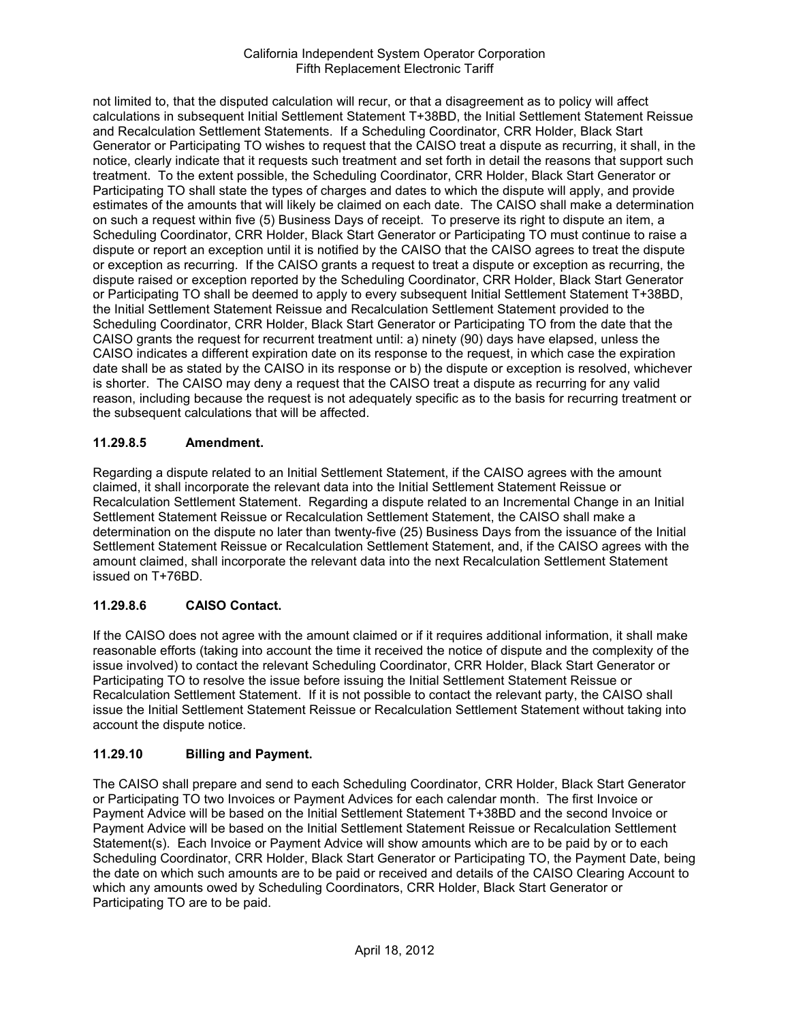not limited to, that the disputed calculation will recur, or that a disagreement as to policy will affect calculations in subsequent Initial Settlement Statement T+38BD, the Initial Settlement Statement Reissue and Recalculation Settlement Statements. If a Scheduling Coordinator, CRR Holder, Black Start Generator or Participating TO wishes to request that the CAISO treat a dispute as recurring, it shall, in the notice, clearly indicate that it requests such treatment and set forth in detail the reasons that support such treatment. To the extent possible, the Scheduling Coordinator, CRR Holder, Black Start Generator or Participating TO shall state the types of charges and dates to which the dispute will apply, and provide estimates of the amounts that will likely be claimed on each date. The CAISO shall make a determination on such a request within five (5) Business Days of receipt. To preserve its right to dispute an item, a Scheduling Coordinator, CRR Holder, Black Start Generator or Participating TO must continue to raise a dispute or report an exception until it is notified by the CAISO that the CAISO agrees to treat the dispute or exception as recurring. If the CAISO grants a request to treat a dispute or exception as recurring, the dispute raised or exception reported by the Scheduling Coordinator, CRR Holder, Black Start Generator or Participating TO shall be deemed to apply to every subsequent Initial Settlement Statement T+38BD, the Initial Settlement Statement Reissue and Recalculation Settlement Statement provided to the Scheduling Coordinator, CRR Holder, Black Start Generator or Participating TO from the date that the CAISO grants the request for recurrent treatment until: a) ninety (90) days have elapsed, unless the CAISO indicates a different expiration date on its response to the request, in which case the expiration date shall be as stated by the CAISO in its response or b) the dispute or exception is resolved, whichever is shorter. The CAISO may deny a request that the CAISO treat a dispute as recurring for any valid reason, including because the request is not adequately specific as to the basis for recurring treatment or the subsequent calculations that will be affected.

# **11.29.8.5 Amendment.**

Regarding a dispute related to an Initial Settlement Statement, if the CAISO agrees with the amount claimed, it shall incorporate the relevant data into the Initial Settlement Statement Reissue or Recalculation Settlement Statement. Regarding a dispute related to an Incremental Change in an Initial Settlement Statement Reissue or Recalculation Settlement Statement, the CAISO shall make a determination on the dispute no later than twenty-five (25) Business Days from the issuance of the Initial Settlement Statement Reissue or Recalculation Settlement Statement, and, if the CAISO agrees with the amount claimed, shall incorporate the relevant data into the next Recalculation Settlement Statement issued on T+76BD.

# **11.29.8.6 CAISO Contact.**

If the CAISO does not agree with the amount claimed or if it requires additional information, it shall make reasonable efforts (taking into account the time it received the notice of dispute and the complexity of the issue involved) to contact the relevant Scheduling Coordinator, CRR Holder, Black Start Generator or Participating TO to resolve the issue before issuing the Initial Settlement Statement Reissue or Recalculation Settlement Statement. If it is not possible to contact the relevant party, the CAISO shall issue the Initial Settlement Statement Reissue or Recalculation Settlement Statement without taking into account the dispute notice.

# **11.29.10 Billing and Payment.**

The CAISO shall prepare and send to each Scheduling Coordinator, CRR Holder, Black Start Generator or Participating TO two Invoices or Payment Advices for each calendar month. The first Invoice or Payment Advice will be based on the Initial Settlement Statement T+38BD and the second Invoice or Payment Advice will be based on the Initial Settlement Statement Reissue or Recalculation Settlement Statement(s). Each Invoice or Payment Advice will show amounts which are to be paid by or to each Scheduling Coordinator, CRR Holder, Black Start Generator or Participating TO, the Payment Date, being the date on which such amounts are to be paid or received and details of the CAISO Clearing Account to which any amounts owed by Scheduling Coordinators, CRR Holder, Black Start Generator or Participating TO are to be paid.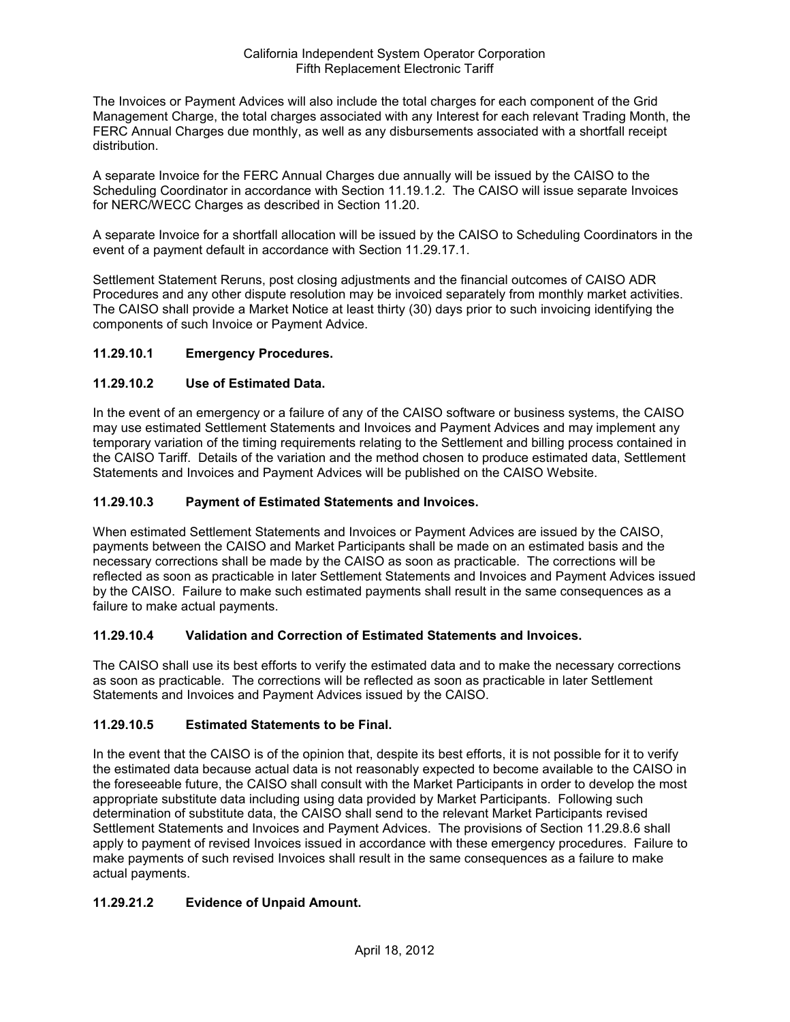The Invoices or Payment Advices will also include the total charges for each component of the Grid Management Charge, the total charges associated with any Interest for each relevant Trading Month, the FERC Annual Charges due monthly, as well as any disbursements associated with a shortfall receipt distribution.

A separate Invoice for the FERC Annual Charges due annually will be issued by the CAISO to the Scheduling Coordinator in accordance with Section 11.19.1.2. The CAISO will issue separate Invoices for NERC/WECC Charges as described in Section 11.20.

A separate Invoice for a shortfall allocation will be issued by the CAISO to Scheduling Coordinators in the event of a payment default in accordance with Section 11.29.17.1.

Settlement Statement Reruns, post closing adjustments and the financial outcomes of CAISO ADR Procedures and any other dispute resolution may be invoiced separately from monthly market activities. The CAISO shall provide a Market Notice at least thirty (30) days prior to such invoicing identifying the components of such Invoice or Payment Advice.

## **11.29.10.1 Emergency Procedures.**

## **11.29.10.2 Use of Estimated Data.**

In the event of an emergency or a failure of any of the CAISO software or business systems, the CAISO may use estimated Settlement Statements and Invoices and Payment Advices and may implement any temporary variation of the timing requirements relating to the Settlement and billing process contained in the CAISO Tariff. Details of the variation and the method chosen to produce estimated data, Settlement Statements and Invoices and Payment Advices will be published on the CAISO Website.

### **11.29.10.3 Payment of Estimated Statements and Invoices.**

When estimated Settlement Statements and Invoices or Payment Advices are issued by the CAISO, payments between the CAISO and Market Participants shall be made on an estimated basis and the necessary corrections shall be made by the CAISO as soon as practicable. The corrections will be reflected as soon as practicable in later Settlement Statements and Invoices and Payment Advices issued by the CAISO. Failure to make such estimated payments shall result in the same consequences as a failure to make actual payments.

### **11.29.10.4 Validation and Correction of Estimated Statements and Invoices.**

The CAISO shall use its best efforts to verify the estimated data and to make the necessary corrections as soon as practicable. The corrections will be reflected as soon as practicable in later Settlement Statements and Invoices and Payment Advices issued by the CAISO.

### **11.29.10.5 Estimated Statements to be Final.**

In the event that the CAISO is of the opinion that, despite its best efforts, it is not possible for it to verify the estimated data because actual data is not reasonably expected to become available to the CAISO in the foreseeable future, the CAISO shall consult with the Market Participants in order to develop the most appropriate substitute data including using data provided by Market Participants. Following such determination of substitute data, the CAISO shall send to the relevant Market Participants revised Settlement Statements and Invoices and Payment Advices. The provisions of Section 11.29.8.6 shall apply to payment of revised Invoices issued in accordance with these emergency procedures. Failure to make payments of such revised Invoices shall result in the same consequences as a failure to make actual payments.

# **11.29.21.2 Evidence of Unpaid Amount.**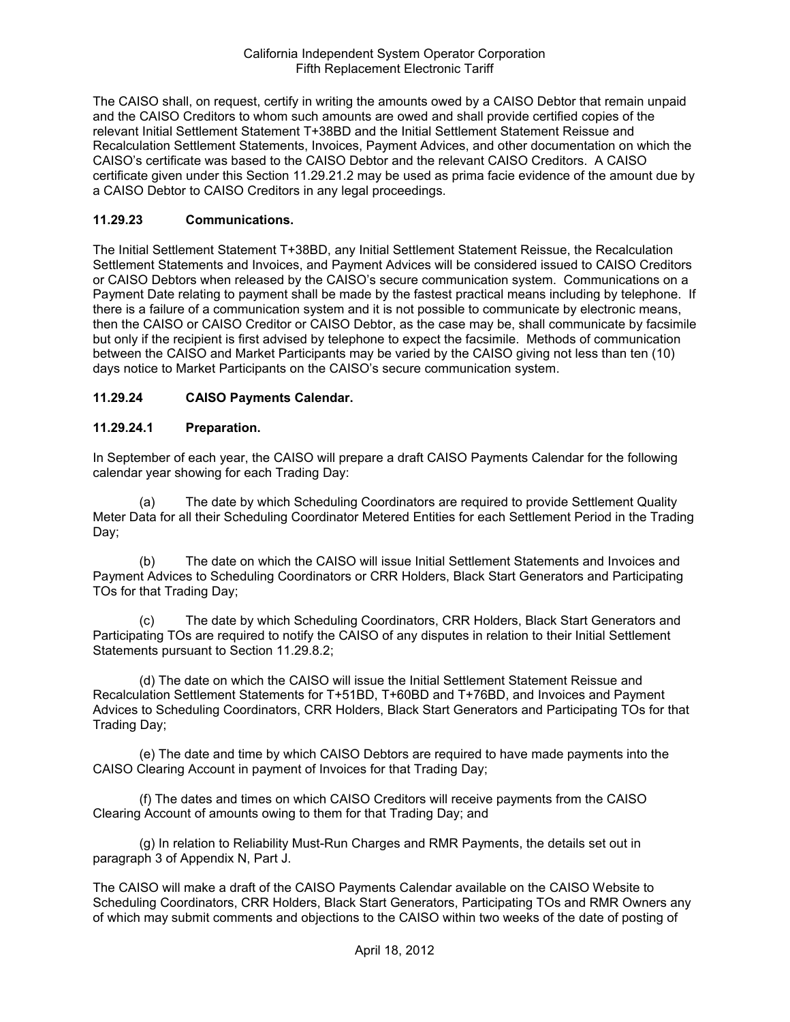The CAISO shall, on request, certify in writing the amounts owed by a CAISO Debtor that remain unpaid and the CAISO Creditors to whom such amounts are owed and shall provide certified copies of the relevant Initial Settlement Statement T+38BD and the Initial Settlement Statement Reissue and Recalculation Settlement Statements, Invoices, Payment Advices, and other documentation on which the CAISO's certificate was based to the CAISO Debtor and the relevant CAISO Creditors. A CAISO certificate given under this Section 11.29.21.2 may be used as prima facie evidence of the amount due by a CAISO Debtor to CAISO Creditors in any legal proceedings.

## **11.29.23 Communications.**

The Initial Settlement Statement T+38BD, any Initial Settlement Statement Reissue, the Recalculation Settlement Statements and Invoices, and Payment Advices will be considered issued to CAISO Creditors or CAISO Debtors when released by the CAISO's secure communication system. Communications on a Payment Date relating to payment shall be made by the fastest practical means including by telephone. If there is a failure of a communication system and it is not possible to communicate by electronic means, then the CAISO or CAISO Creditor or CAISO Debtor, as the case may be, shall communicate by facsimile but only if the recipient is first advised by telephone to expect the facsimile. Methods of communication between the CAISO and Market Participants may be varied by the CAISO giving not less than ten (10) days notice to Market Participants on the CAISO's secure communication system.

## **11.29.24 CAISO Payments Calendar.**

### **11.29.24.1 Preparation.**

In September of each year, the CAISO will prepare a draft CAISO Payments Calendar for the following calendar year showing for each Trading Day:

(a) The date by which Scheduling Coordinators are required to provide Settlement Quality Meter Data for all their Scheduling Coordinator Metered Entities for each Settlement Period in the Trading Day;

(b) The date on which the CAISO will issue Initial Settlement Statements and Invoices and Payment Advices to Scheduling Coordinators or CRR Holders, Black Start Generators and Participating TOs for that Trading Day;

(c) The date by which Scheduling Coordinators, CRR Holders, Black Start Generators and Participating TOs are required to notify the CAISO of any disputes in relation to their Initial Settlement Statements pursuant to Section 11.29.8.2;

(d) The date on which the CAISO will issue the Initial Settlement Statement Reissue and Recalculation Settlement Statements for T+51BD, T+60BD and T+76BD, and Invoices and Payment Advices to Scheduling Coordinators, CRR Holders, Black Start Generators and Participating TOs for that Trading Day;

(e) The date and time by which CAISO Debtors are required to have made payments into the CAISO Clearing Account in payment of Invoices for that Trading Day;

(f) The dates and times on which CAISO Creditors will receive payments from the CAISO Clearing Account of amounts owing to them for that Trading Day; and

(g) In relation to Reliability Must-Run Charges and RMR Payments, the details set out in paragraph 3 of Appendix N, Part J.

The CAISO will make a draft of the CAISO Payments Calendar available on the CAISO Website to Scheduling Coordinators, CRR Holders, Black Start Generators, Participating TOs and RMR Owners any of which may submit comments and objections to the CAISO within two weeks of the date of posting of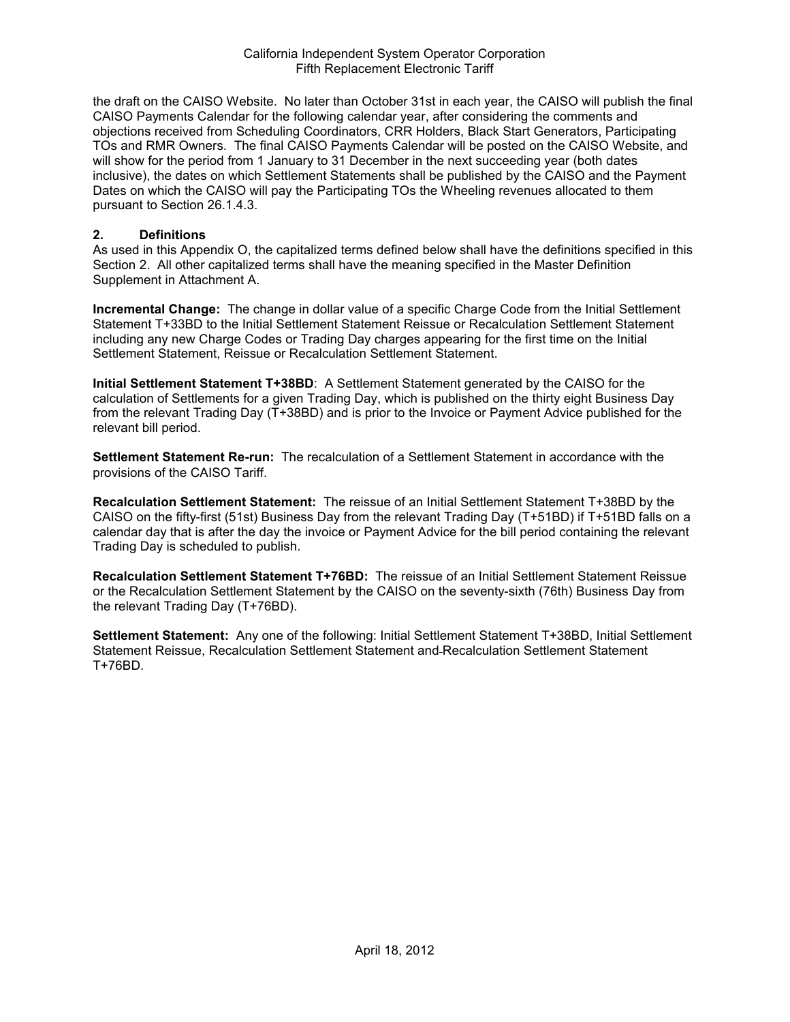the draft on the CAISO Website. No later than October 31st in each year, the CAISO will publish the final CAISO Payments Calendar for the following calendar year, after considering the comments and objections received from Scheduling Coordinators, CRR Holders, Black Start Generators, Participating TOs and RMR Owners. The final CAISO Payments Calendar will be posted on the CAISO Website, and will show for the period from 1 January to 31 December in the next succeeding year (both dates inclusive), the dates on which Settlement Statements shall be published by the CAISO and the Payment Dates on which the CAISO will pay the Participating TOs the Wheeling revenues allocated to them pursuant to Section 26.1.4.3.

#### **2. Definitions**

As used in this Appendix O, the capitalized terms defined below shall have the definitions specified in this Section 2. All other capitalized terms shall have the meaning specified in the Master Definition Supplement in Attachment A.

**Incremental Change:** The change in dollar value of a specific Charge Code from the Initial Settlement Statement T+33BD to the Initial Settlement Statement Reissue or Recalculation Settlement Statement including any new Charge Codes or Trading Day charges appearing for the first time on the Initial Settlement Statement, Reissue or Recalculation Settlement Statement.

**Initial Settlement Statement T+38BD**: A Settlement Statement generated by the CAISO for the calculation of Settlements for a given Trading Day, which is published on the thirty eight Business Day from the relevant Trading Day (T+38BD) and is prior to the Invoice or Payment Advice published for the relevant bill period.

**Settlement Statement Re-run:** The recalculation of a Settlement Statement in accordance with the provisions of the CAISO Tariff.

**Recalculation Settlement Statement:** The reissue of an Initial Settlement Statement T+38BD by the CAISO on the fifty-first (51st) Business Day from the relevant Trading Day (T+51BD) if T+51BD falls on a calendar day that is after the day the invoice or Payment Advice for the bill period containing the relevant Trading Day is scheduled to publish.

**Recalculation Settlement Statement T+76BD:** The reissue of an Initial Settlement Statement Reissue or the Recalculation Settlement Statement by the CAISO on the seventy-sixth (76th) Business Day from the relevant Trading Day (T+76BD).

**Settlement Statement:** Any one of the following: Initial Settlement Statement T+38BD, Initial Settlement Statement Reissue, Recalculation Settlement Statement and Recalculation Settlement Statement T+76BD.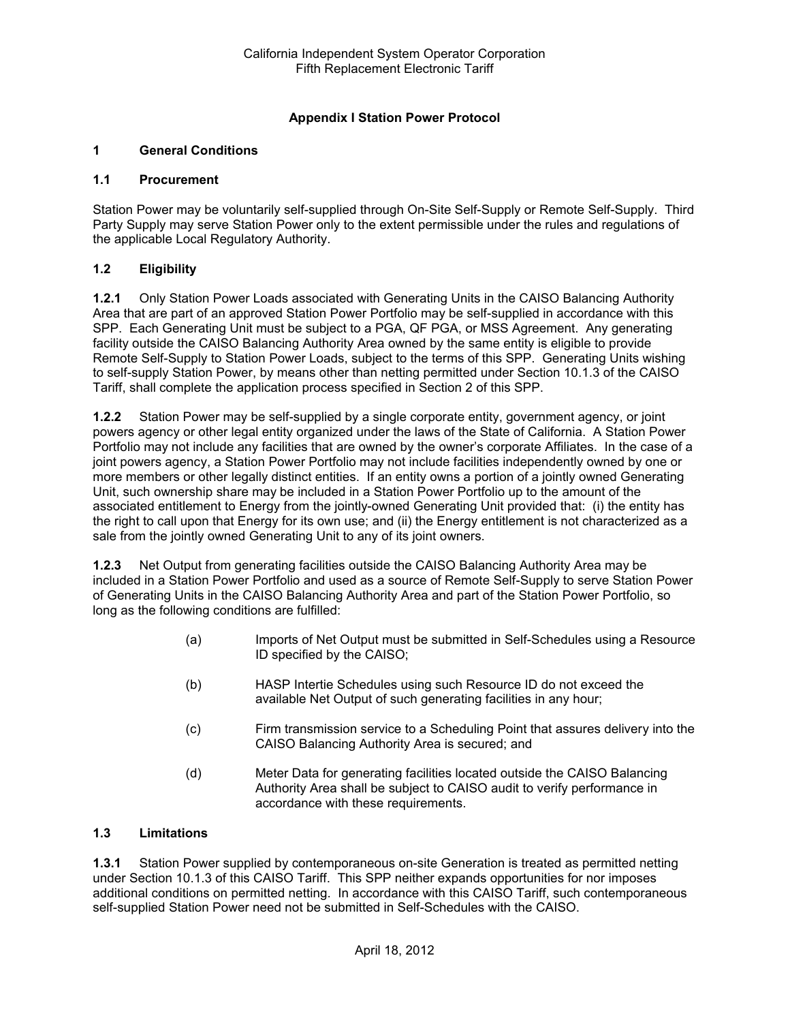## **Appendix I Station Power Protocol**

### **1 General Conditions**

#### **1.1 Procurement**

Station Power may be voluntarily self-supplied through On-Site Self-Supply or Remote Self-Supply. Third Party Supply may serve Station Power only to the extent permissible under the rules and regulations of the applicable Local Regulatory Authority.

### **1.2 Eligibility**

**1.2.1** Only Station Power Loads associated with Generating Units in the CAISO Balancing Authority Area that are part of an approved Station Power Portfolio may be self-supplied in accordance with this SPP. Each Generating Unit must be subject to a PGA, QF PGA, or MSS Agreement. Any generating facility outside the CAISO Balancing Authority Area owned by the same entity is eligible to provide Remote Self-Supply to Station Power Loads, subject to the terms of this SPP. Generating Units wishing to self-supply Station Power, by means other than netting permitted under Section 10.1.3 of the CAISO Tariff, shall complete the application process specified in Section 2 of this SPP.

**1.2.2** Station Power may be self-supplied by a single corporate entity, government agency, or joint powers agency or other legal entity organized under the laws of the State of California. A Station Power Portfolio may not include any facilities that are owned by the owner's corporate Affiliates. In the case of a joint powers agency, a Station Power Portfolio may not include facilities independently owned by one or more members or other legally distinct entities. If an entity owns a portion of a jointly owned Generating Unit, such ownership share may be included in a Station Power Portfolio up to the amount of the associated entitlement to Energy from the jointly-owned Generating Unit provided that: (i) the entity has the right to call upon that Energy for its own use; and (ii) the Energy entitlement is not characterized as a sale from the jointly owned Generating Unit to any of its joint owners.

**1.2.3** Net Output from generating facilities outside the CAISO Balancing Authority Area may be included in a Station Power Portfolio and used as a source of Remote Self-Supply to serve Station Power of Generating Units in the CAISO Balancing Authority Area and part of the Station Power Portfolio, so long as the following conditions are fulfilled:

- (a) Imports of Net Output must be submitted in Self-Schedules using a Resource ID specified by the CAISO;
- (b) HASP Intertie Schedules using such Resource ID do not exceed the available Net Output of such generating facilities in any hour;
- (c) Firm transmission service to a Scheduling Point that assures delivery into the CAISO Balancing Authority Area is secured; and
- (d) Meter Data for generating facilities located outside the CAISO Balancing Authority Area shall be subject to CAISO audit to verify performance in accordance with these requirements.

### **1.3 Limitations**

**1.3.1** Station Power supplied by contemporaneous on-site Generation is treated as permitted netting under Section 10.1.3 of this CAISO Tariff. This SPP neither expands opportunities for nor imposes additional conditions on permitted netting. In accordance with this CAISO Tariff, such contemporaneous self-supplied Station Power need not be submitted in Self-Schedules with the CAISO.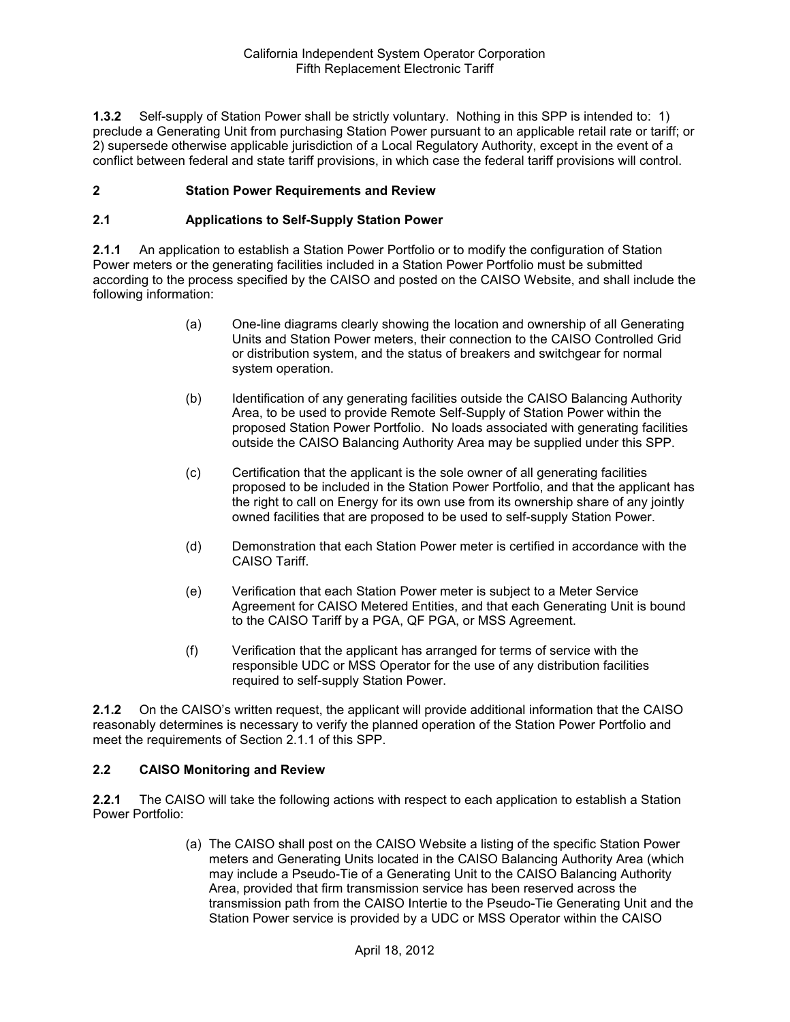**1.3.2** Self-supply of Station Power shall be strictly voluntary. Nothing in this SPP is intended to: 1) preclude a Generating Unit from purchasing Station Power pursuant to an applicable retail rate or tariff; or 2) supersede otherwise applicable jurisdiction of a Local Regulatory Authority, except in the event of a conflict between federal and state tariff provisions, in which case the federal tariff provisions will control.

## **2 Station Power Requirements and Review**

### **2.1 Applications to Self-Supply Station Power**

**2.1.1** An application to establish a Station Power Portfolio or to modify the configuration of Station Power meters or the generating facilities included in a Station Power Portfolio must be submitted according to the process specified by the CAISO and posted on the CAISO Website, and shall include the following information:

- (a) One-line diagrams clearly showing the location and ownership of all Generating Units and Station Power meters, their connection to the CAISO Controlled Grid or distribution system, and the status of breakers and switchgear for normal system operation.
- (b) Identification of any generating facilities outside the CAISO Balancing Authority Area, to be used to provide Remote Self-Supply of Station Power within the proposed Station Power Portfolio. No loads associated with generating facilities outside the CAISO Balancing Authority Area may be supplied under this SPP.
- (c) Certification that the applicant is the sole owner of all generating facilities proposed to be included in the Station Power Portfolio, and that the applicant has the right to call on Energy for its own use from its ownership share of any jointly owned facilities that are proposed to be used to self-supply Station Power.
- (d) Demonstration that each Station Power meter is certified in accordance with the CAISO Tariff.
- (e) Verification that each Station Power meter is subject to a Meter Service Agreement for CAISO Metered Entities, and that each Generating Unit is bound to the CAISO Tariff by a PGA, QF PGA, or MSS Agreement.
- (f) Verification that the applicant has arranged for terms of service with the responsible UDC or MSS Operator for the use of any distribution facilities required to self-supply Station Power.

**2.1.2** On the CAISO's written request, the applicant will provide additional information that the CAISO reasonably determines is necessary to verify the planned operation of the Station Power Portfolio and meet the requirements of Section 2.1.1 of this SPP.

### **2.2 CAISO Monitoring and Review**

**2.2.1** The CAISO will take the following actions with respect to each application to establish a Station Power Portfolio:

> (a) The CAISO shall post on the CAISO Website a listing of the specific Station Power meters and Generating Units located in the CAISO Balancing Authority Area (which may include a Pseudo-Tie of a Generating Unit to the CAISO Balancing Authority Area, provided that firm transmission service has been reserved across the transmission path from the CAISO Intertie to the Pseudo-Tie Generating Unit and the Station Power service is provided by a UDC or MSS Operator within the CAISO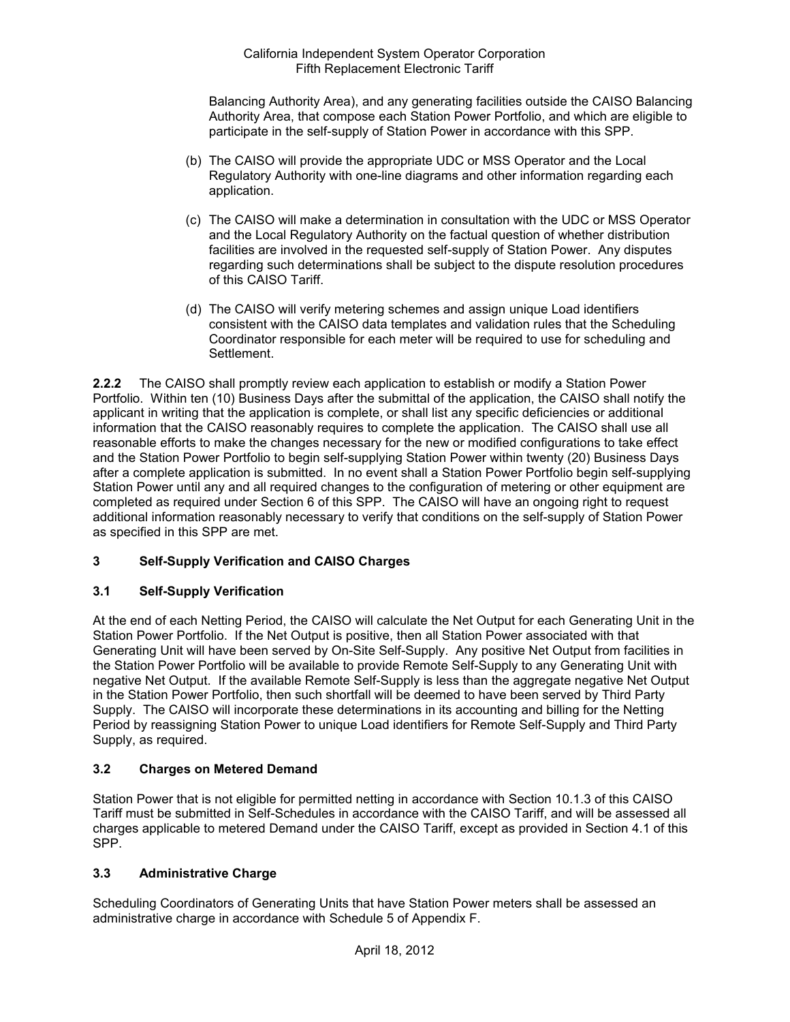Balancing Authority Area), and any generating facilities outside the CAISO Balancing Authority Area, that compose each Station Power Portfolio, and which are eligible to participate in the self-supply of Station Power in accordance with this SPP.

- (b) The CAISO will provide the appropriate UDC or MSS Operator and the Local Regulatory Authority with one-line diagrams and other information regarding each application.
- (c) The CAISO will make a determination in consultation with the UDC or MSS Operator and the Local Regulatory Authority on the factual question of whether distribution facilities are involved in the requested self-supply of Station Power. Any disputes regarding such determinations shall be subject to the dispute resolution procedures of this CAISO Tariff.
- (d) The CAISO will verify metering schemes and assign unique Load identifiers consistent with the CAISO data templates and validation rules that the Scheduling Coordinator responsible for each meter will be required to use for scheduling and Settlement.

**2.2.2** The CAISO shall promptly review each application to establish or modify a Station Power Portfolio. Within ten (10) Business Days after the submittal of the application, the CAISO shall notify the applicant in writing that the application is complete, or shall list any specific deficiencies or additional information that the CAISO reasonably requires to complete the application. The CAISO shall use all reasonable efforts to make the changes necessary for the new or modified configurations to take effect and the Station Power Portfolio to begin self-supplying Station Power within twenty (20) Business Days after a complete application is submitted. In no event shall a Station Power Portfolio begin self-supplying Station Power until any and all required changes to the configuration of metering or other equipment are completed as required under Section 6 of this SPP. The CAISO will have an ongoing right to request additional information reasonably necessary to verify that conditions on the self-supply of Station Power as specified in this SPP are met.

# **3 Self-Supply Verification and CAISO Charges**

# **3.1 Self-Supply Verification**

At the end of each Netting Period, the CAISO will calculate the Net Output for each Generating Unit in the Station Power Portfolio. If the Net Output is positive, then all Station Power associated with that Generating Unit will have been served by On-Site Self-Supply. Any positive Net Output from facilities in the Station Power Portfolio will be available to provide Remote Self-Supply to any Generating Unit with negative Net Output. If the available Remote Self-Supply is less than the aggregate negative Net Output in the Station Power Portfolio, then such shortfall will be deemed to have been served by Third Party Supply. The CAISO will incorporate these determinations in its accounting and billing for the Netting Period by reassigning Station Power to unique Load identifiers for Remote Self-Supply and Third Party Supply, as required.

# **3.2 Charges on Metered Demand**

Station Power that is not eligible for permitted netting in accordance with Section 10.1.3 of this CAISO Tariff must be submitted in Self-Schedules in accordance with the CAISO Tariff, and will be assessed all charges applicable to metered Demand under the CAISO Tariff, except as provided in Section 4.1 of this SPP.

### **3.3 Administrative Charge**

Scheduling Coordinators of Generating Units that have Station Power meters shall be assessed an administrative charge in accordance with Schedule 5 of Appendix F.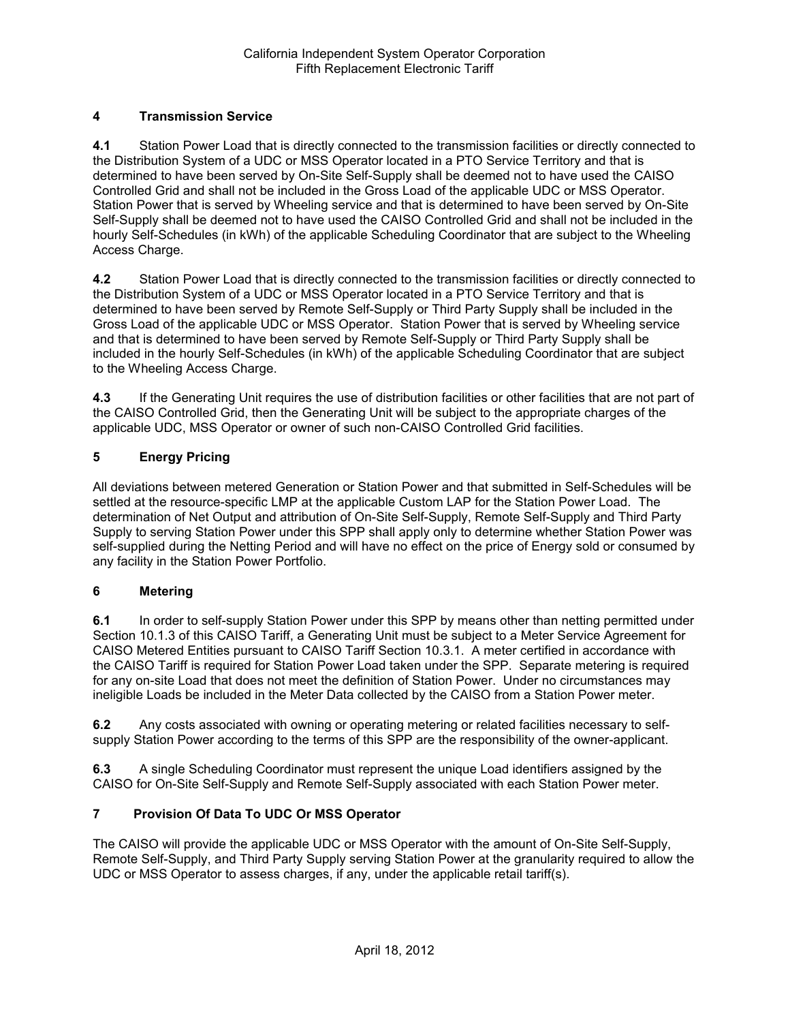# **4 Transmission Service**

**4.1** Station Power Load that is directly connected to the transmission facilities or directly connected to the Distribution System of a UDC or MSS Operator located in a PTO Service Territory and that is determined to have been served by On-Site Self-Supply shall be deemed not to have used the CAISO Controlled Grid and shall not be included in the Gross Load of the applicable UDC or MSS Operator. Station Power that is served by Wheeling service and that is determined to have been served by On-Site Self-Supply shall be deemed not to have used the CAISO Controlled Grid and shall not be included in the hourly Self-Schedules (in kWh) of the applicable Scheduling Coordinator that are subject to the Wheeling Access Charge.

**4.2** Station Power Load that is directly connected to the transmission facilities or directly connected to the Distribution System of a UDC or MSS Operator located in a PTO Service Territory and that is determined to have been served by Remote Self-Supply or Third Party Supply shall be included in the Gross Load of the applicable UDC or MSS Operator. Station Power that is served by Wheeling service and that is determined to have been served by Remote Self-Supply or Third Party Supply shall be included in the hourly Self-Schedules (in kWh) of the applicable Scheduling Coordinator that are subject to the Wheeling Access Charge.

**4.3** If the Generating Unit requires the use of distribution facilities or other facilities that are not part of the CAISO Controlled Grid, then the Generating Unit will be subject to the appropriate charges of the applicable UDC, MSS Operator or owner of such non-CAISO Controlled Grid facilities.

# **5 Energy Pricing**

All deviations between metered Generation or Station Power and that submitted in Self-Schedules will be settled at the resource-specific LMP at the applicable Custom LAP for the Station Power Load. The determination of Net Output and attribution of On-Site Self-Supply, Remote Self-Supply and Third Party Supply to serving Station Power under this SPP shall apply only to determine whether Station Power was self-supplied during the Netting Period and will have no effect on the price of Energy sold or consumed by any facility in the Station Power Portfolio.

## **6 Metering**

**6.1** In order to self-supply Station Power under this SPP by means other than netting permitted under Section 10.1.3 of this CAISO Tariff, a Generating Unit must be subject to a Meter Service Agreement for CAISO Metered Entities pursuant to CAISO Tariff Section 10.3.1. A meter certified in accordance with the CAISO Tariff is required for Station Power Load taken under the SPP. Separate metering is required for any on-site Load that does not meet the definition of Station Power. Under no circumstances may ineligible Loads be included in the Meter Data collected by the CAISO from a Station Power meter.

**6.2** Any costs associated with owning or operating metering or related facilities necessary to selfsupply Station Power according to the terms of this SPP are the responsibility of the owner-applicant.

**6.3** A single Scheduling Coordinator must represent the unique Load identifiers assigned by the CAISO for On-Site Self-Supply and Remote Self-Supply associated with each Station Power meter.

### **7 Provision Of Data To UDC Or MSS Operator**

The CAISO will provide the applicable UDC or MSS Operator with the amount of On-Site Self-Supply, Remote Self-Supply, and Third Party Supply serving Station Power at the granularity required to allow the UDC or MSS Operator to assess charges, if any, under the applicable retail tariff(s).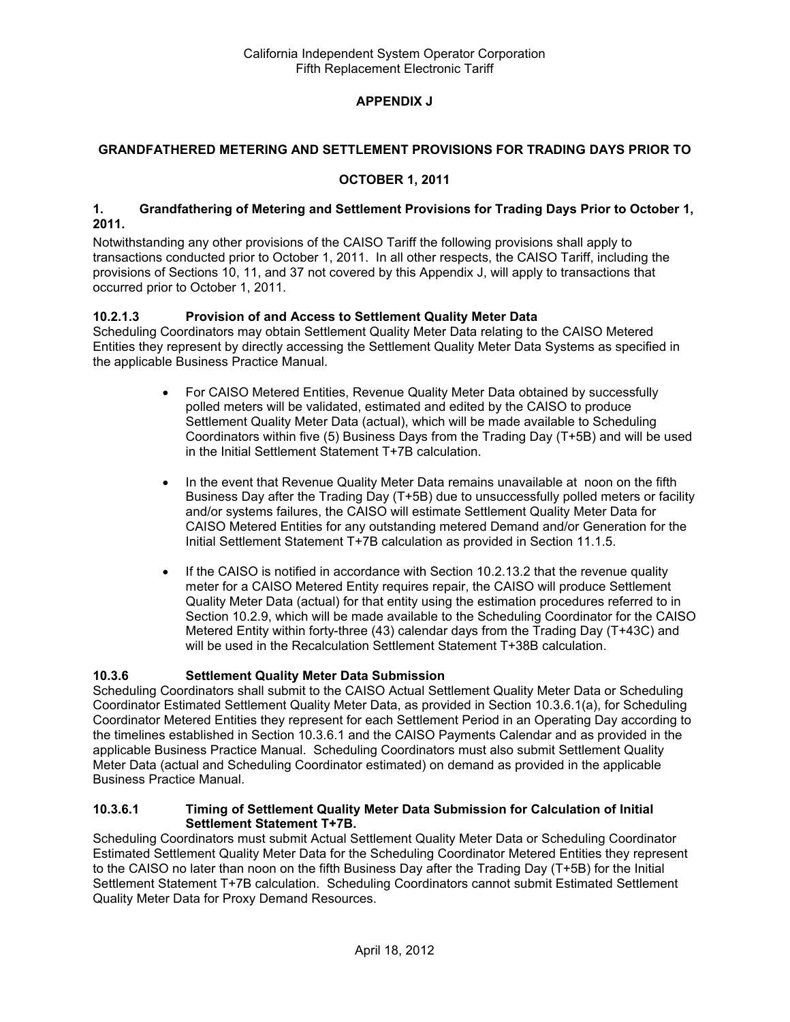## **APPENDIX J**

### **GRANDFATHERED METERING AND SETTLEMENT PROVISIONS FOR TRADING DAYS PRIOR TO**

### **OCTOBER 1, 2011**

#### **1. Grandfathering of Metering and Settlement Provisions for Trading Days Prior to October 1, 2011.**

Notwithstanding any other provisions of the CAISO Tariff the following provisions shall apply to transactions conducted prior to October 1, 2011. In all other respects, the CAISO Tariff, including the provisions of Sections 10, 11, and 37 not covered by this Appendix J, will apply to transactions that occurred prior to October 1, 2011.

## **10.2.1.3 Provision of and Access to Settlement Quality Meter Data**

Scheduling Coordinators may obtain Settlement Quality Meter Data relating to the CAISO Metered Entities they represent by directly accessing the Settlement Quality Meter Data Systems as specified in the applicable Business Practice Manual.

- For CAISO Metered Entities, Revenue Quality Meter Data obtained by successfully polled meters will be validated, estimated and edited by the CAISO to produce Settlement Quality Meter Data (actual), which will be made available to Scheduling Coordinators within five (5) Business Days from the Trading Day (T+5B) and will be used in the Initial Settlement Statement T+7B calculation.
- In the event that Revenue Quality Meter Data remains unavailable at noon on the fifth Business Day after the Trading Day (T+5B) due to unsuccessfully polled meters or facility and/or systems failures, the CAISO will estimate Settlement Quality Meter Data for CAISO Metered Entities for any outstanding metered Demand and/or Generation for the Initial Settlement Statement T+7B calculation as provided in Section 11.1.5.
- If the CAISO is notified in accordance with Section 10.2.13.2 that the revenue quality meter for a CAISO Metered Entity requires repair, the CAISO will produce Settlement Quality Meter Data (actual) for that entity using the estimation procedures referred to in Section 10.2.9, which will be made available to the Scheduling Coordinator for the CAISO Metered Entity within forty-three (43) calendar days from the Trading Day (T+43C) and will be used in the Recalculation Settlement Statement T+38B calculation.

### **10.3.6 Settlement Quality Meter Data Submission**

Scheduling Coordinators shall submit to the CAISO Actual Settlement Quality Meter Data or Scheduling Coordinator Estimated Settlement Quality Meter Data, as provided in Section 10.3.6.1(a), for Scheduling Coordinator Metered Entities they represent for each Settlement Period in an Operating Day according to the timelines established in Section 10.3.6.1 and the CAISO Payments Calendar and as provided in the applicable Business Practice Manual. Scheduling Coordinators must also submit Settlement Quality Meter Data (actual and Scheduling Coordinator estimated) on demand as provided in the applicable Business Practice Manual.

#### **10.3.6.1 Timing of Settlement Quality Meter Data Submission for Calculation of Initial Settlement Statement T+7B.**

Scheduling Coordinators must submit Actual Settlement Quality Meter Data or Scheduling Coordinator Estimated Settlement Quality Meter Data for the Scheduling Coordinator Metered Entities they represent to the CAISO no later than noon on the fifth Business Day after the Trading Day (T+5B) for the Initial Settlement Statement T+7B calculation. Scheduling Coordinators cannot submit Estimated Settlement Quality Meter Data for Proxy Demand Resources.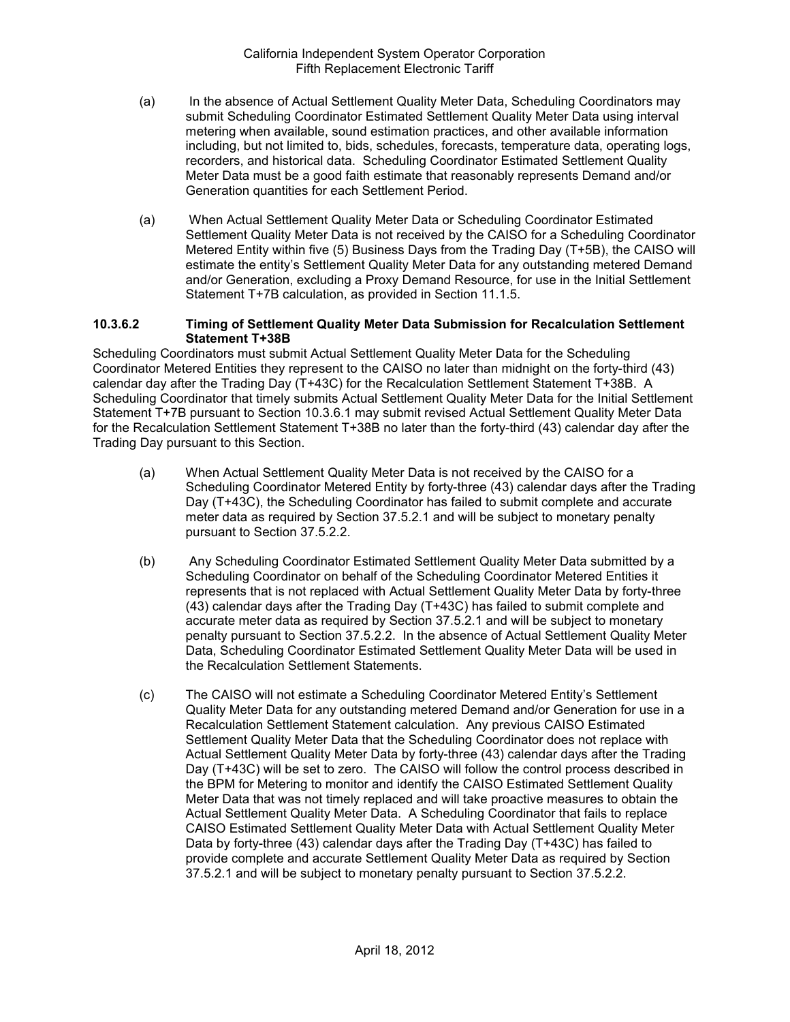- (a) In the absence of Actual Settlement Quality Meter Data, Scheduling Coordinators may submit Scheduling Coordinator Estimated Settlement Quality Meter Data using interval metering when available, sound estimation practices, and other available information including, but not limited to, bids, schedules, forecasts, temperature data, operating logs, recorders, and historical data. Scheduling Coordinator Estimated Settlement Quality Meter Data must be a good faith estimate that reasonably represents Demand and/or Generation quantities for each Settlement Period.
- (a) When Actual Settlement Quality Meter Data or Scheduling Coordinator Estimated Settlement Quality Meter Data is not received by the CAISO for a Scheduling Coordinator Metered Entity within five (5) Business Days from the Trading Day (T+5B), the CAISO will estimate the entity's Settlement Quality Meter Data for any outstanding metered Demand and/or Generation, excluding a Proxy Demand Resource, for use in the Initial Settlement Statement T+7B calculation, as provided in Section 11.1.5.

#### **10.3.6.2 Timing of Settlement Quality Meter Data Submission for Recalculation Settlement Statement T+38B**

Scheduling Coordinators must submit Actual Settlement Quality Meter Data for the Scheduling Coordinator Metered Entities they represent to the CAISO no later than midnight on the forty-third (43) calendar day after the Trading Day (T+43C) for the Recalculation Settlement Statement T+38B. A Scheduling Coordinator that timely submits Actual Settlement Quality Meter Data for the Initial Settlement Statement T+7B pursuant to Section 10.3.6.1 may submit revised Actual Settlement Quality Meter Data for the Recalculation Settlement Statement T+38B no later than the forty-third (43) calendar day after the Trading Day pursuant to this Section.

- (a) When Actual Settlement Quality Meter Data is not received by the CAISO for a Scheduling Coordinator Metered Entity by forty-three (43) calendar days after the Trading Day (T+43C), the Scheduling Coordinator has failed to submit complete and accurate meter data as required by Section 37.5.2.1 and will be subject to monetary penalty pursuant to Section 37.5.2.2.
- (b) Any Scheduling Coordinator Estimated Settlement Quality Meter Data submitted by a Scheduling Coordinator on behalf of the Scheduling Coordinator Metered Entities it represents that is not replaced with Actual Settlement Quality Meter Data by forty-three (43) calendar days after the Trading Day (T+43C) has failed to submit complete and accurate meter data as required by Section 37.5.2.1 and will be subject to monetary penalty pursuant to Section 37.5.2.2. In the absence of Actual Settlement Quality Meter Data, Scheduling Coordinator Estimated Settlement Quality Meter Data will be used in the Recalculation Settlement Statements.
- (c) The CAISO will not estimate a Scheduling Coordinator Metered Entity's Settlement Quality Meter Data for any outstanding metered Demand and/or Generation for use in a Recalculation Settlement Statement calculation. Any previous CAISO Estimated Settlement Quality Meter Data that the Scheduling Coordinator does not replace with Actual Settlement Quality Meter Data by forty-three (43) calendar days after the Trading Day (T+43C) will be set to zero. The CAISO will follow the control process described in the BPM for Metering to monitor and identify the CAISO Estimated Settlement Quality Meter Data that was not timely replaced and will take proactive measures to obtain the Actual Settlement Quality Meter Data. A Scheduling Coordinator that fails to replace CAISO Estimated Settlement Quality Meter Data with Actual Settlement Quality Meter Data by forty-three (43) calendar days after the Trading Day (T+43C) has failed to provide complete and accurate Settlement Quality Meter Data as required by Section 37.5.2.1 and will be subject to monetary penalty pursuant to Section 37.5.2.2.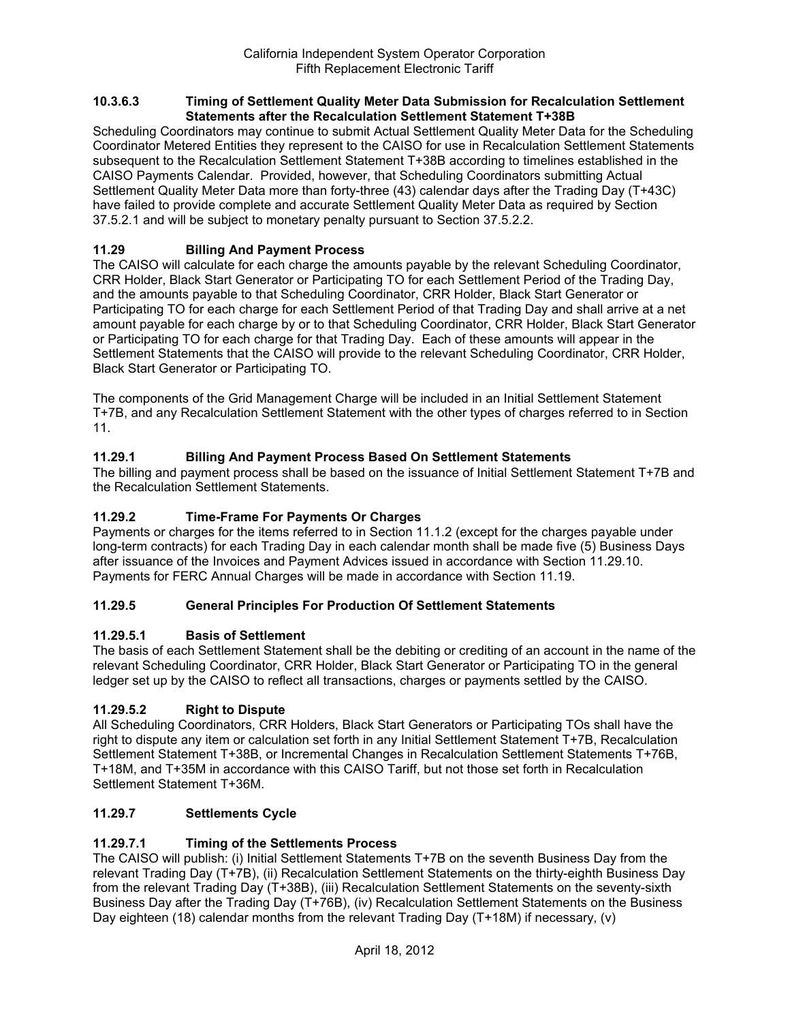#### **10.3.6.3 Timing of Settlement Quality Meter Data Submission for Recalculation Settlement Statements after the Recalculation Settlement Statement T+38B**

Scheduling Coordinators may continue to submit Actual Settlement Quality Meter Data for the Scheduling Coordinator Metered Entities they represent to the CAISO for use in Recalculation Settlement Statements subsequent to the Recalculation Settlement Statement T+38B according to timelines established in the CAISO Payments Calendar. Provided, however, that Scheduling Coordinators submitting Actual Settlement Quality Meter Data more than forty-three (43) calendar days after the Trading Day (T+43C) have failed to provide complete and accurate Settlement Quality Meter Data as required by Section 37.5.2.1 and will be subject to monetary penalty pursuant to Section 37.5.2.2.

## **11.29 Billing And Payment Process**

The CAISO will calculate for each charge the amounts payable by the relevant Scheduling Coordinator, CRR Holder, Black Start Generator or Participating TO for each Settlement Period of the Trading Day, and the amounts payable to that Scheduling Coordinator, CRR Holder, Black Start Generator or Participating TO for each charge for each Settlement Period of that Trading Day and shall arrive at a net amount payable for each charge by or to that Scheduling Coordinator, CRR Holder, Black Start Generator or Participating TO for each charge for that Trading Day. Each of these amounts will appear in the Settlement Statements that the CAISO will provide to the relevant Scheduling Coordinator, CRR Holder, Black Start Generator or Participating TO.

The components of the Grid Management Charge will be included in an Initial Settlement Statement T+7B, and any Recalculation Settlement Statement with the other types of charges referred to in Section 11.

## **11.29.1 Billing And Payment Process Based On Settlement Statements**

The billing and payment process shall be based on the issuance of Initial Settlement Statement T+7B and the Recalculation Settlement Statements.

## **11.29.2 Time-Frame For Payments Or Charges**

Payments or charges for the items referred to in Section 11.1.2 (except for the charges payable under long-term contracts) for each Trading Day in each calendar month shall be made five (5) Business Days after issuance of the Invoices and Payment Advices issued in accordance with Section 11.29.10. Payments for FERC Annual Charges will be made in accordance with Section 11.19.

### **11.29.5 General Principles For Production Of Settlement Statements**

### **11.29.5.1 Basis of Settlement**

The basis of each Settlement Statement shall be the debiting or crediting of an account in the name of the relevant Scheduling Coordinator, CRR Holder, Black Start Generator or Participating TO in the general ledger set up by the CAISO to reflect all transactions, charges or payments settled by the CAISO.

### **11.29.5.2 Right to Dispute**

All Scheduling Coordinators, CRR Holders, Black Start Generators or Participating TOs shall have the right to dispute any item or calculation set forth in any Initial Settlement Statement T+7B, Recalculation Settlement Statement T+38B, or Incremental Changes in Recalculation Settlement Statements T+76B, T+18M, and T+35M in accordance with this CAISO Tariff, but not those set forth in Recalculation Settlement Statement T+36M.

### **11.29.7 Settlements Cycle**

### **11.29.7.1 Timing of the Settlements Process**

The CAISO will publish: (i) Initial Settlement Statements T+7B on the seventh Business Day from the relevant Trading Day (T+7B), (ii) Recalculation Settlement Statements on the thirty-eighth Business Day from the relevant Trading Day (T+38B), (iii) Recalculation Settlement Statements on the seventy-sixth Business Day after the Trading Day (T+76B), (iv) Recalculation Settlement Statements on the Business Day eighteen (18) calendar months from the relevant Trading Day (T+18M) if necessary, (v)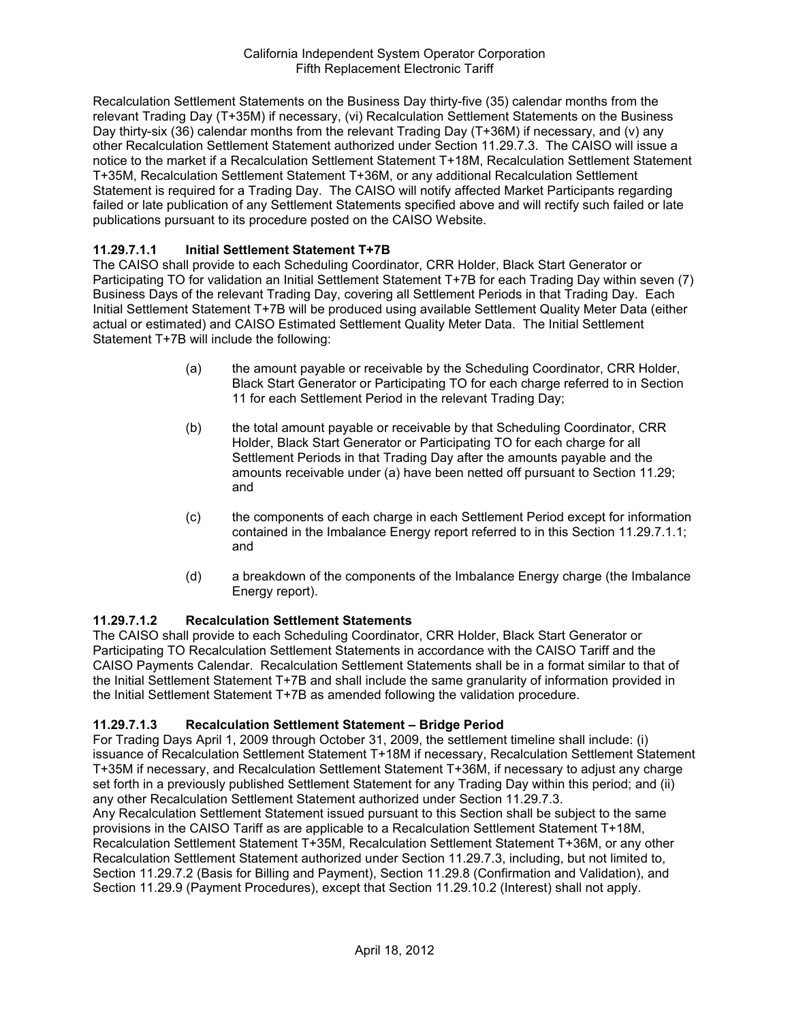Recalculation Settlement Statements on the Business Day thirty-five (35) calendar months from the relevant Trading Day (T+35M) if necessary, (vi) Recalculation Settlement Statements on the Business Day thirty-six (36) calendar months from the relevant Trading Day (T+36M) if necessary, and (v) any other Recalculation Settlement Statement authorized under Section 11.29.7.3. The CAISO will issue a notice to the market if a Recalculation Settlement Statement T+18M, Recalculation Settlement Statement T+35M, Recalculation Settlement Statement T+36M, or any additional Recalculation Settlement Statement is required for a Trading Day. The CAISO will notify affected Market Participants regarding failed or late publication of any Settlement Statements specified above and will rectify such failed or late publications pursuant to its procedure posted on the CAISO Website.

## **11.29.7.1.1 Initial Settlement Statement T+7B**

The CAISO shall provide to each Scheduling Coordinator, CRR Holder, Black Start Generator or Participating TO for validation an Initial Settlement Statement T+7B for each Trading Day within seven (7) Business Days of the relevant Trading Day, covering all Settlement Periods in that Trading Day. Each Initial Settlement Statement T+7B will be produced using available Settlement Quality Meter Data (either actual or estimated) and CAISO Estimated Settlement Quality Meter Data. The Initial Settlement Statement T+7B will include the following:

- (a) the amount payable or receivable by the Scheduling Coordinator, CRR Holder, Black Start Generator or Participating TO for each charge referred to in Section 11 for each Settlement Period in the relevant Trading Day;
- (b) the total amount payable or receivable by that Scheduling Coordinator, CRR Holder, Black Start Generator or Participating TO for each charge for all Settlement Periods in that Trading Day after the amounts payable and the amounts receivable under (a) have been netted off pursuant to Section 11.29; and
- (c) the components of each charge in each Settlement Period except for information contained in the Imbalance Energy report referred to in this Section 11.29.7.1.1; and
- (d) a breakdown of the components of the Imbalance Energy charge (the Imbalance Energy report).

### **11.29.7.1.2 Recalculation Settlement Statements**

The CAISO shall provide to each Scheduling Coordinator, CRR Holder, Black Start Generator or Participating TO Recalculation Settlement Statements in accordance with the CAISO Tariff and the CAISO Payments Calendar. Recalculation Settlement Statements shall be in a format similar to that of the Initial Settlement Statement T+7B and shall include the same granularity of information provided in the Initial Settlement Statement T+7B as amended following the validation procedure.

# **11.29.7.1.3 Recalculation Settlement Statement – Bridge Period**

For Trading Days April 1, 2009 through October 31, 2009, the settlement timeline shall include: (i) issuance of Recalculation Settlement Statement T+18M if necessary, Recalculation Settlement Statement T+35M if necessary, and Recalculation Settlement Statement T+36M, if necessary to adjust any charge set forth in a previously published Settlement Statement for any Trading Day within this period; and (ii) any other Recalculation Settlement Statement authorized under Section 11.29.7.3.

Any Recalculation Settlement Statement issued pursuant to this Section shall be subject to the same provisions in the CAISO Tariff as are applicable to a Recalculation Settlement Statement T+18M, Recalculation Settlement Statement T+35M, Recalculation Settlement Statement T+36M, or any other Recalculation Settlement Statement authorized under Section 11.29.7.3, including, but not limited to, Section 11.29.7.2 (Basis for Billing and Payment), Section 11.29.8 (Confirmation and Validation), and Section 11.29.9 (Payment Procedures), except that Section 11.29.10.2 (Interest) shall not apply.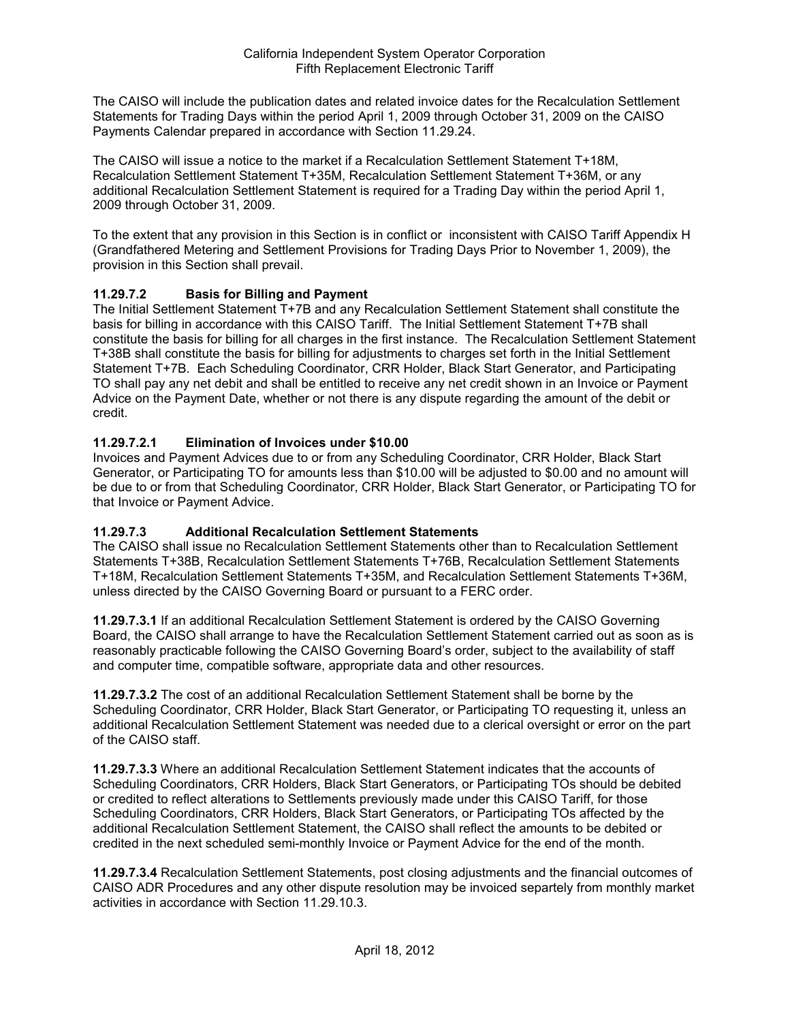The CAISO will include the publication dates and related invoice dates for the Recalculation Settlement Statements for Trading Days within the period April 1, 2009 through October 31, 2009 on the CAISO Payments Calendar prepared in accordance with Section 11.29.24.

The CAISO will issue a notice to the market if a Recalculation Settlement Statement T+18M, Recalculation Settlement Statement T+35M, Recalculation Settlement Statement T+36M, or any additional Recalculation Settlement Statement is required for a Trading Day within the period April 1, 2009 through October 31, 2009.

To the extent that any provision in this Section is in conflict or inconsistent with CAISO Tariff Appendix H (Grandfathered Metering and Settlement Provisions for Trading Days Prior to November 1, 2009), the provision in this Section shall prevail.

## **11.29.7.2 Basis for Billing and Payment**

The Initial Settlement Statement T+7B and any Recalculation Settlement Statement shall constitute the basis for billing in accordance with this CAISO Tariff. The Initial Settlement Statement T+7B shall constitute the basis for billing for all charges in the first instance. The Recalculation Settlement Statement T+38B shall constitute the basis for billing for adjustments to charges set forth in the Initial Settlement Statement T+7B. Each Scheduling Coordinator, CRR Holder, Black Start Generator, and Participating TO shall pay any net debit and shall be entitled to receive any net credit shown in an Invoice or Payment Advice on the Payment Date, whether or not there is any dispute regarding the amount of the debit or credit.

## **11.29.7.2.1 Elimination of Invoices under \$10.00**

Invoices and Payment Advices due to or from any Scheduling Coordinator, CRR Holder, Black Start Generator, or Participating TO for amounts less than \$10.00 will be adjusted to \$0.00 and no amount will be due to or from that Scheduling Coordinator, CRR Holder, Black Start Generator, or Participating TO for that Invoice or Payment Advice.

### **11.29.7.3 Additional Recalculation Settlement Statements**

The CAISO shall issue no Recalculation Settlement Statements other than to Recalculation Settlement Statements T+38B, Recalculation Settlement Statements T+76B, Recalculation Settlement Statements T+18M, Recalculation Settlement Statements T+35M, and Recalculation Settlement Statements T+36M, unless directed by the CAISO Governing Board or pursuant to a FERC order.

**11.29.7.3.1** If an additional Recalculation Settlement Statement is ordered by the CAISO Governing Board, the CAISO shall arrange to have the Recalculation Settlement Statement carried out as soon as is reasonably practicable following the CAISO Governing Board's order, subject to the availability of staff and computer time, compatible software, appropriate data and other resources.

**11.29.7.3.2** The cost of an additional Recalculation Settlement Statement shall be borne by the Scheduling Coordinator, CRR Holder, Black Start Generator, or Participating TO requesting it, unless an additional Recalculation Settlement Statement was needed due to a clerical oversight or error on the part of the CAISO staff.

**11.29.7.3.3** Where an additional Recalculation Settlement Statement indicates that the accounts of Scheduling Coordinators, CRR Holders, Black Start Generators, or Participating TOs should be debited or credited to reflect alterations to Settlements previously made under this CAISO Tariff, for those Scheduling Coordinators, CRR Holders, Black Start Generators, or Participating TOs affected by the additional Recalculation Settlement Statement, the CAISO shall reflect the amounts to be debited or credited in the next scheduled semi-monthly Invoice or Payment Advice for the end of the month.

**11.29.7.3.4** Recalculation Settlement Statements, post closing adjustments and the financial outcomes of CAISO ADR Procedures and any other dispute resolution may be invoiced separtely from monthly market activities in accordance with Section 11.29.10.3.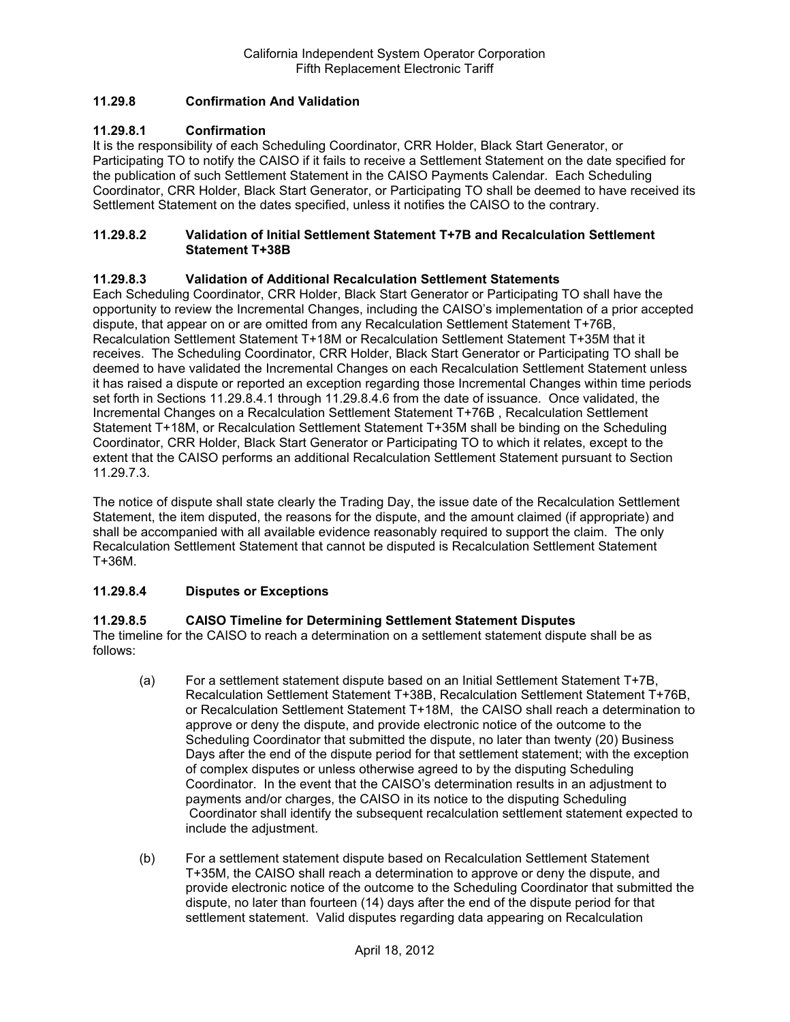## **11.29.8 Confirmation And Validation**

## **11.29.8.1 Confirmation**

It is the responsibility of each Scheduling Coordinator, CRR Holder, Black Start Generator, or Participating TO to notify the CAISO if it fails to receive a Settlement Statement on the date specified for the publication of such Settlement Statement in the CAISO Payments Calendar. Each Scheduling Coordinator, CRR Holder, Black Start Generator, or Participating TO shall be deemed to have received its Settlement Statement on the dates specified, unless it notifies the CAISO to the contrary.

#### **11.29.8.2 Validation of Initial Settlement Statement T+7B and Recalculation Settlement Statement T+38B**

### **11.29.8.3 Validation of Additional Recalculation Settlement Statements**

Each Scheduling Coordinator, CRR Holder, Black Start Generator or Participating TO shall have the opportunity to review the Incremental Changes, including the CAISO's implementation of a prior accepted dispute, that appear on or are omitted from any Recalculation Settlement Statement T+76B, Recalculation Settlement Statement T+18M or Recalculation Settlement Statement T+35M that it receives. The Scheduling Coordinator, CRR Holder, Black Start Generator or Participating TO shall be deemed to have validated the Incremental Changes on each Recalculation Settlement Statement unless it has raised a dispute or reported an exception regarding those Incremental Changes within time periods set forth in Sections 11.29.8.4.1 through 11.29.8.4.6 from the date of issuance. Once validated, the Incremental Changes on a Recalculation Settlement Statement T+76B , Recalculation Settlement Statement T+18M, or Recalculation Settlement Statement T+35M shall be binding on the Scheduling Coordinator, CRR Holder, Black Start Generator or Participating TO to which it relates, except to the extent that the CAISO performs an additional Recalculation Settlement Statement pursuant to Section 11.29.7.3.

The notice of dispute shall state clearly the Trading Day, the issue date of the Recalculation Settlement Statement, the item disputed, the reasons for the dispute, and the amount claimed (if appropriate) and shall be accompanied with all available evidence reasonably required to support the claim. The only Recalculation Settlement Statement that cannot be disputed is Recalculation Settlement Statement T+36M.

## **11.29.8.4 Disputes or Exceptions**

### **11.29.8.5 CAISO Timeline for Determining Settlement Statement Disputes**

The timeline for the CAISO to reach a determination on a settlement statement dispute shall be as follows:

- (a) For a settlement statement dispute based on an Initial Settlement Statement T+7B, Recalculation Settlement Statement T+38B, Recalculation Settlement Statement T+76B, or Recalculation Settlement Statement T+18M, the CAISO shall reach a determination to approve or deny the dispute, and provide electronic notice of the outcome to the Scheduling Coordinator that submitted the dispute, no later than twenty (20) Business Days after the end of the dispute period for that settlement statement; with the exception of complex disputes or unless otherwise agreed to by the disputing Scheduling Coordinator. In the event that the CAISO's determination results in an adjustment to payments and/or charges, the CAISO in its notice to the disputing Scheduling Coordinator shall identify the subsequent recalculation settlement statement expected to include the adjustment.
- (b) For a settlement statement dispute based on Recalculation Settlement Statement T+35M, the CAISO shall reach a determination to approve or deny the dispute, and provide electronic notice of the outcome to the Scheduling Coordinator that submitted the dispute, no later than fourteen (14) days after the end of the dispute period for that settlement statement. Valid disputes regarding data appearing on Recalculation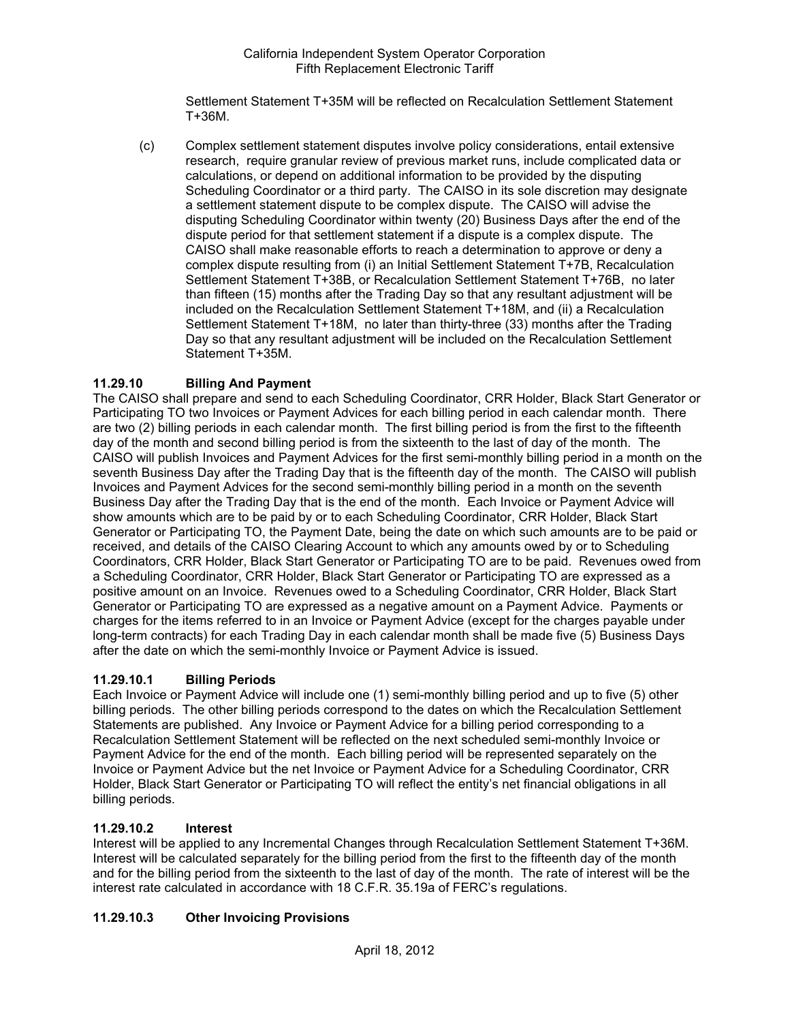Settlement Statement T+35M will be reflected on Recalculation Settlement Statement T+36M.

(c) Complex settlement statement disputes involve policy considerations, entail extensive research, require granular review of previous market runs, include complicated data or calculations, or depend on additional information to be provided by the disputing Scheduling Coordinator or a third party. The CAISO in its sole discretion may designate a settlement statement dispute to be complex dispute. The CAISO will advise the disputing Scheduling Coordinator within twenty (20) Business Days after the end of the dispute period for that settlement statement if a dispute is a complex dispute. The CAISO shall make reasonable efforts to reach a determination to approve or deny a complex dispute resulting from (i) an Initial Settlement Statement T+7B, Recalculation Settlement Statement T+38B, or Recalculation Settlement Statement T+76B, no later than fifteen (15) months after the Trading Day so that any resultant adjustment will be included on the Recalculation Settlement Statement T+18M, and (ii) a Recalculation Settlement Statement T+18M, no later than thirty-three (33) months after the Trading Day so that any resultant adjustment will be included on the Recalculation Settlement Statement T+35M.

## **11.29.10 Billing And Payment**

The CAISO shall prepare and send to each Scheduling Coordinator, CRR Holder, Black Start Generator or Participating TO two Invoices or Payment Advices for each billing period in each calendar month. There are two (2) billing periods in each calendar month. The first billing period is from the first to the fifteenth day of the month and second billing period is from the sixteenth to the last of day of the month. The CAISO will publish Invoices and Payment Advices for the first semi-monthly billing period in a month on the seventh Business Day after the Trading Day that is the fifteenth day of the month. The CAISO will publish Invoices and Payment Advices for the second semi-monthly billing period in a month on the seventh Business Day after the Trading Day that is the end of the month. Each Invoice or Payment Advice will show amounts which are to be paid by or to each Scheduling Coordinator, CRR Holder, Black Start Generator or Participating TO, the Payment Date, being the date on which such amounts are to be paid or received, and details of the CAISO Clearing Account to which any amounts owed by or to Scheduling Coordinators, CRR Holder, Black Start Generator or Participating TO are to be paid. Revenues owed from a Scheduling Coordinator, CRR Holder, Black Start Generator or Participating TO are expressed as a positive amount on an Invoice. Revenues owed to a Scheduling Coordinator, CRR Holder, Black Start Generator or Participating TO are expressed as a negative amount on a Payment Advice. Payments or charges for the items referred to in an Invoice or Payment Advice (except for the charges payable under long-term contracts) for each Trading Day in each calendar month shall be made five (5) Business Days after the date on which the semi-monthly Invoice or Payment Advice is issued.

### **11.29.10.1 Billing Periods**

Each Invoice or Payment Advice will include one (1) semi-monthly billing period and up to five (5) other billing periods. The other billing periods correspond to the dates on which the Recalculation Settlement Statements are published. Any Invoice or Payment Advice for a billing period corresponding to a Recalculation Settlement Statement will be reflected on the next scheduled semi-monthly Invoice or Payment Advice for the end of the month. Each billing period will be represented separately on the Invoice or Payment Advice but the net Invoice or Payment Advice for a Scheduling Coordinator, CRR Holder, Black Start Generator or Participating TO will reflect the entity's net financial obligations in all billing periods.

### **11.29.10.2 Interest**

Interest will be applied to any Incremental Changes through Recalculation Settlement Statement T+36M. Interest will be calculated separately for the billing period from the first to the fifteenth day of the month and for the billing period from the sixteenth to the last of day of the month. The rate of interest will be the interest rate calculated in accordance with 18 C.F.R. 35.19a of FERC's regulations.

### **11.29.10.3 Other Invoicing Provisions**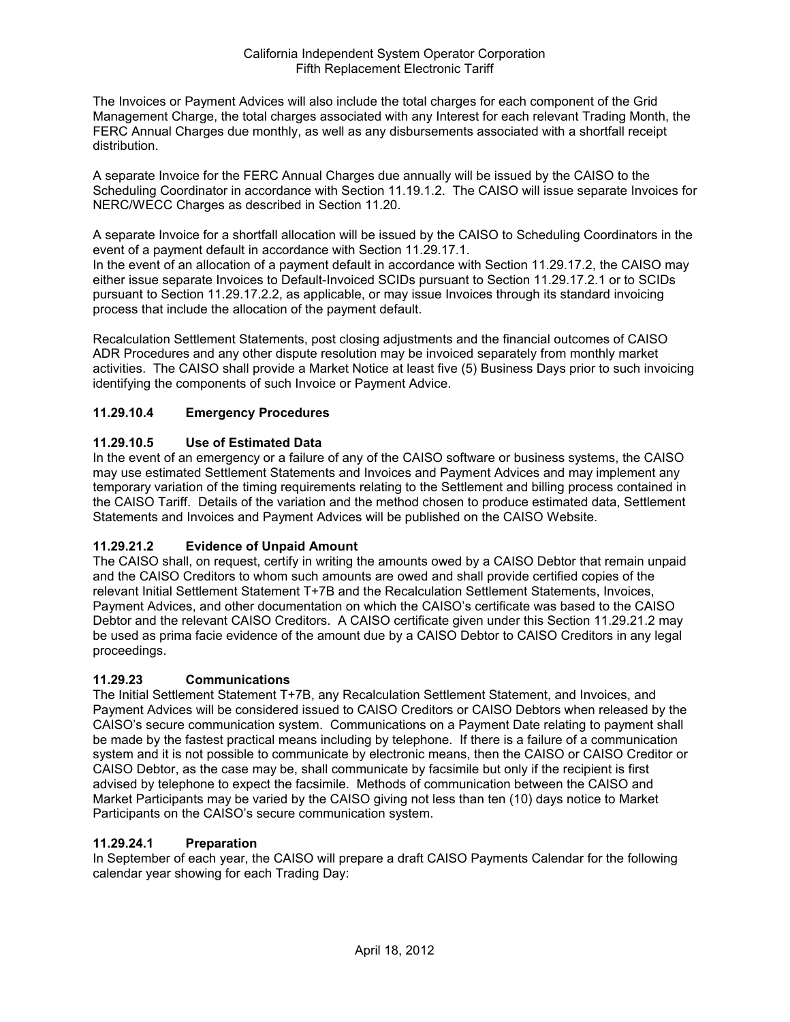The Invoices or Payment Advices will also include the total charges for each component of the Grid Management Charge, the total charges associated with any Interest for each relevant Trading Month, the FERC Annual Charges due monthly, as well as any disbursements associated with a shortfall receipt distribution.

A separate Invoice for the FERC Annual Charges due annually will be issued by the CAISO to the Scheduling Coordinator in accordance with Section 11.19.1.2. The CAISO will issue separate Invoices for NERC/WECC Charges as described in Section 11.20.

A separate Invoice for a shortfall allocation will be issued by the CAISO to Scheduling Coordinators in the event of a payment default in accordance with Section 11.29.17.1.

In the event of an allocation of a payment default in accordance with Section 11.29.17.2, the CAISO may either issue separate Invoices to Default-Invoiced SCIDs pursuant to Section 11.29.17.2.1 or to SCIDs pursuant to Section 11.29.17.2.2, as applicable, or may issue Invoices through its standard invoicing process that include the allocation of the payment default.

Recalculation Settlement Statements, post closing adjustments and the financial outcomes of CAISO ADR Procedures and any other dispute resolution may be invoiced separately from monthly market activities. The CAISO shall provide a Market Notice at least five (5) Business Days prior to such invoicing identifying the components of such Invoice or Payment Advice.

# **11.29.10.4 Emergency Procedures**

## **11.29.10.5 Use of Estimated Data**

In the event of an emergency or a failure of any of the CAISO software or business systems, the CAISO may use estimated Settlement Statements and Invoices and Payment Advices and may implement any temporary variation of the timing requirements relating to the Settlement and billing process contained in the CAISO Tariff. Details of the variation and the method chosen to produce estimated data, Settlement Statements and Invoices and Payment Advices will be published on the CAISO Website.

# **11.29.21.2 Evidence of Unpaid Amount**

The CAISO shall, on request, certify in writing the amounts owed by a CAISO Debtor that remain unpaid and the CAISO Creditors to whom such amounts are owed and shall provide certified copies of the relevant Initial Settlement Statement T+7B and the Recalculation Settlement Statements, Invoices, Payment Advices, and other documentation on which the CAISO's certificate was based to the CAISO Debtor and the relevant CAISO Creditors. A CAISO certificate given under this Section 11.29.21.2 may be used as prima facie evidence of the amount due by a CAISO Debtor to CAISO Creditors in any legal proceedings.

### **11.29.23 Communications**

The Initial Settlement Statement T+7B, any Recalculation Settlement Statement, and Invoices, and Payment Advices will be considered issued to CAISO Creditors or CAISO Debtors when released by the CAISO's secure communication system. Communications on a Payment Date relating to payment shall be made by the fastest practical means including by telephone. If there is a failure of a communication system and it is not possible to communicate by electronic means, then the CAISO or CAISO Creditor or CAISO Debtor, as the case may be, shall communicate by facsimile but only if the recipient is first advised by telephone to expect the facsimile. Methods of communication between the CAISO and Market Participants may be varied by the CAISO giving not less than ten (10) days notice to Market Participants on the CAISO's secure communication system.

### **11.29.24.1 Preparation**

In September of each year, the CAISO will prepare a draft CAISO Payments Calendar for the following calendar year showing for each Trading Day: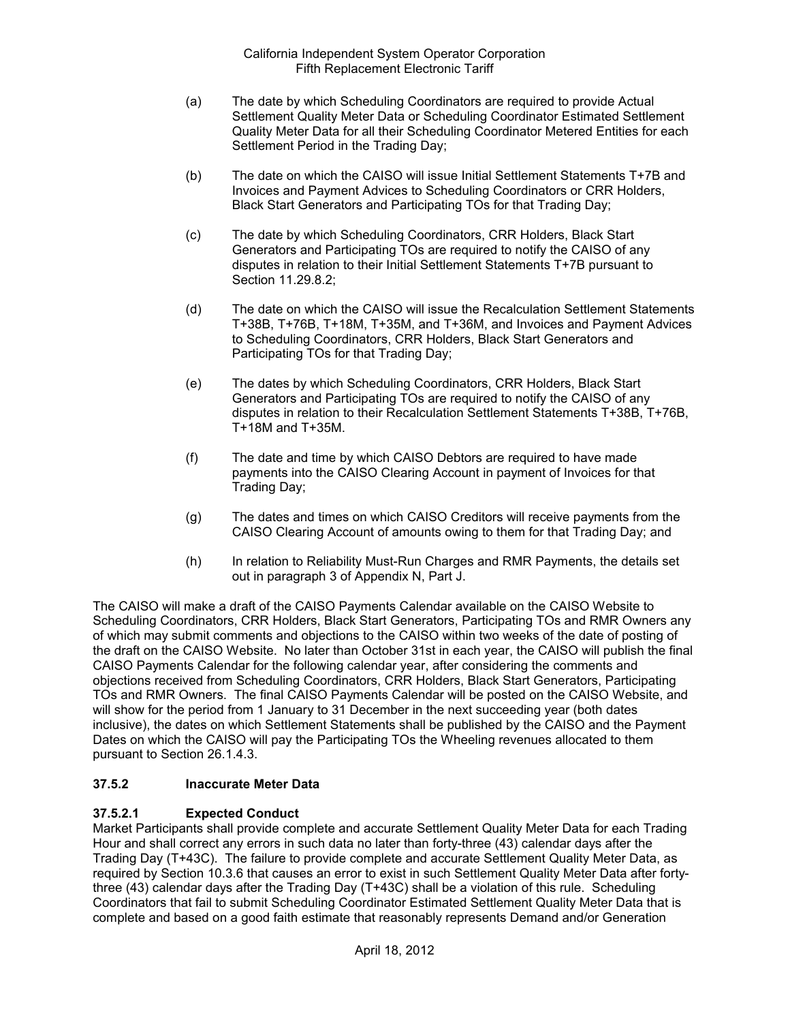- (a) The date by which Scheduling Coordinators are required to provide Actual Settlement Quality Meter Data or Scheduling Coordinator Estimated Settlement Quality Meter Data for all their Scheduling Coordinator Metered Entities for each Settlement Period in the Trading Day;
- (b) The date on which the CAISO will issue Initial Settlement Statements T+7B and Invoices and Payment Advices to Scheduling Coordinators or CRR Holders, Black Start Generators and Participating TOs for that Trading Day;
- (c) The date by which Scheduling Coordinators, CRR Holders, Black Start Generators and Participating TOs are required to notify the CAISO of any disputes in relation to their Initial Settlement Statements T+7B pursuant to Section 11.29.8.2;
- (d) The date on which the CAISO will issue the Recalculation Settlement Statements T+38B, T+76B, T+18M, T+35M, and T+36M, and Invoices and Payment Advices to Scheduling Coordinators, CRR Holders, Black Start Generators and Participating TOs for that Trading Day;
- (e) The dates by which Scheduling Coordinators, CRR Holders, Black Start Generators and Participating TOs are required to notify the CAISO of any disputes in relation to their Recalculation Settlement Statements T+38B, T+76B, T+18M and T+35M.
- (f) The date and time by which CAISO Debtors are required to have made payments into the CAISO Clearing Account in payment of Invoices for that Trading Day;
- (g) The dates and times on which CAISO Creditors will receive payments from the CAISO Clearing Account of amounts owing to them for that Trading Day; and
- (h) In relation to Reliability Must-Run Charges and RMR Payments, the details set out in paragraph 3 of Appendix N, Part J.

The CAISO will make a draft of the CAISO Payments Calendar available on the CAISO Website to Scheduling Coordinators, CRR Holders, Black Start Generators, Participating TOs and RMR Owners any of which may submit comments and objections to the CAISO within two weeks of the date of posting of the draft on the CAISO Website. No later than October 31st in each year, the CAISO will publish the final CAISO Payments Calendar for the following calendar year, after considering the comments and objections received from Scheduling Coordinators, CRR Holders, Black Start Generators, Participating TOs and RMR Owners. The final CAISO Payments Calendar will be posted on the CAISO Website, and will show for the period from 1 January to 31 December in the next succeeding year (both dates inclusive), the dates on which Settlement Statements shall be published by the CAISO and the Payment Dates on which the CAISO will pay the Participating TOs the Wheeling revenues allocated to them pursuant to Section 26.1.4.3.

# **37.5.2 Inaccurate Meter Data**

# **37.5.2.1 Expected Conduct**

Market Participants shall provide complete and accurate Settlement Quality Meter Data for each Trading Hour and shall correct any errors in such data no later than forty-three (43) calendar days after the Trading Day (T+43C). The failure to provide complete and accurate Settlement Quality Meter Data, as required by Section 10.3.6 that causes an error to exist in such Settlement Quality Meter Data after fortythree (43) calendar days after the Trading Day (T+43C) shall be a violation of this rule. Scheduling Coordinators that fail to submit Scheduling Coordinator Estimated Settlement Quality Meter Data that is complete and based on a good faith estimate that reasonably represents Demand and/or Generation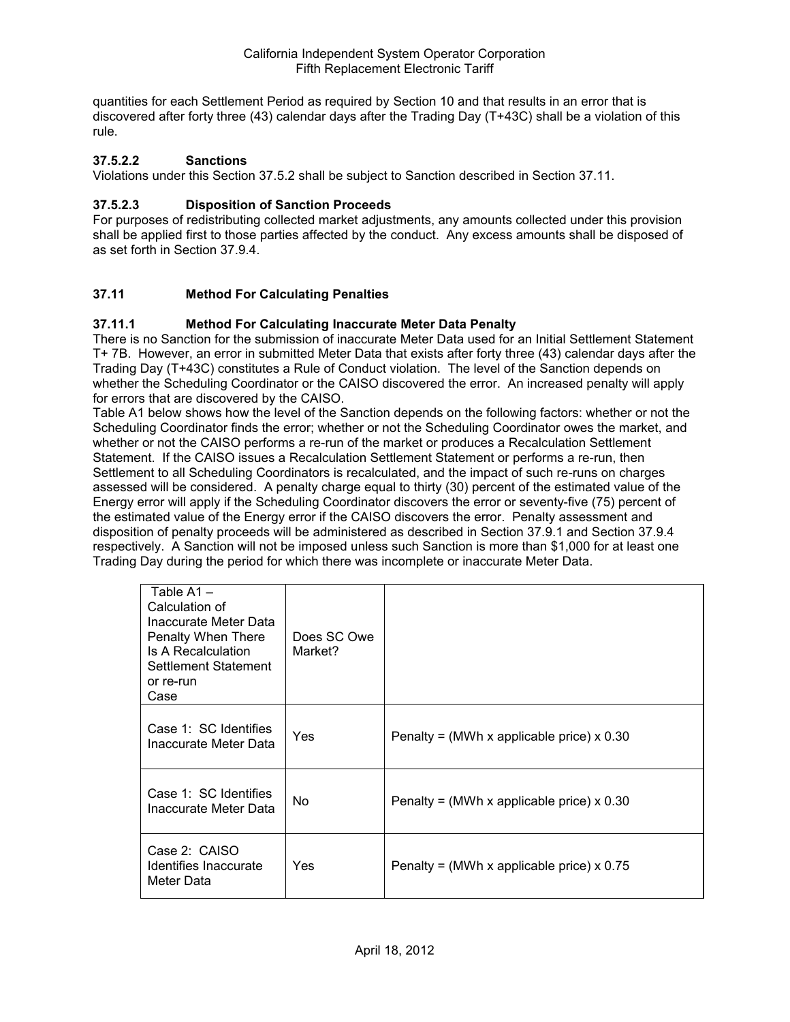quantities for each Settlement Period as required by Section 10 and that results in an error that is discovered after forty three (43) calendar days after the Trading Day (T+43C) shall be a violation of this rule.

## **37.5.2.2 Sanctions**

Violations under this Section 37.5.2 shall be subject to Sanction described in Section 37.11.

## **37.5.2.3 Disposition of Sanction Proceeds**

For purposes of redistributing collected market adjustments, any amounts collected under this provision shall be applied first to those parties affected by the conduct. Any excess amounts shall be disposed of as set forth in Section 37.9.4.

## **37.11 Method For Calculating Penalties**

### **37.11.1 Method For Calculating Inaccurate Meter Data Penalty**

There is no Sanction for the submission of inaccurate Meter Data used for an Initial Settlement Statement T+ 7B. However, an error in submitted Meter Data that exists after forty three (43) calendar days after the Trading Day (T+43C) constitutes a Rule of Conduct violation. The level of the Sanction depends on whether the Scheduling Coordinator or the CAISO discovered the error. An increased penalty will apply for errors that are discovered by the CAISO.

Table A1 below shows how the level of the Sanction depends on the following factors: whether or not the Scheduling Coordinator finds the error; whether or not the Scheduling Coordinator owes the market, and whether or not the CAISO performs a re-run of the market or produces a Recalculation Settlement Statement. If the CAISO issues a Recalculation Settlement Statement or performs a re-run, then Settlement to all Scheduling Coordinators is recalculated, and the impact of such re-runs on charges assessed will be considered. A penalty charge equal to thirty (30) percent of the estimated value of the Energy error will apply if the Scheduling Coordinator discovers the error or seventy-five (75) percent of the estimated value of the Energy error if the CAISO discovers the error. Penalty assessment and disposition of penalty proceeds will be administered as described in Section 37.9.1 and Section 37.9.4 respectively. A Sanction will not be imposed unless such Sanction is more than \$1,000 for at least one Trading Day during the period for which there was incomplete or inaccurate Meter Data.

|  | Table A1-<br>Calculation of<br>Inaccurate Meter Data<br>Penalty When There<br>Is A Recalculation<br>Settlement Statement<br>or re-run<br>Case | Does SC Owe<br>Market? |                                                  |
|--|-----------------------------------------------------------------------------------------------------------------------------------------------|------------------------|--------------------------------------------------|
|  | Case 1: SC Identifies<br>Inaccurate Meter Data                                                                                                | Yes                    | Penalty = (MWh x applicable price) $\times$ 0.30 |
|  | Case 1: SC Identifies<br>Inaccurate Meter Data                                                                                                | No.                    | Penalty = (MWh x applicable price) $\times$ 0.30 |
|  | Case 2: CAISO<br>Identifies Inaccurate<br>Meter Data                                                                                          | Yes                    | Penalty = (MWh x applicable price) $x$ 0.75      |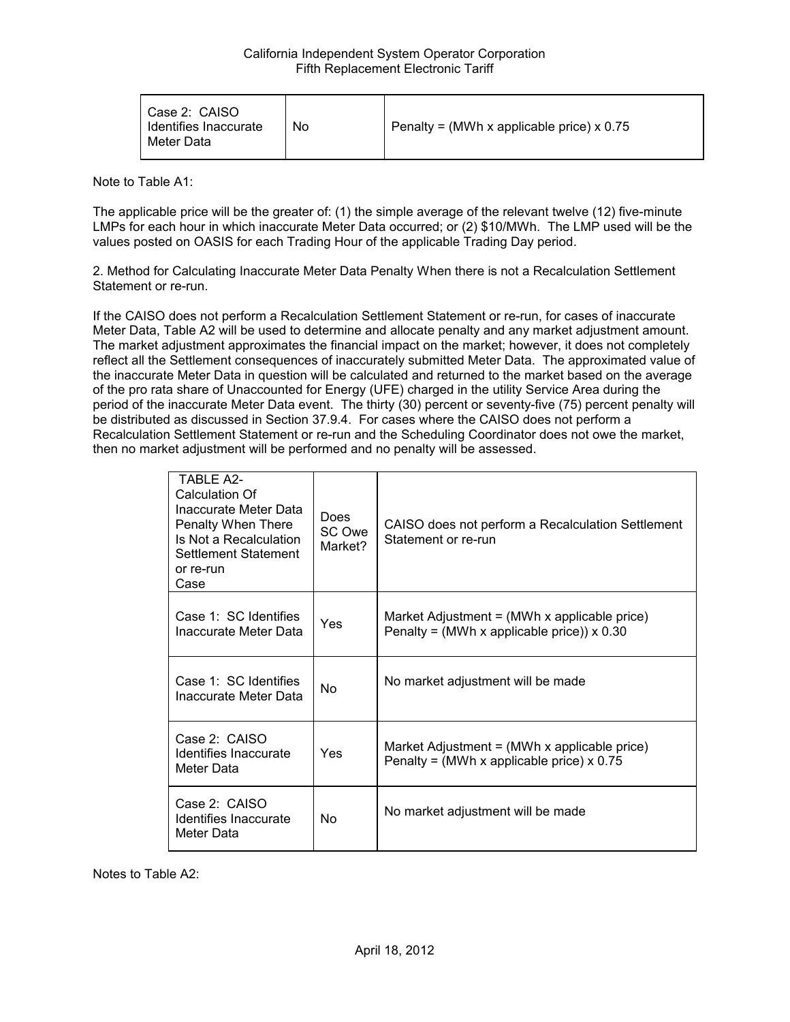| Case 2: CAISO<br>Identifies Inaccurate<br>Meter Data | No | Penalty = (MWh x applicable price) x 0.75 |
|------------------------------------------------------|----|-------------------------------------------|
|------------------------------------------------------|----|-------------------------------------------|

Note to Table A1:

The applicable price will be the greater of: (1) the simple average of the relevant twelve (12) five-minute LMPs for each hour in which inaccurate Meter Data occurred; or (2) \$10/MWh. The LMP used will be the values posted on OASIS for each Trading Hour of the applicable Trading Day period.

2. Method for Calculating Inaccurate Meter Data Penalty When there is not a Recalculation Settlement Statement or re-run.

If the CAISO does not perform a Recalculation Settlement Statement or re-run, for cases of inaccurate Meter Data, Table A2 will be used to determine and allocate penalty and any market adjustment amount. The market adjustment approximates the financial impact on the market; however, it does not completely reflect all the Settlement consequences of inaccurately submitted Meter Data. The approximated value of the inaccurate Meter Data in question will be calculated and returned to the market based on the average of the pro rata share of Unaccounted for Energy (UFE) charged in the utility Service Area during the period of the inaccurate Meter Data event. The thirty (30) percent or seventy-five (75) percent penalty will be distributed as discussed in Section 37.9.4. For cases where the CAISO does not perform a Recalculation Settlement Statement or re-run and the Scheduling Coordinator does not owe the market, then no market adjustment will be performed and no penalty will be assessed.

| TARI F A <sub>2</sub><br>Calculation Of<br>Inaccurate Meter Data<br>Penalty When There<br>Is Not a Recalculation<br><b>Settlement Statement</b><br>or re-run<br>Case | <b>Does</b><br>SC Owe<br>Market? | CAISO does not perform a Recalculation Settlement<br>Statement or re-run                                        |
|----------------------------------------------------------------------------------------------------------------------------------------------------------------------|----------------------------------|-----------------------------------------------------------------------------------------------------------------|
| Case 1: SC Identifies<br>Inaccurate Meter Data                                                                                                                       | Yes                              | Market Adjustment = $(MWh \times \text{applicable price})$<br>Penalty = (MWh x applicable price)) $\times$ 0.30 |
| Case 1: SC Identifies<br>Inaccurate Meter Data                                                                                                                       | No.                              | No market adjustment will be made                                                                               |
| Case 2: CAISO<br>Identifies Inaccurate<br>Meter Data                                                                                                                 | Yes                              | Market Adjustment = $(MWh \times applicable\ price)$<br>Penalty = (MWh x applicable price) $x$ 0.75             |
| Case 2: CAISO<br>Identifies Inaccurate<br>Meter Data                                                                                                                 | N <sub>o</sub>                   | No market adjustment will be made                                                                               |

Notes to Table A2: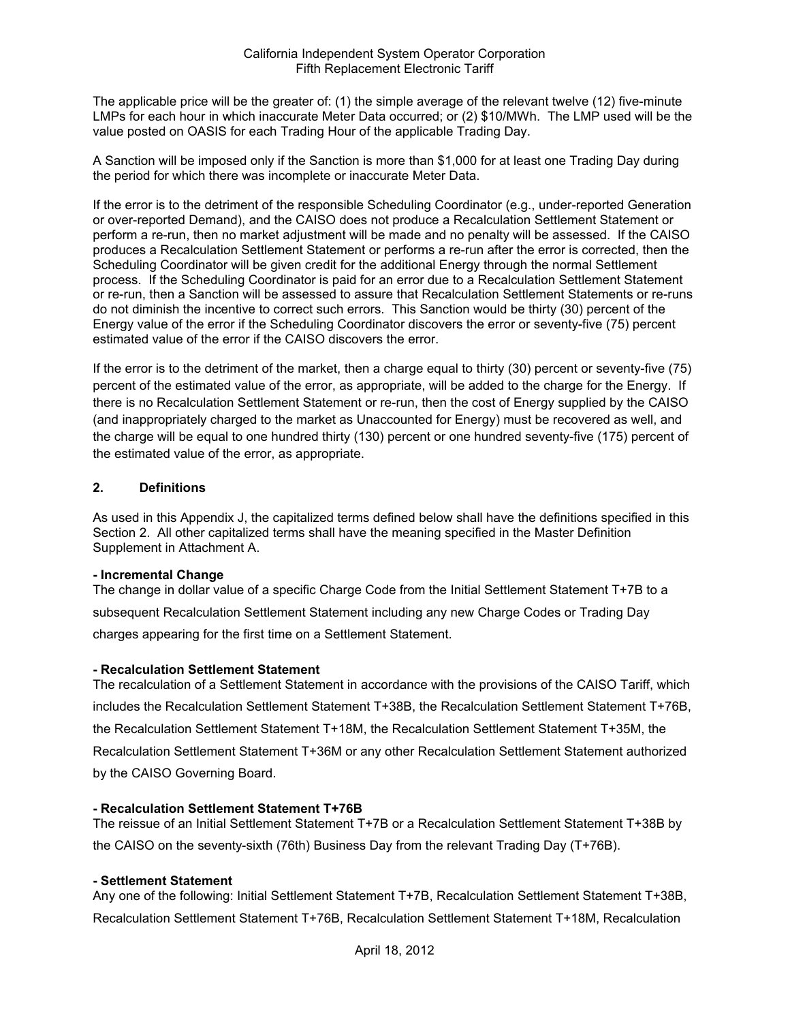The applicable price will be the greater of: (1) the simple average of the relevant twelve (12) five-minute LMPs for each hour in which inaccurate Meter Data occurred; or (2) \$10/MWh. The LMP used will be the value posted on OASIS for each Trading Hour of the applicable Trading Day.

A Sanction will be imposed only if the Sanction is more than \$1,000 for at least one Trading Day during the period for which there was incomplete or inaccurate Meter Data.

If the error is to the detriment of the responsible Scheduling Coordinator (e.g., under-reported Generation or over-reported Demand), and the CAISO does not produce a Recalculation Settlement Statement or perform a re-run, then no market adjustment will be made and no penalty will be assessed. If the CAISO produces a Recalculation Settlement Statement or performs a re-run after the error is corrected, then the Scheduling Coordinator will be given credit for the additional Energy through the normal Settlement process. If the Scheduling Coordinator is paid for an error due to a Recalculation Settlement Statement or re-run, then a Sanction will be assessed to assure that Recalculation Settlement Statements or re-runs do not diminish the incentive to correct such errors. This Sanction would be thirty (30) percent of the Energy value of the error if the Scheduling Coordinator discovers the error or seventy-five (75) percent estimated value of the error if the CAISO discovers the error.

If the error is to the detriment of the market, then a charge equal to thirty (30) percent or seventy-five (75) percent of the estimated value of the error, as appropriate, will be added to the charge for the Energy. If there is no Recalculation Settlement Statement or re-run, then the cost of Energy supplied by the CAISO (and inappropriately charged to the market as Unaccounted for Energy) must be recovered as well, and the charge will be equal to one hundred thirty (130) percent or one hundred seventy-five (175) percent of the estimated value of the error, as appropriate.

### **2. Definitions**

As used in this Appendix J, the capitalized terms defined below shall have the definitions specified in this Section 2. All other capitalized terms shall have the meaning specified in the Master Definition Supplement in Attachment A.

#### **- Incremental Change**

The change in dollar value of a specific Charge Code from the Initial Settlement Statement T+7B to a subsequent Recalculation Settlement Statement including any new Charge Codes or Trading Day charges appearing for the first time on a Settlement Statement.

### **- Recalculation Settlement Statement**

The recalculation of a Settlement Statement in accordance with the provisions of the CAISO Tariff, which includes the Recalculation Settlement Statement T+38B, the Recalculation Settlement Statement T+76B, the Recalculation Settlement Statement T+18M, the Recalculation Settlement Statement T+35M, the Recalculation Settlement Statement T+36M or any other Recalculation Settlement Statement authorized by the CAISO Governing Board.

### **- Recalculation Settlement Statement T+76B**

The reissue of an Initial Settlement Statement T+7B or a Recalculation Settlement Statement T+38B by the CAISO on the seventy-sixth (76th) Business Day from the relevant Trading Day (T+76B).

### **- Settlement Statement**

Any one of the following: Initial Settlement Statement T+7B, Recalculation Settlement Statement T+38B, Recalculation Settlement Statement T+76B, Recalculation Settlement Statement T+18M, Recalculation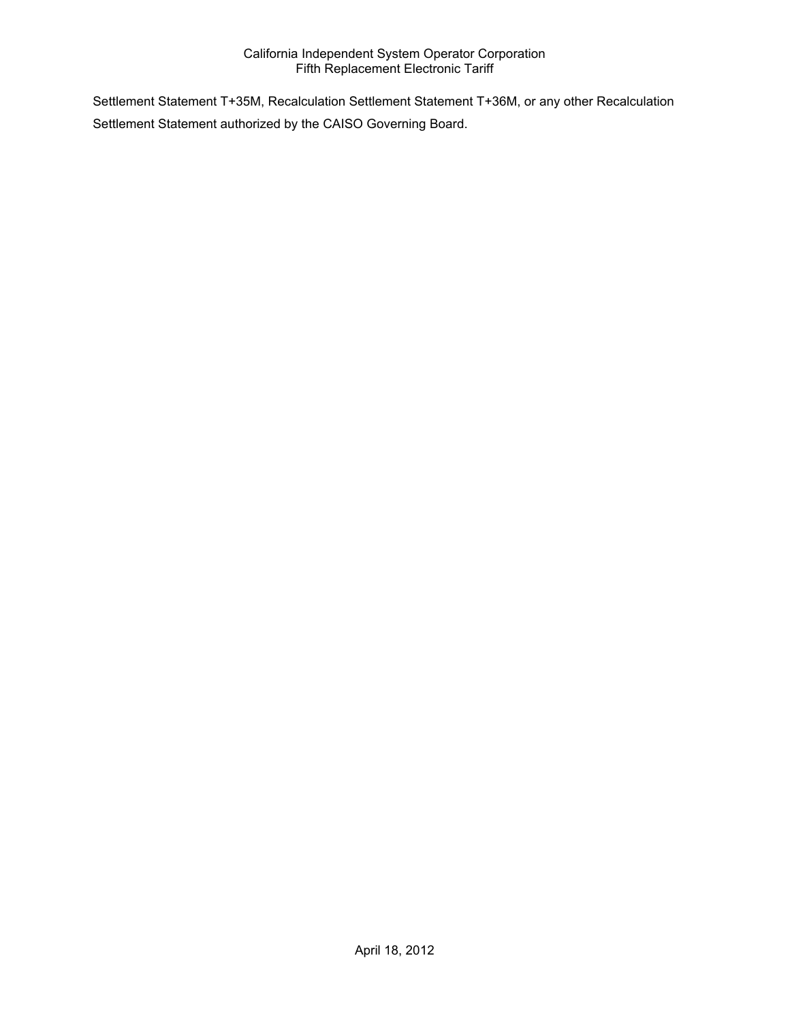Settlement Statement T+35M, Recalculation Settlement Statement T+36M, or any other Recalculation Settlement Statement authorized by the CAISO Governing Board.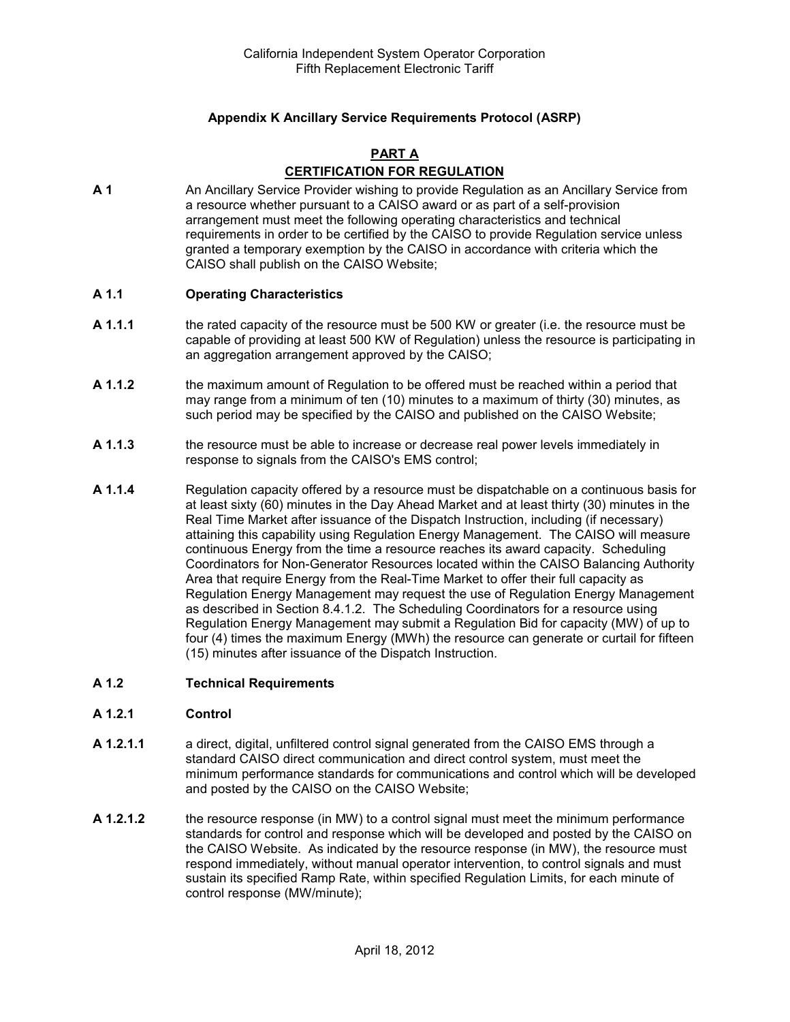## **Appendix K Ancillary Service Requirements Protocol (ASRP)**

#### **PART A**

# **CERTIFICATION FOR REGULATION**

**A 1** An Ancillary Service Provider wishing to provide Regulation as an Ancillary Service from a resource whether pursuant to a CAISO award or as part of a self-provision arrangement must meet the following operating characteristics and technical requirements in order to be certified by the CAISO to provide Regulation service unless granted a temporary exemption by the CAISO in accordance with criteria which the CAISO shall publish on the CAISO Website;

#### **A 1.1 Operating Characteristics**

- **A 1.1.1** the rated capacity of the resource must be 500 KW or greater (i.e. the resource must be capable of providing at least 500 KW of Regulation) unless the resource is participating in an aggregation arrangement approved by the CAISO;
- **A 1.1.2** the maximum amount of Regulation to be offered must be reached within a period that may range from a minimum of ten (10) minutes to a maximum of thirty (30) minutes, as such period may be specified by the CAISO and published on the CAISO Website;
- **A 1.1.3** the resource must be able to increase or decrease real power levels immediately in response to signals from the CAISO's EMS control;
- **A 1.1.4** Regulation capacity offered by a resource must be dispatchable on a continuous basis for at least sixty (60) minutes in the Day Ahead Market and at least thirty (30) minutes in the Real Time Market after issuance of the Dispatch Instruction, including (if necessary) attaining this capability using Regulation Energy Management. The CAISO will measure continuous Energy from the time a resource reaches its award capacity. Scheduling Coordinators for Non-Generator Resources located within the CAISO Balancing Authority Area that require Energy from the Real-Time Market to offer their full capacity as Regulation Energy Management may request the use of Regulation Energy Management as described in Section 8.4.1.2. The Scheduling Coordinators for a resource using Regulation Energy Management may submit a Regulation Bid for capacity (MW) of up to four (4) times the maximum Energy (MWh) the resource can generate or curtail for fifteen (15) minutes after issuance of the Dispatch Instruction.

#### **A 1.2 Technical Requirements**

#### **A 1.2.1 Control**

- **A 1.2.1.1** a direct, digital, unfiltered control signal generated from the CAISO EMS through a standard CAISO direct communication and direct control system, must meet the minimum performance standards for communications and control which will be developed and posted by the CAISO on the CAISO Website;
- **A 1.2.1.2** the resource response (in MW) to a control signal must meet the minimum performance standards for control and response which will be developed and posted by the CAISO on the CAISO Website. As indicated by the resource response (in MW), the resource must respond immediately, without manual operator intervention, to control signals and must sustain its specified Ramp Rate, within specified Regulation Limits, for each minute of control response (MW/minute);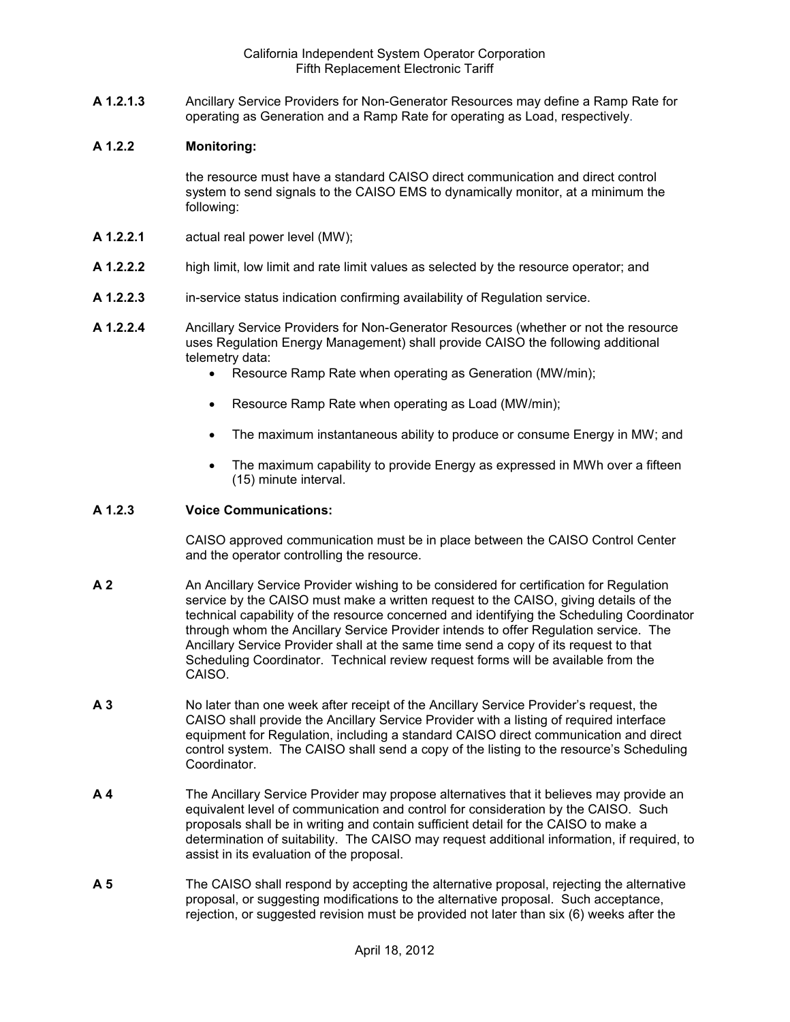**A 1.2.1.3** Ancillary Service Providers for Non-Generator Resources may define a Ramp Rate for operating as Generation and a Ramp Rate for operating as Load, respectively.

#### **A 1.2.2 Monitoring:**

the resource must have a standard CAISO direct communication and direct control system to send signals to the CAISO EMS to dynamically monitor, at a minimum the following:

- **A 1.2.2.1** actual real power level (MW);
- **A 1.2.2.2** high limit, low limit and rate limit values as selected by the resource operator; and
- **A 1.2.2.3** in-service status indication confirming availability of Regulation service.
- **A 1.2.2.4** Ancillary Service Providers for Non-Generator Resources (whether or not the resource uses Regulation Energy Management) shall provide CAISO the following additional telemetry data:
	- Resource Ramp Rate when operating as Generation (MW/min);
	- Resource Ramp Rate when operating as Load (MW/min);
	- The maximum instantaneous ability to produce or consume Energy in MW; and
	- The maximum capability to provide Energy as expressed in MWh over a fifteen (15) minute interval.

#### **A 1.2.3 Voice Communications:**

CAISO approved communication must be in place between the CAISO Control Center and the operator controlling the resource.

- **A 2** An Ancillary Service Provider wishing to be considered for certification for Regulation service by the CAISO must make a written request to the CAISO, giving details of the technical capability of the resource concerned and identifying the Scheduling Coordinator through whom the Ancillary Service Provider intends to offer Regulation service. The Ancillary Service Provider shall at the same time send a copy of its request to that Scheduling Coordinator. Technical review request forms will be available from the CAISO.
- **A 3** No later than one week after receipt of the Ancillary Service Provider's request, the CAISO shall provide the Ancillary Service Provider with a listing of required interface equipment for Regulation, including a standard CAISO direct communication and direct control system. The CAISO shall send a copy of the listing to the resource's Scheduling **Coordinator**
- **A 4** The Ancillary Service Provider may propose alternatives that it believes may provide an equivalent level of communication and control for consideration by the CAISO. Such proposals shall be in writing and contain sufficient detail for the CAISO to make a determination of suitability. The CAISO may request additional information, if required, to assist in its evaluation of the proposal.
- **A 5** The CAISO shall respond by accepting the alternative proposal, rejecting the alternative proposal, or suggesting modifications to the alternative proposal. Such acceptance, rejection, or suggested revision must be provided not later than six (6) weeks after the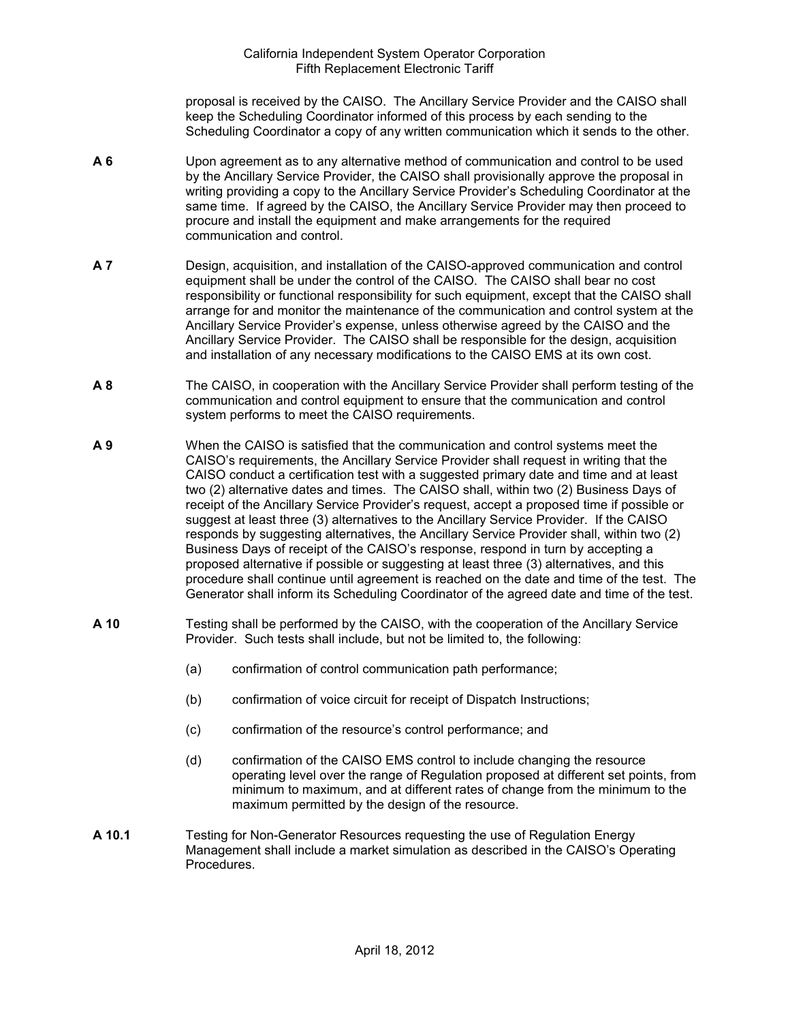proposal is received by the CAISO. The Ancillary Service Provider and the CAISO shall keep the Scheduling Coordinator informed of this process by each sending to the Scheduling Coordinator a copy of any written communication which it sends to the other.

- **A 6** Upon agreement as to any alternative method of communication and control to be used by the Ancillary Service Provider, the CAISO shall provisionally approve the proposal in writing providing a copy to the Ancillary Service Provider's Scheduling Coordinator at the same time. If agreed by the CAISO, the Ancillary Service Provider may then proceed to procure and install the equipment and make arrangements for the required communication and control.
- **A 7** Design, acquisition, and installation of the CAISO-approved communication and control equipment shall be under the control of the CAISO. The CAISO shall bear no cost responsibility or functional responsibility for such equipment, except that the CAISO shall arrange for and monitor the maintenance of the communication and control system at the Ancillary Service Provider's expense, unless otherwise agreed by the CAISO and the Ancillary Service Provider. The CAISO shall be responsible for the design, acquisition and installation of any necessary modifications to the CAISO EMS at its own cost.
- **A 8** The CAISO, in cooperation with the Ancillary Service Provider shall perform testing of the communication and control equipment to ensure that the communication and control system performs to meet the CAISO requirements.
- **A 9** When the CAISO is satisfied that the communication and control systems meet the CAISO's requirements, the Ancillary Service Provider shall request in writing that the CAISO conduct a certification test with a suggested primary date and time and at least two (2) alternative dates and times. The CAISO shall, within two (2) Business Days of receipt of the Ancillary Service Provider's request, accept a proposed time if possible or suggest at least three (3) alternatives to the Ancillary Service Provider. If the CAISO responds by suggesting alternatives, the Ancillary Service Provider shall, within two (2) Business Days of receipt of the CAISO's response, respond in turn by accepting a proposed alternative if possible or suggesting at least three (3) alternatives, and this procedure shall continue until agreement is reached on the date and time of the test. The Generator shall inform its Scheduling Coordinator of the agreed date and time of the test.
- **A 10** Testing shall be performed by the CAISO, with the cooperation of the Ancillary Service Provider. Such tests shall include, but not be limited to, the following:
	- (a) confirmation of control communication path performance;
	- (b) confirmation of voice circuit for receipt of Dispatch Instructions;
	- (c) confirmation of the resource's control performance; and
	- (d) confirmation of the CAISO EMS control to include changing the resource operating level over the range of Regulation proposed at different set points, from minimum to maximum, and at different rates of change from the minimum to the maximum permitted by the design of the resource.
- **A 10.1** Testing for Non-Generator Resources requesting the use of Regulation Energy Management shall include a market simulation as described in the CAISO's Operating Procedures.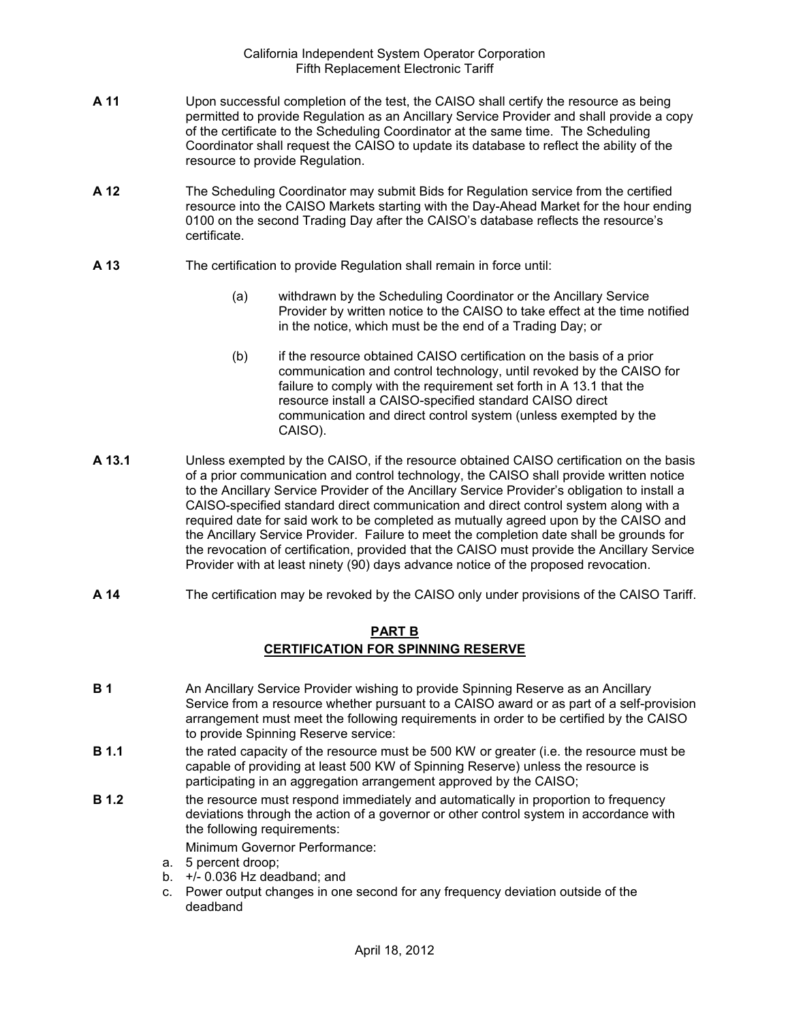- **A 11** Upon successful completion of the test, the CAISO shall certify the resource as being permitted to provide Regulation as an Ancillary Service Provider and shall provide a copy of the certificate to the Scheduling Coordinator at the same time. The Scheduling Coordinator shall request the CAISO to update its database to reflect the ability of the resource to provide Regulation.
- **A 12** The Scheduling Coordinator may submit Bids for Regulation service from the certified resource into the CAISO Markets starting with the Day-Ahead Market for the hour ending 0100 on the second Trading Day after the CAISO's database reflects the resource's certificate.
- **A 13** The certification to provide Regulation shall remain in force until:
	- (a) withdrawn by the Scheduling Coordinator or the Ancillary Service Provider by written notice to the CAISO to take effect at the time notified in the notice, which must be the end of a Trading Day; or
	- (b) if the resource obtained CAISO certification on the basis of a prior communication and control technology, until revoked by the CAISO for failure to comply with the requirement set forth in A 13.1 that the resource install a CAISO-specified standard CAISO direct communication and direct control system (unless exempted by the CAISO).
- **A 13.1** Unless exempted by the CAISO, if the resource obtained CAISO certification on the basis of a prior communication and control technology, the CAISO shall provide written notice to the Ancillary Service Provider of the Ancillary Service Provider's obligation to install a CAISO-specified standard direct communication and direct control system along with a required date for said work to be completed as mutually agreed upon by the CAISO and the Ancillary Service Provider. Failure to meet the completion date shall be grounds for the revocation of certification, provided that the CAISO must provide the Ancillary Service Provider with at least ninety (90) days advance notice of the proposed revocation.
- **A 14** The certification may be revoked by the CAISO only under provisions of the CAISO Tariff.

## **PART B CERTIFICATION FOR SPINNING RESERVE**

- **B 1** An Ancillary Service Provider wishing to provide Spinning Reserve as an Ancillary Service from a resource whether pursuant to a CAISO award or as part of a self-provision arrangement must meet the following requirements in order to be certified by the CAISO to provide Spinning Reserve service:
- **B 1.1** the rated capacity of the resource must be 500 KW or greater (i.e. the resource must be capable of providing at least 500 KW of Spinning Reserve) unless the resource is participating in an aggregation arrangement approved by the CAISO;
- **B 1.2** the resource must respond immediately and automatically in proportion to frequency deviations through the action of a governor or other control system in accordance with the following requirements:

Minimum Governor Performance:

- a. 5 percent droop;
- b. +/- 0.036 Hz deadband; and
- c. Power output changes in one second for any frequency deviation outside of the deadband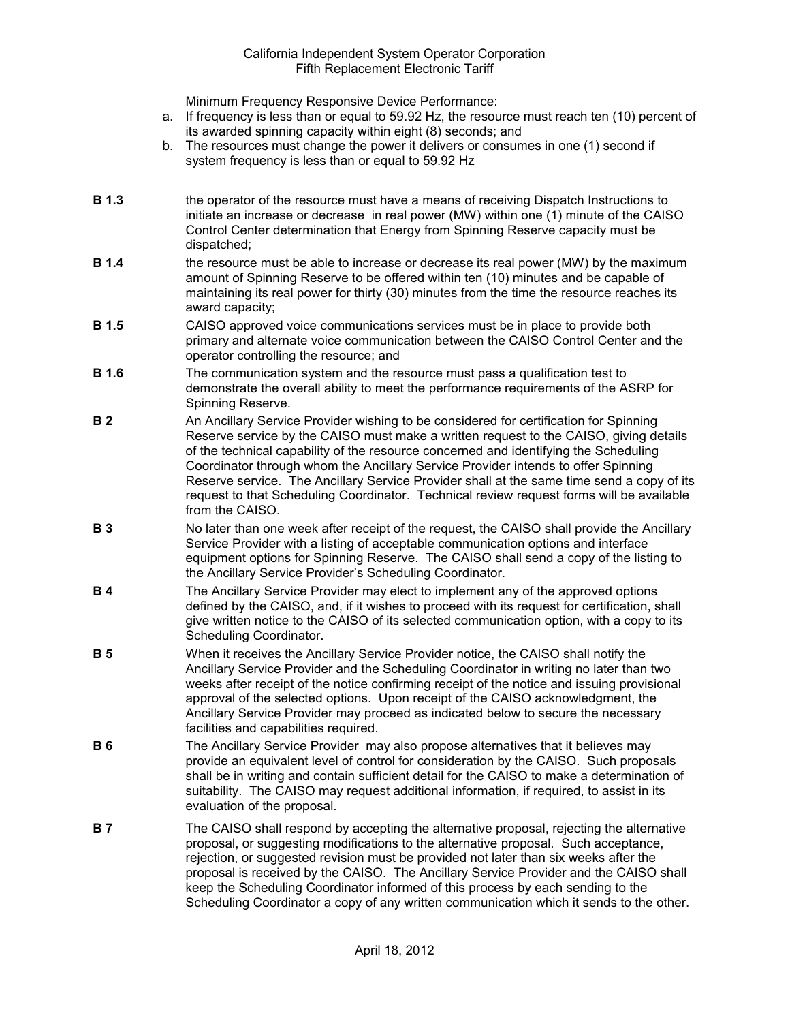Minimum Frequency Responsive Device Performance:

- a. If frequency is less than or equal to 59.92 Hz, the resource must reach ten (10) percent of its awarded spinning capacity within eight (8) seconds; and
- b. The resources must change the power it delivers or consumes in one (1) second if system frequency is less than or equal to 59.92 Hz
- **B 1.3** the operator of the resource must have a means of receiving Dispatch Instructions to initiate an increase or decrease in real power (MW) within one (1) minute of the CAISO Control Center determination that Energy from Spinning Reserve capacity must be dispatched;
- **B 1.4** the resource must be able to increase or decrease its real power (MW) by the maximum amount of Spinning Reserve to be offered within ten (10) minutes and be capable of maintaining its real power for thirty (30) minutes from the time the resource reaches its award capacity;
- **B 1.5** CAISO approved voice communications services must be in place to provide both primary and alternate voice communication between the CAISO Control Center and the operator controlling the resource; and
- **B 1.6** The communication system and the resource must pass a qualification test to demonstrate the overall ability to meet the performance requirements of the ASRP for Spinning Reserve.
- **B 2** An Ancillary Service Provider wishing to be considered for certification for Spinning Reserve service by the CAISO must make a written request to the CAISO, giving details of the technical capability of the resource concerned and identifying the Scheduling Coordinator through whom the Ancillary Service Provider intends to offer Spinning Reserve service. The Ancillary Service Provider shall at the same time send a copy of its request to that Scheduling Coordinator. Technical review request forms will be available from the CAISO.
- **B 3** No later than one week after receipt of the request, the CAISO shall provide the Ancillary Service Provider with a listing of acceptable communication options and interface equipment options for Spinning Reserve. The CAISO shall send a copy of the listing to the Ancillary Service Provider's Scheduling Coordinator.
- **B 4** The Ancillary Service Provider may elect to implement any of the approved options defined by the CAISO, and, if it wishes to proceed with its request for certification, shall give written notice to the CAISO of its selected communication option, with a copy to its Scheduling Coordinator.
- **B 5** When it receives the Ancillary Service Provider notice, the CAISO shall notify the Ancillary Service Provider and the Scheduling Coordinator in writing no later than two weeks after receipt of the notice confirming receipt of the notice and issuing provisional approval of the selected options. Upon receipt of the CAISO acknowledgment, the Ancillary Service Provider may proceed as indicated below to secure the necessary facilities and capabilities required.
- **B 6** The Ancillary Service Provider may also propose alternatives that it believes may provide an equivalent level of control for consideration by the CAISO. Such proposals shall be in writing and contain sufficient detail for the CAISO to make a determination of suitability. The CAISO may request additional information, if required, to assist in its evaluation of the proposal.
- **B 7** The CAISO shall respond by accepting the alternative proposal, rejecting the alternative proposal, or suggesting modifications to the alternative proposal. Such acceptance, rejection, or suggested revision must be provided not later than six weeks after the proposal is received by the CAISO. The Ancillary Service Provider and the CAISO shall keep the Scheduling Coordinator informed of this process by each sending to the Scheduling Coordinator a copy of any written communication which it sends to the other.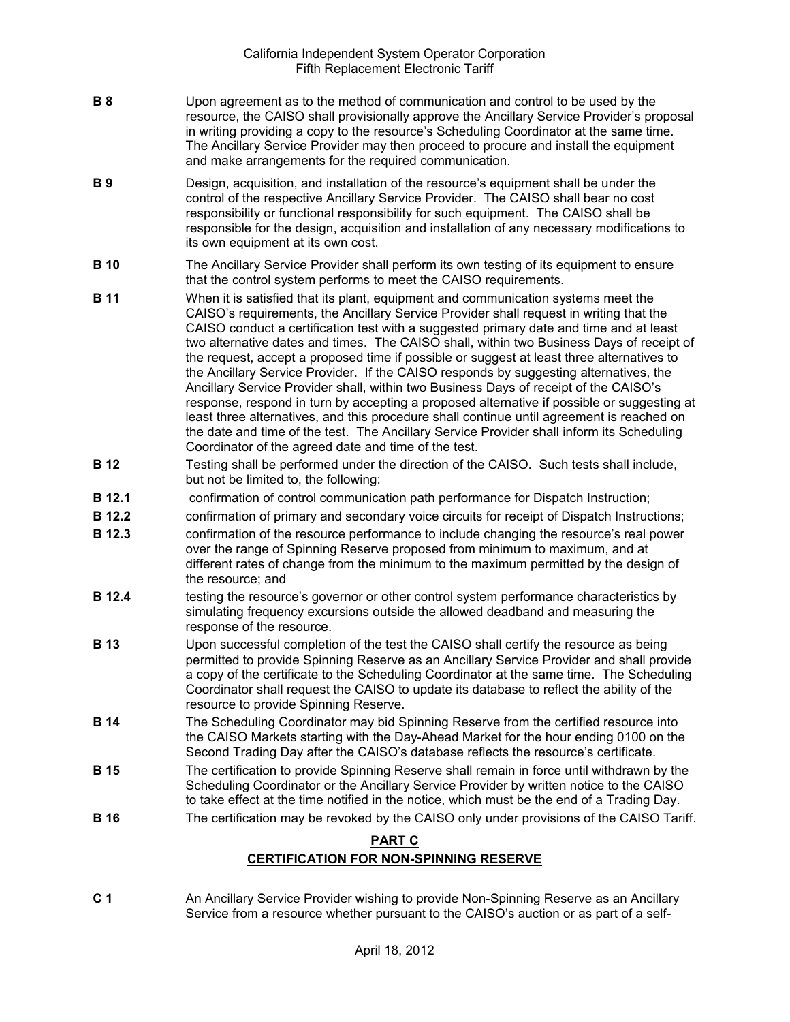- **B 8** Upon agreement as to the method of communication and control to be used by the resource, the CAISO shall provisionally approve the Ancillary Service Provider's proposal in writing providing a copy to the resource's Scheduling Coordinator at the same time. The Ancillary Service Provider may then proceed to procure and install the equipment and make arrangements for the required communication.
- **B 9** Design, acquisition, and installation of the resource's equipment shall be under the control of the respective Ancillary Service Provider. The CAISO shall bear no cost responsibility or functional responsibility for such equipment. The CAISO shall be responsible for the design, acquisition and installation of any necessary modifications to its own equipment at its own cost.
- **B 10** The Ancillary Service Provider shall perform its own testing of its equipment to ensure that the control system performs to meet the CAISO requirements.
- **B 11** When it is satisfied that its plant, equipment and communication systems meet the CAISO's requirements, the Ancillary Service Provider shall request in writing that the CAISO conduct a certification test with a suggested primary date and time and at least two alternative dates and times. The CAISO shall, within two Business Days of receipt of the request, accept a proposed time if possible or suggest at least three alternatives to the Ancillary Service Provider. If the CAISO responds by suggesting alternatives, the Ancillary Service Provider shall, within two Business Days of receipt of the CAISO's response, respond in turn by accepting a proposed alternative if possible or suggesting at least three alternatives, and this procedure shall continue until agreement is reached on the date and time of the test. The Ancillary Service Provider shall inform its Scheduling Coordinator of the agreed date and time of the test.
- **B 12** Testing shall be performed under the direction of the CAISO. Such tests shall include, but not be limited to, the following:
- **B 12.1** confirmation of control communication path performance for Dispatch Instruction;
- **B 12.2** confirmation of primary and secondary voice circuits for receipt of Dispatch Instructions;
- **B 12.3** confirmation of the resource performance to include changing the resource's real power over the range of Spinning Reserve proposed from minimum to maximum, and at different rates of change from the minimum to the maximum permitted by the design of the resource; and
- **B 12.4** testing the resource's governor or other control system performance characteristics by simulating frequency excursions outside the allowed deadband and measuring the response of the resource.
- **B 13** Upon successful completion of the test the CAISO shall certify the resource as being permitted to provide Spinning Reserve as an Ancillary Service Provider and shall provide a copy of the certificate to the Scheduling Coordinator at the same time. The Scheduling Coordinator shall request the CAISO to update its database to reflect the ability of the resource to provide Spinning Reserve.
- **B 14** The Scheduling Coordinator may bid Spinning Reserve from the certified resource into the CAISO Markets starting with the Day-Ahead Market for the hour ending 0100 on the Second Trading Day after the CAISO's database reflects the resource's certificate.
- **B 15** The certification to provide Spinning Reserve shall remain in force until withdrawn by the Scheduling Coordinator or the Ancillary Service Provider by written notice to the CAISO to take effect at the time notified in the notice, which must be the end of a Trading Day.
- **B 16** The certification may be revoked by the CAISO only under provisions of the CAISO Tariff.

## **PART C**

# **CERTIFICATION FOR NON-SPINNING RESERVE**

**C 1** An Ancillary Service Provider wishing to provide Non-Spinning Reserve as an Ancillary Service from a resource whether pursuant to the CAISO's auction or as part of a self-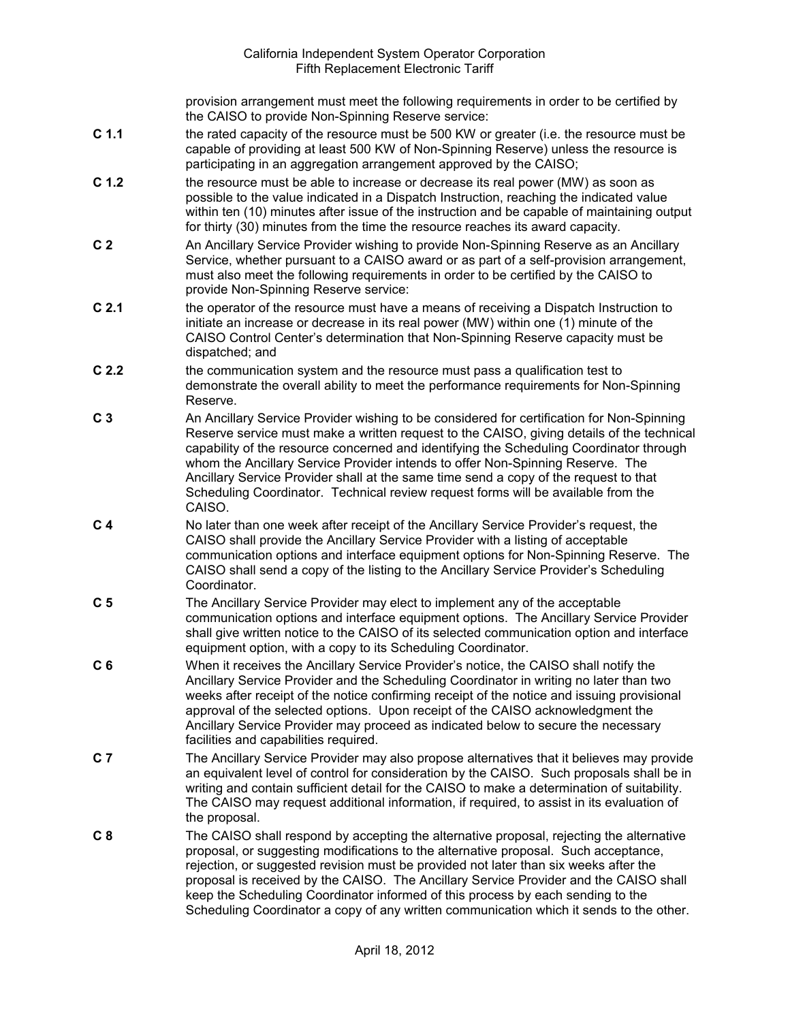provision arrangement must meet the following requirements in order to be certified by the CAISO to provide Non-Spinning Reserve service:

- **C 1.1** the rated capacity of the resource must be 500 KW or greater (i.e. the resource must be capable of providing at least 500 KW of Non-Spinning Reserve) unless the resource is participating in an aggregation arrangement approved by the CAISO;
- **C 1.2** the resource must be able to increase or decrease its real power (MW) as soon as possible to the value indicated in a Dispatch Instruction, reaching the indicated value within ten (10) minutes after issue of the instruction and be capable of maintaining output for thirty (30) minutes from the time the resource reaches its award capacity.
- **C 2** An Ancillary Service Provider wishing to provide Non-Spinning Reserve as an Ancillary Service, whether pursuant to a CAISO award or as part of a self-provision arrangement, must also meet the following requirements in order to be certified by the CAISO to provide Non-Spinning Reserve service:
- **C 2.1** the operator of the resource must have a means of receiving a Dispatch Instruction to initiate an increase or decrease in its real power (MW) within one (1) minute of the CAISO Control Center's determination that Non-Spinning Reserve capacity must be dispatched; and
- **C 2.2** the communication system and the resource must pass a qualification test to demonstrate the overall ability to meet the performance requirements for Non-Spinning Reserve.
- **C 3** An Ancillary Service Provider wishing to be considered for certification for Non-Spinning Reserve service must make a written request to the CAISO, giving details of the technical capability of the resource concerned and identifying the Scheduling Coordinator through whom the Ancillary Service Provider intends to offer Non-Spinning Reserve. The Ancillary Service Provider shall at the same time send a copy of the request to that Scheduling Coordinator. Technical review request forms will be available from the CAISO.
- **C 4** No later than one week after receipt of the Ancillary Service Provider's request, the CAISO shall provide the Ancillary Service Provider with a listing of acceptable communication options and interface equipment options for Non-Spinning Reserve. The CAISO shall send a copy of the listing to the Ancillary Service Provider's Scheduling Coordinator.
- **C 5** The Ancillary Service Provider may elect to implement any of the acceptable communication options and interface equipment options. The Ancillary Service Provider shall give written notice to the CAISO of its selected communication option and interface equipment option, with a copy to its Scheduling Coordinator.
- **C 6** When it receives the Ancillary Service Provider's notice, the CAISO shall notify the Ancillary Service Provider and the Scheduling Coordinator in writing no later than two weeks after receipt of the notice confirming receipt of the notice and issuing provisional approval of the selected options. Upon receipt of the CAISO acknowledgment the Ancillary Service Provider may proceed as indicated below to secure the necessary facilities and capabilities required.
- **C 7** The Ancillary Service Provider may also propose alternatives that it believes may provide an equivalent level of control for consideration by the CAISO. Such proposals shall be in writing and contain sufficient detail for the CAISO to make a determination of suitability. The CAISO may request additional information, if required, to assist in its evaluation of the proposal.
- **C 8** The CAISO shall respond by accepting the alternative proposal, rejecting the alternative proposal, or suggesting modifications to the alternative proposal. Such acceptance, rejection, or suggested revision must be provided not later than six weeks after the proposal is received by the CAISO. The Ancillary Service Provider and the CAISO shall keep the Scheduling Coordinator informed of this process by each sending to the Scheduling Coordinator a copy of any written communication which it sends to the other.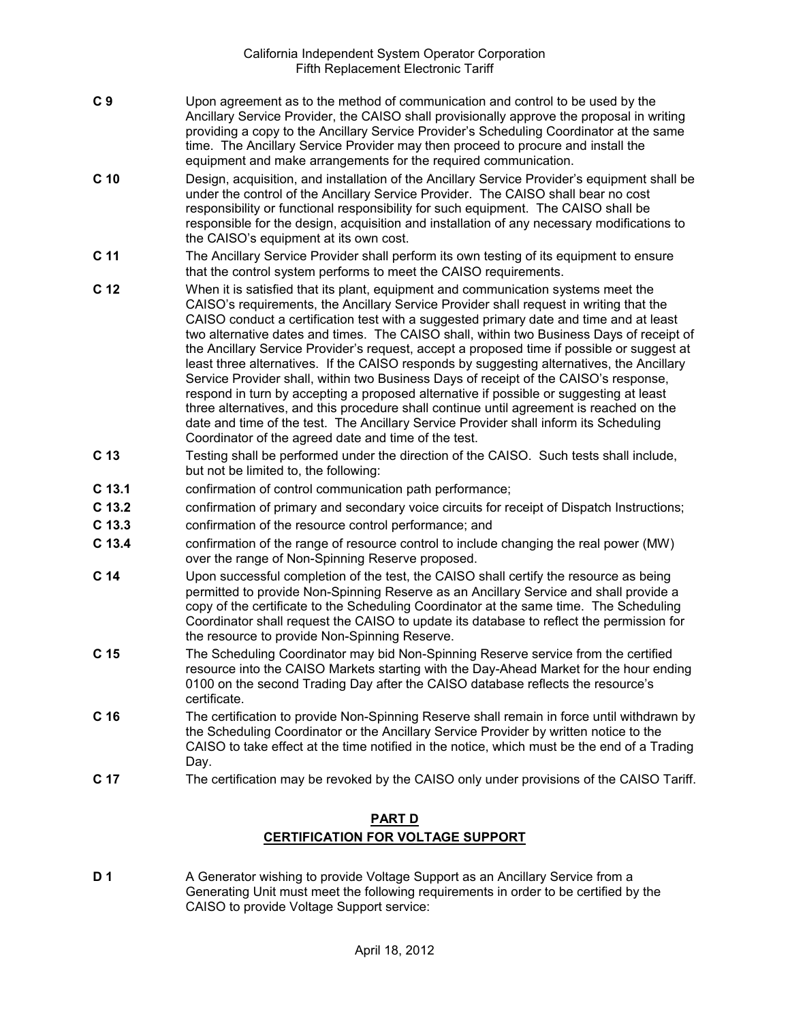- **C 9** Upon agreement as to the method of communication and control to be used by the Ancillary Service Provider, the CAISO shall provisionally approve the proposal in writing providing a copy to the Ancillary Service Provider's Scheduling Coordinator at the same time. The Ancillary Service Provider may then proceed to procure and install the equipment and make arrangements for the required communication.
- **C 10** Design, acquisition, and installation of the Ancillary Service Provider's equipment shall be under the control of the Ancillary Service Provider. The CAISO shall bear no cost responsibility or functional responsibility for such equipment. The CAISO shall be responsible for the design, acquisition and installation of any necessary modifications to the CAISO's equipment at its own cost.
- **C 11** The Ancillary Service Provider shall perform its own testing of its equipment to ensure that the control system performs to meet the CAISO requirements.
- **C 12** When it is satisfied that its plant, equipment and communication systems meet the CAISO's requirements, the Ancillary Service Provider shall request in writing that the CAISO conduct a certification test with a suggested primary date and time and at least two alternative dates and times. The CAISO shall, within two Business Days of receipt of the Ancillary Service Provider's request, accept a proposed time if possible or suggest at least three alternatives. If the CAISO responds by suggesting alternatives, the Ancillary Service Provider shall, within two Business Days of receipt of the CAISO's response, respond in turn by accepting a proposed alternative if possible or suggesting at least three alternatives, and this procedure shall continue until agreement is reached on the date and time of the test. The Ancillary Service Provider shall inform its Scheduling Coordinator of the agreed date and time of the test.
- **C 13** Testing shall be performed under the direction of the CAISO. Such tests shall include, but not be limited to, the following:
- **C 13.1** confirmation of control communication path performance;
- **C 13.2** confirmation of primary and secondary voice circuits for receipt of Dispatch Instructions;
- **C 13.3** confirmation of the resource control performance; and
- **C 13.4** confirmation of the range of resource control to include changing the real power (MW) over the range of Non-Spinning Reserve proposed.
- **C 14** Upon successful completion of the test, the CAISO shall certify the resource as being permitted to provide Non-Spinning Reserve as an Ancillary Service and shall provide a copy of the certificate to the Scheduling Coordinator at the same time. The Scheduling Coordinator shall request the CAISO to update its database to reflect the permission for the resource to provide Non-Spinning Reserve.
- **C 15** The Scheduling Coordinator may bid Non-Spinning Reserve service from the certified resource into the CAISO Markets starting with the Day-Ahead Market for the hour ending 0100 on the second Trading Day after the CAISO database reflects the resource's certificate.
- **C 16** The certification to provide Non-Spinning Reserve shall remain in force until withdrawn by the Scheduling Coordinator or the Ancillary Service Provider by written notice to the CAISO to take effect at the time notified in the notice, which must be the end of a Trading Day.
- **C 17** The certification may be revoked by the CAISO only under provisions of the CAISO Tariff.

# **PART D CERTIFICATION FOR VOLTAGE SUPPORT**

**D 1** A Generator wishing to provide Voltage Support as an Ancillary Service from a Generating Unit must meet the following requirements in order to be certified by the CAISO to provide Voltage Support service: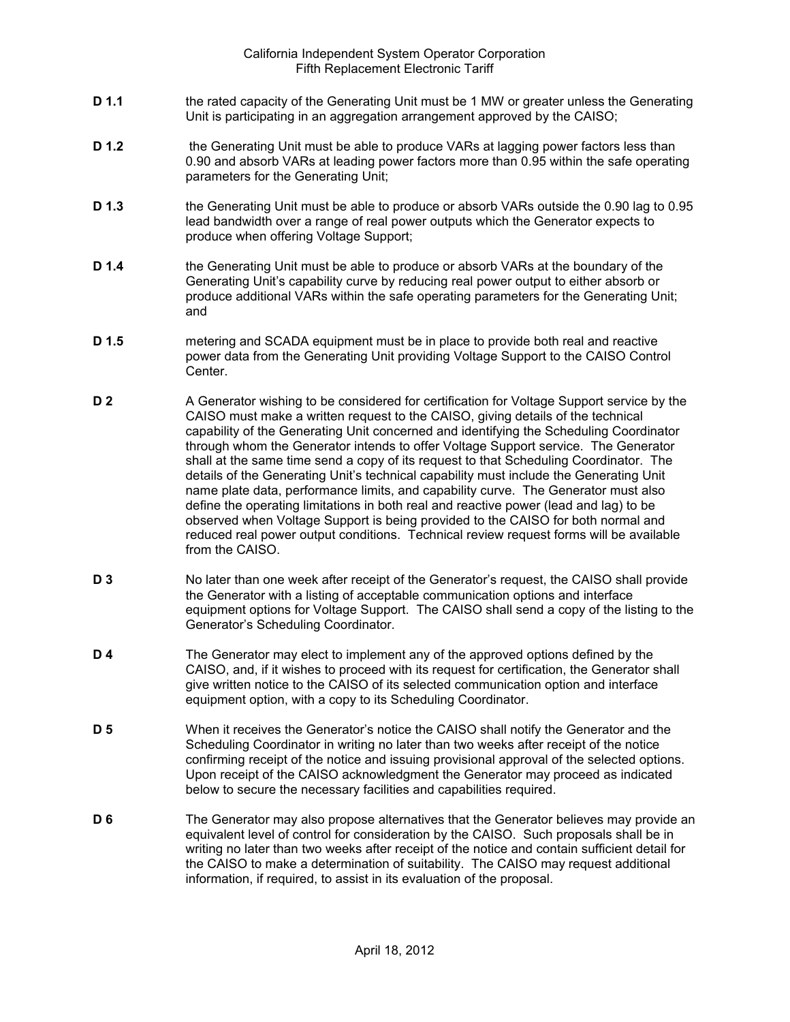- **D 1.1** the rated capacity of the Generating Unit must be 1 MW or greater unless the Generating Unit is participating in an aggregation arrangement approved by the CAISO;
- **D 1.2** the Generating Unit must be able to produce VARs at lagging power factors less than 0.90 and absorb VARs at leading power factors more than 0.95 within the safe operating parameters for the Generating Unit;
- **D 1.3** the Generating Unit must be able to produce or absorb VARs outside the 0.90 lag to 0.95 lead bandwidth over a range of real power outputs which the Generator expects to produce when offering Voltage Support;
- **D 1.4** the Generating Unit must be able to produce or absorb VARs at the boundary of the Generating Unit's capability curve by reducing real power output to either absorb or produce additional VARs within the safe operating parameters for the Generating Unit; and
- **D 1.5** metering and SCADA equipment must be in place to provide both real and reactive power data from the Generating Unit providing Voltage Support to the CAISO Control Center.
- **D 2** A Generator wishing to be considered for certification for Voltage Support service by the CAISO must make a written request to the CAISO, giving details of the technical capability of the Generating Unit concerned and identifying the Scheduling Coordinator through whom the Generator intends to offer Voltage Support service. The Generator shall at the same time send a copy of its request to that Scheduling Coordinator. The details of the Generating Unit's technical capability must include the Generating Unit name plate data, performance limits, and capability curve. The Generator must also define the operating limitations in both real and reactive power (lead and lag) to be observed when Voltage Support is being provided to the CAISO for both normal and reduced real power output conditions. Technical review request forms will be available from the CAISO.
- **D 3** No later than one week after receipt of the Generator's request, the CAISO shall provide the Generator with a listing of acceptable communication options and interface equipment options for Voltage Support. The CAISO shall send a copy of the listing to the Generator's Scheduling Coordinator.
- **D 4** The Generator may elect to implement any of the approved options defined by the CAISO, and, if it wishes to proceed with its request for certification, the Generator shall give written notice to the CAISO of its selected communication option and interface equipment option, with a copy to its Scheduling Coordinator.
- **D 5** When it receives the Generator's notice the CAISO shall notify the Generator and the Scheduling Coordinator in writing no later than two weeks after receipt of the notice confirming receipt of the notice and issuing provisional approval of the selected options. Upon receipt of the CAISO acknowledgment the Generator may proceed as indicated below to secure the necessary facilities and capabilities required.
- **D 6** The Generator may also propose alternatives that the Generator believes may provide an equivalent level of control for consideration by the CAISO. Such proposals shall be in writing no later than two weeks after receipt of the notice and contain sufficient detail for the CAISO to make a determination of suitability. The CAISO may request additional information, if required, to assist in its evaluation of the proposal.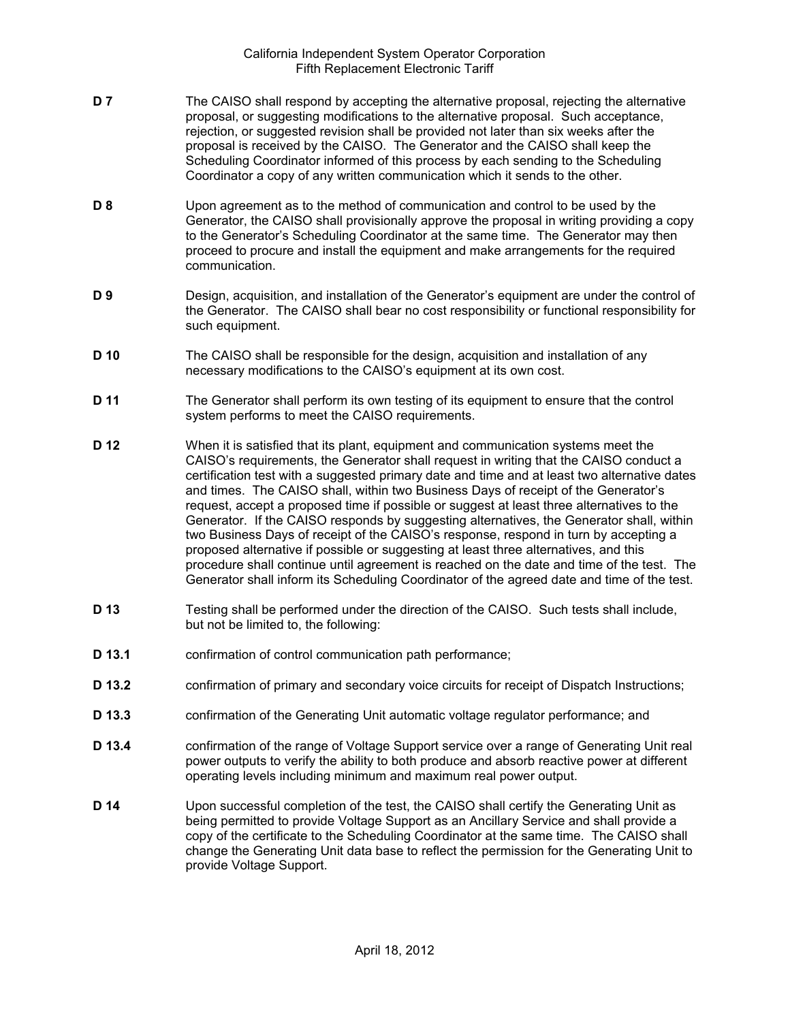- **D 7** The CAISO shall respond by accepting the alternative proposal, rejecting the alternative proposal, or suggesting modifications to the alternative proposal. Such acceptance, rejection, or suggested revision shall be provided not later than six weeks after the proposal is received by the CAISO. The Generator and the CAISO shall keep the Scheduling Coordinator informed of this process by each sending to the Scheduling Coordinator a copy of any written communication which it sends to the other.
- **D 8** Upon agreement as to the method of communication and control to be used by the Generator, the CAISO shall provisionally approve the proposal in writing providing a copy to the Generator's Scheduling Coordinator at the same time. The Generator may then proceed to procure and install the equipment and make arrangements for the required communication.
- **D 9** Design, acquisition, and installation of the Generator's equipment are under the control of the Generator. The CAISO shall bear no cost responsibility or functional responsibility for such equipment.
- **D 10** The CAISO shall be responsible for the design, acquisition and installation of any necessary modifications to the CAISO's equipment at its own cost.
- **D 11** The Generator shall perform its own testing of its equipment to ensure that the control system performs to meet the CAISO requirements.
- **D 12** When it is satisfied that its plant, equipment and communication systems meet the CAISO's requirements, the Generator shall request in writing that the CAISO conduct a certification test with a suggested primary date and time and at least two alternative dates and times. The CAISO shall, within two Business Days of receipt of the Generator's request, accept a proposed time if possible or suggest at least three alternatives to the Generator. If the CAISO responds by suggesting alternatives, the Generator shall, within two Business Days of receipt of the CAISO's response, respond in turn by accepting a proposed alternative if possible or suggesting at least three alternatives, and this procedure shall continue until agreement is reached on the date and time of the test. The Generator shall inform its Scheduling Coordinator of the agreed date and time of the test.
- **D 13** Testing shall be performed under the direction of the CAISO. Such tests shall include, but not be limited to, the following:
- **D 13.1** confirmation of control communication path performance;
- **D 13.2** confirmation of primary and secondary voice circuits for receipt of Dispatch Instructions;
- **D 13.3** confirmation of the Generating Unit automatic voltage regulator performance; and
- **D 13.4** confirmation of the range of Voltage Support service over a range of Generating Unit real power outputs to verify the ability to both produce and absorb reactive power at different operating levels including minimum and maximum real power output.
- **D 14** Upon successful completion of the test, the CAISO shall certify the Generating Unit as being permitted to provide Voltage Support as an Ancillary Service and shall provide a copy of the certificate to the Scheduling Coordinator at the same time. The CAISO shall change the Generating Unit data base to reflect the permission for the Generating Unit to provide Voltage Support.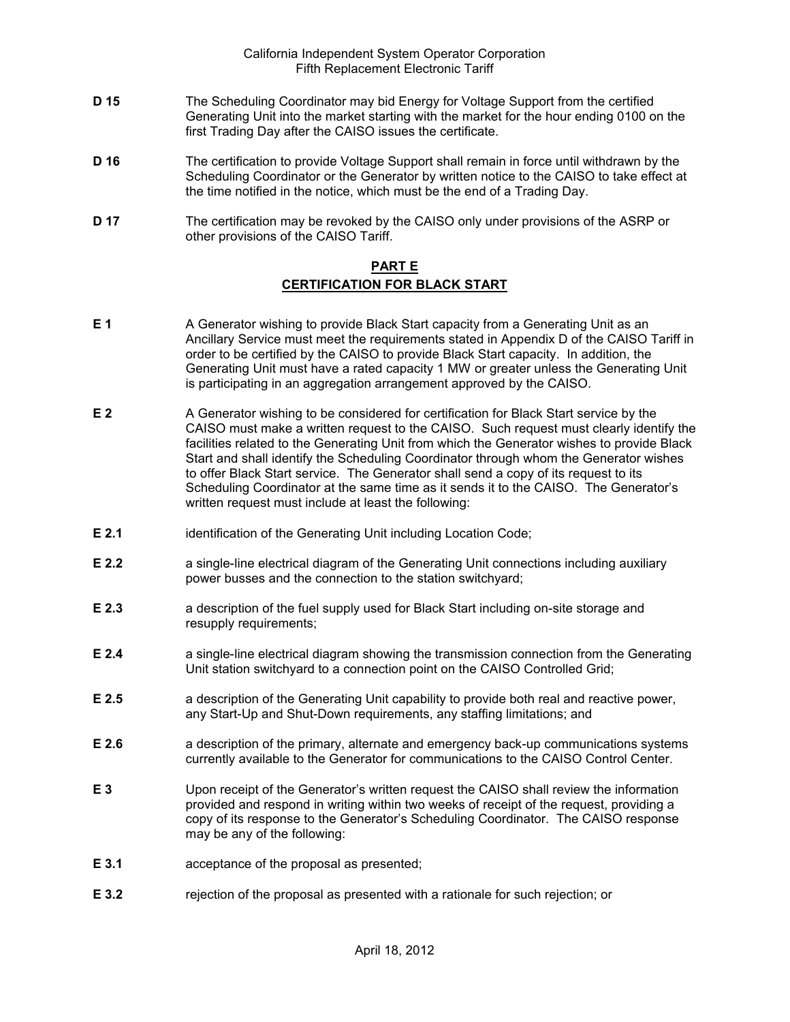- **D 15** The Scheduling Coordinator may bid Energy for Voltage Support from the certified Generating Unit into the market starting with the market for the hour ending 0100 on the first Trading Day after the CAISO issues the certificate.
- **D 16** The certification to provide Voltage Support shall remain in force until withdrawn by the Scheduling Coordinator or the Generator by written notice to the CAISO to take effect at the time notified in the notice, which must be the end of a Trading Day.
- **D 17** The certification may be revoked by the CAISO only under provisions of the ASRP or other provisions of the CAISO Tariff.

## **PART E CERTIFICATION FOR BLACK START**

- **E 1** A Generator wishing to provide Black Start capacity from a Generating Unit as an Ancillary Service must meet the requirements stated in Appendix D of the CAISO Tariff in order to be certified by the CAISO to provide Black Start capacity. In addition, the Generating Unit must have a rated capacity 1 MW or greater unless the Generating Unit is participating in an aggregation arrangement approved by the CAISO.
- **E 2** A Generator wishing to be considered for certification for Black Start service by the CAISO must make a written request to the CAISO. Such request must clearly identify the facilities related to the Generating Unit from which the Generator wishes to provide Black Start and shall identify the Scheduling Coordinator through whom the Generator wishes to offer Black Start service. The Generator shall send a copy of its request to its Scheduling Coordinator at the same time as it sends it to the CAISO. The Generator's written request must include at least the following:
- **E 2.1** identification of the Generating Unit including Location Code;
- **E 2.2 a** single-line electrical diagram of the Generating Unit connections including auxiliary power busses and the connection to the station switchyard;
- **E 2.3** a description of the fuel supply used for Black Start including on-site storage and resupply requirements;
- **E 2.4** a single-line electrical diagram showing the transmission connection from the Generating Unit station switchyard to a connection point on the CAISO Controlled Grid;
- **E 2.5** a description of the Generating Unit capability to provide both real and reactive power, any Start-Up and Shut-Down requirements, any staffing limitations; and
- **E 2.6** a description of the primary, alternate and emergency back-up communications systems currently available to the Generator for communications to the CAISO Control Center.
- **E 3** Upon receipt of the Generator's written request the CAISO shall review the information provided and respond in writing within two weeks of receipt of the request, providing a copy of its response to the Generator's Scheduling Coordinator. The CAISO response may be any of the following:
- **E 3.1** acceptance of the proposal as presented;
- **E 3.2** rejection of the proposal as presented with a rationale for such rejection; or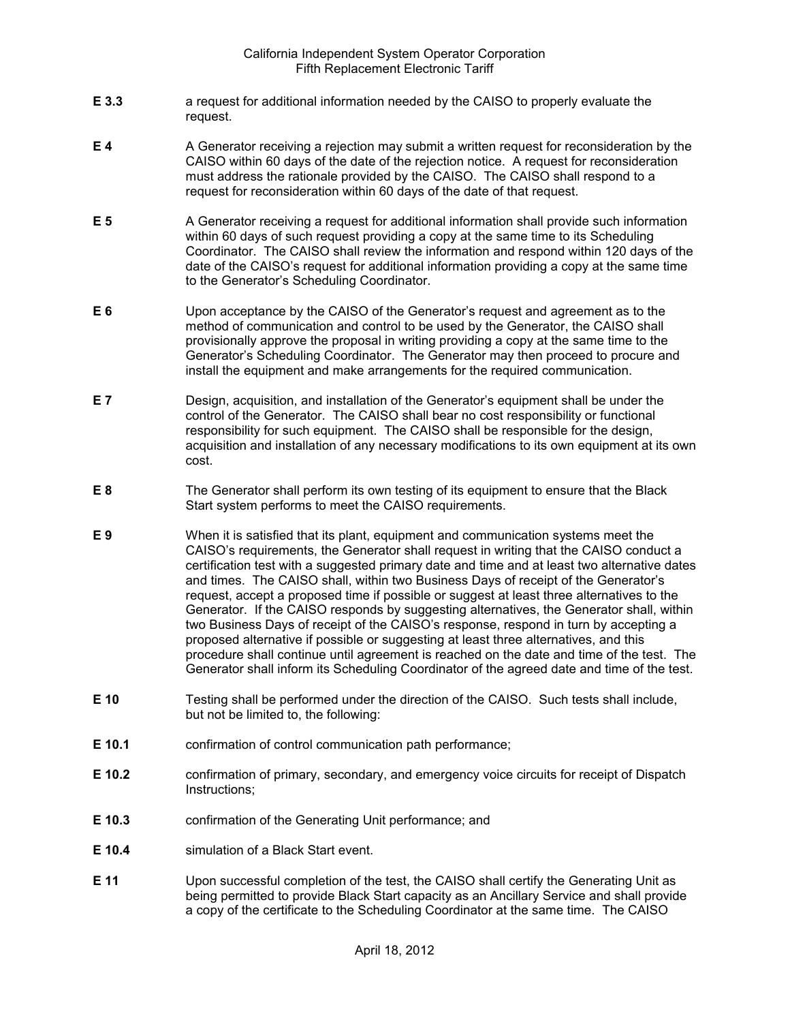- **E 3.3** a request for additional information needed by the CAISO to properly evaluate the request.
- **E 4** A Generator receiving a rejection may submit a written request for reconsideration by the CAISO within 60 days of the date of the rejection notice. A request for reconsideration must address the rationale provided by the CAISO. The CAISO shall respond to a request for reconsideration within 60 days of the date of that request.
- **E 5** A Generator receiving a request for additional information shall provide such information within 60 days of such request providing a copy at the same time to its Scheduling Coordinator. The CAISO shall review the information and respond within 120 days of the date of the CAISO's request for additional information providing a copy at the same time to the Generator's Scheduling Coordinator.
- **E 6** Upon acceptance by the CAISO of the Generator's request and agreement as to the method of communication and control to be used by the Generator, the CAISO shall provisionally approve the proposal in writing providing a copy at the same time to the Generator's Scheduling Coordinator. The Generator may then proceed to procure and install the equipment and make arrangements for the required communication.
- **E 7** Design, acquisition, and installation of the Generator's equipment shall be under the control of the Generator. The CAISO shall bear no cost responsibility or functional responsibility for such equipment. The CAISO shall be responsible for the design, acquisition and installation of any necessary modifications to its own equipment at its own cost.
- **E 8** The Generator shall perform its own testing of its equipment to ensure that the Black Start system performs to meet the CAISO requirements.
- **E 9** When it is satisfied that its plant, equipment and communication systems meet the CAISO's requirements, the Generator shall request in writing that the CAISO conduct a certification test with a suggested primary date and time and at least two alternative dates and times. The CAISO shall, within two Business Days of receipt of the Generator's request, accept a proposed time if possible or suggest at least three alternatives to the Generator. If the CAISO responds by suggesting alternatives, the Generator shall, within two Business Days of receipt of the CAISO's response, respond in turn by accepting a proposed alternative if possible or suggesting at least three alternatives, and this procedure shall continue until agreement is reached on the date and time of the test. The Generator shall inform its Scheduling Coordinator of the agreed date and time of the test.
- **E 10** Testing shall be performed under the direction of the CAISO. Such tests shall include, but not be limited to, the following:
- **E 10.1** confirmation of control communication path performance;
- **E 10.2** confirmation of primary, secondary, and emergency voice circuits for receipt of Dispatch Instructions;
- **E 10.3** confirmation of the Generating Unit performance; and
- **E 10.4** simulation of a Black Start event.
- **E 11** Upon successful completion of the test, the CAISO shall certify the Generating Unit as being permitted to provide Black Start capacity as an Ancillary Service and shall provide a copy of the certificate to the Scheduling Coordinator at the same time. The CAISO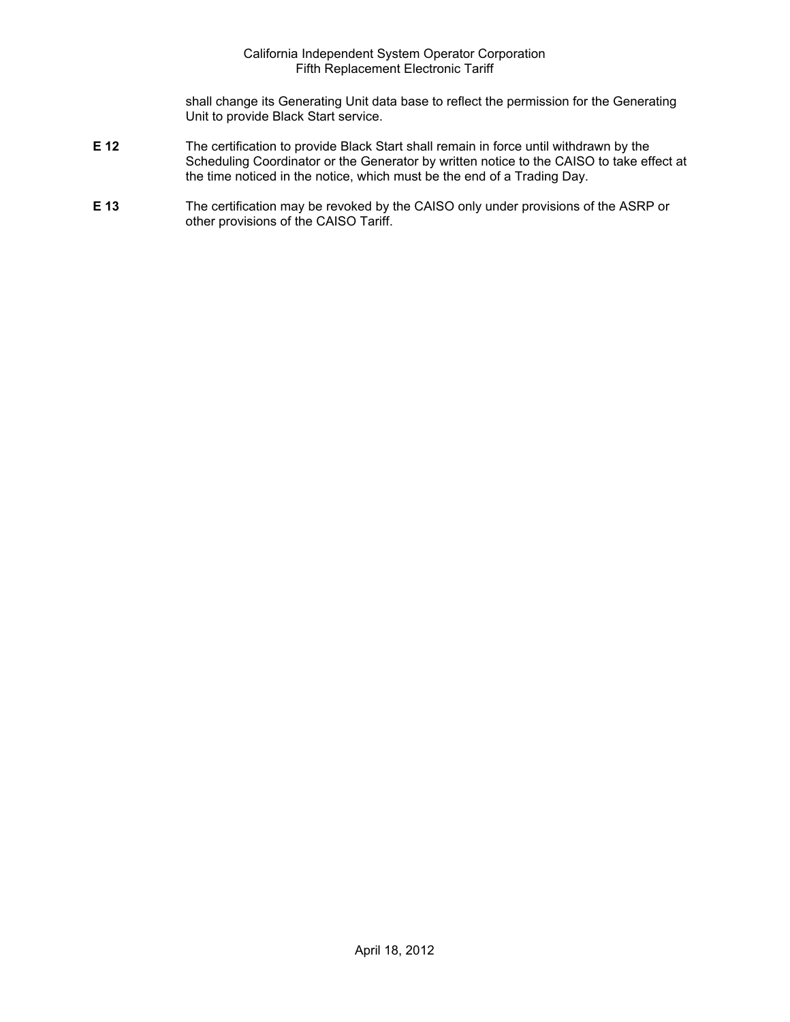shall change its Generating Unit data base to reflect the permission for the Generating Unit to provide Black Start service.

- **E 12** The certification to provide Black Start shall remain in force until withdrawn by the Scheduling Coordinator or the Generator by written notice to the CAISO to take effect at the time noticed in the notice, which must be the end of a Trading Day.
- **E 13** The certification may be revoked by the CAISO only under provisions of the ASRP or other provisions of the CAISO Tariff.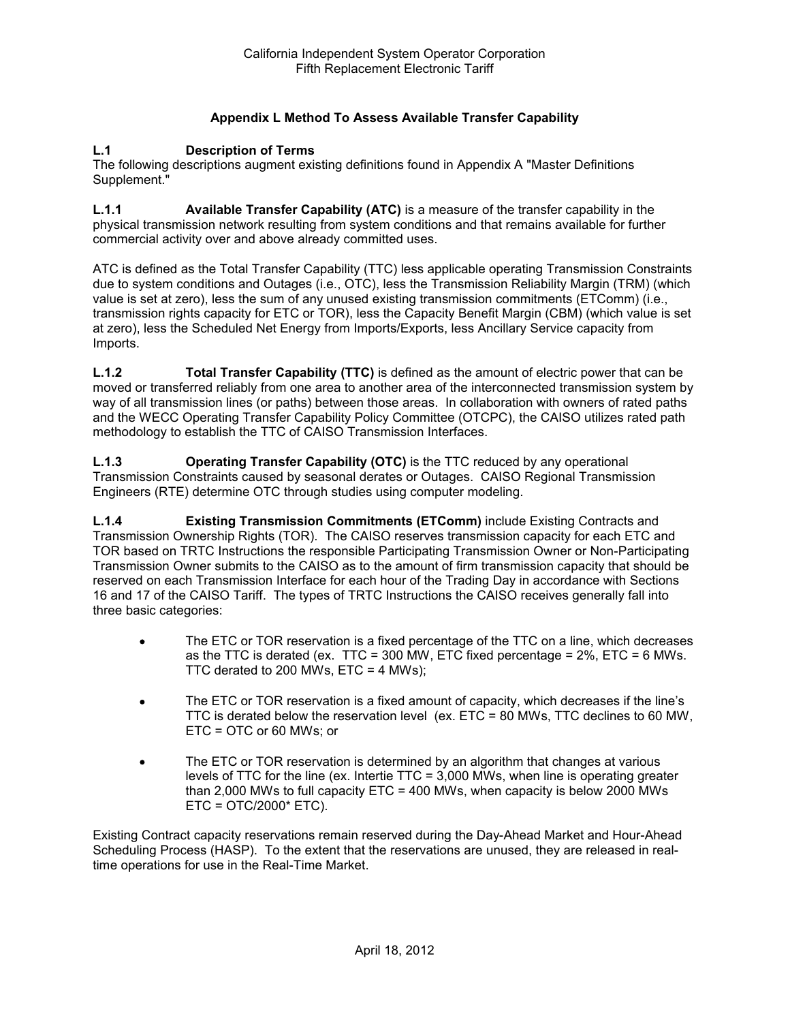# **Appendix L Method To Assess Available Transfer Capability**

#### **L.1 Description of Terms**

The following descriptions augment existing definitions found in Appendix A "Master Definitions Supplement."

**L.1.1 Available Transfer Capability (ATC)** is a measure of the transfer capability in the physical transmission network resulting from system conditions and that remains available for further commercial activity over and above already committed uses.

ATC is defined as the Total Transfer Capability (TTC) less applicable operating Transmission Constraints due to system conditions and Outages (i.e., OTC), less the Transmission Reliability Margin (TRM) (which value is set at zero), less the sum of any unused existing transmission commitments (ETComm) (i.e., transmission rights capacity for ETC or TOR), less the Capacity Benefit Margin (CBM) (which value is set at zero), less the Scheduled Net Energy from Imports/Exports, less Ancillary Service capacity from Imports.

**L.1.2 Total Transfer Capability (TTC)** is defined as the amount of electric power that can be moved or transferred reliably from one area to another area of the interconnected transmission system by way of all transmission lines (or paths) between those areas. In collaboration with owners of rated paths and the WECC Operating Transfer Capability Policy Committee (OTCPC), the CAISO utilizes rated path methodology to establish the TTC of CAISO Transmission Interfaces.

**L.1.3 Operating Transfer Capability (OTC)** is the TTC reduced by any operational Transmission Constraints caused by seasonal derates or Outages. CAISO Regional Transmission Engineers (RTE) determine OTC through studies using computer modeling.

**L.1.4 Existing Transmission Commitments (ETComm)** include Existing Contracts and Transmission Ownership Rights (TOR). The CAISO reserves transmission capacity for each ETC and TOR based on TRTC Instructions the responsible Participating Transmission Owner or Non-Participating Transmission Owner submits to the CAISO as to the amount of firm transmission capacity that should be reserved on each Transmission Interface for each hour of the Trading Day in accordance with Sections 16 and 17 of the CAISO Tariff. The types of TRTC Instructions the CAISO receives generally fall into three basic categories:

- The ETC or TOR reservation is a fixed percentage of the TTC on a line, which decreases as the TTC is derated (ex. TTC = 300 MW, ETC fixed percentage = 2%, ETC = 6 MWs. TTC derated to 200 MWs,  $ETC = 4$  MWs);
- The ETC or TOR reservation is a fixed amount of capacity, which decreases if the line's TTC is derated below the reservation level (ex. ETC = 80 MWs, TTC declines to 60 MW, ETC = OTC or 60 MWs; or
- The ETC or TOR reservation is determined by an algorithm that changes at various levels of TTC for the line (ex. Intertie TTC = 3,000 MWs, when line is operating greater than 2,000 MWs to full capacity ETC = 400 MWs, when capacity is below 2000 MWs ETC = OTC/2000\* ETC).

Existing Contract capacity reservations remain reserved during the Day-Ahead Market and Hour-Ahead Scheduling Process (HASP). To the extent that the reservations are unused, they are released in realtime operations for use in the Real-Time Market.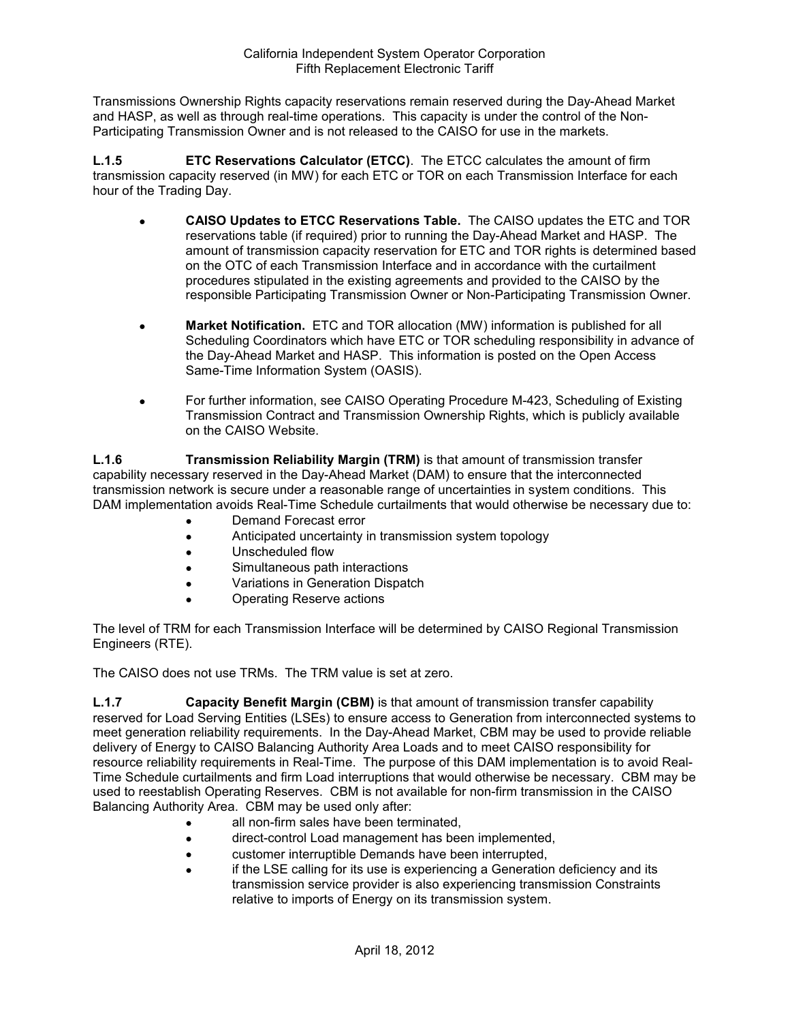Transmissions Ownership Rights capacity reservations remain reserved during the Day-Ahead Market and HASP, as well as through real-time operations. This capacity is under the control of the Non-Participating Transmission Owner and is not released to the CAISO for use in the markets.

**L.1.5 ETC Reservations Calculator (ETCC)**. The ETCC calculates the amount of firm transmission capacity reserved (in MW) for each ETC or TOR on each Transmission Interface for each hour of the Trading Day.

- **CAISO Updates to ETCC Reservations Table.** The CAISO updates the ETC and TOR reservations table (if required) prior to running the Day-Ahead Market and HASP. The amount of transmission capacity reservation for ETC and TOR rights is determined based on the OTC of each Transmission Interface and in accordance with the curtailment procedures stipulated in the existing agreements and provided to the CAISO by the responsible Participating Transmission Owner or Non-Participating Transmission Owner.
- **Market Notification.** ETC and TOR allocation (MW) information is published for all Scheduling Coordinators which have ETC or TOR scheduling responsibility in advance of the Day-Ahead Market and HASP. This information is posted on the Open Access Same-Time Information System (OASIS).
- For further information, see CAISO Operating Procedure M-423, Scheduling of Existing Transmission Contract and Transmission Ownership Rights, which is publicly available on the CAISO Website.

**L.1.6 Transmission Reliability Margin (TRM)** is that amount of transmission transfer capability necessary reserved in the Day-Ahead Market (DAM) to ensure that the interconnected transmission network is secure under a reasonable range of uncertainties in system conditions. This DAM implementation avoids Real-Time Schedule curtailments that would otherwise be necessary due to:

- Demand Forecast error
- Anticipated uncertainty in transmission system topology
- Unscheduled flow
- Simultaneous path interactions
- Variations in Generation Dispatch
- Operating Reserve actions

The level of TRM for each Transmission Interface will be determined by CAISO Regional Transmission Engineers (RTE).

The CAISO does not use TRMs. The TRM value is set at zero.

**L.1.7 Capacity Benefit Margin (CBM)** is that amount of transmission transfer capability reserved for Load Serving Entities (LSEs) to ensure access to Generation from interconnected systems to meet generation reliability requirements. In the Day-Ahead Market, CBM may be used to provide reliable delivery of Energy to CAISO Balancing Authority Area Loads and to meet CAISO responsibility for resource reliability requirements in Real-Time. The purpose of this DAM implementation is to avoid Real-Time Schedule curtailments and firm Load interruptions that would otherwise be necessary. CBM may be used to reestablish Operating Reserves. CBM is not available for non-firm transmission in the CAISO Balancing Authority Area. CBM may be used only after:

- all non-firm sales have been terminated,
- direct-control Load management has been implemented,
- customer interruptible Demands have been interrupted,
- if the LSE calling for its use is experiencing a Generation deficiency and its transmission service provider is also experiencing transmission Constraints relative to imports of Energy on its transmission system.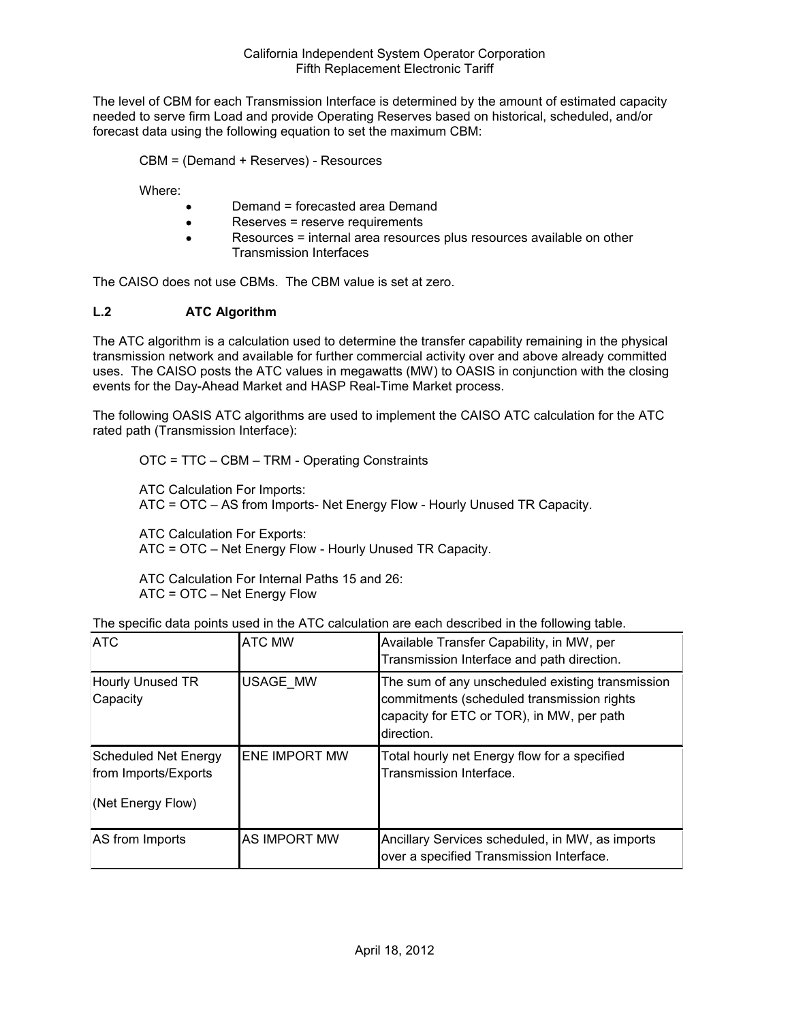The level of CBM for each Transmission Interface is determined by the amount of estimated capacity needed to serve firm Load and provide Operating Reserves based on historical, scheduled, and/or forecast data using the following equation to set the maximum CBM:

CBM = (Demand + Reserves) - Resources

Where:

- Demand = forecasted area Demand
- Reserves = reserve requirements
- Resources = internal area resources plus resources available on other Transmission Interfaces

The CAISO does not use CBMs. The CBM value is set at zero.

### **L.2 ATC Algorithm**

The ATC algorithm is a calculation used to determine the transfer capability remaining in the physical transmission network and available for further commercial activity over and above already committed uses. The CAISO posts the ATC values in megawatts (MW) to OASIS in conjunction with the closing events for the Day-Ahead Market and HASP Real-Time Market process.

The following OASIS ATC algorithms are used to implement the CAISO ATC calculation for the ATC rated path (Transmission Interface):

OTC = TTC – CBM – TRM - Operating Constraints

ATC Calculation For Imports: ATC = OTC – AS from Imports- Net Energy Flow - Hourly Unused TR Capacity.

ATC Calculation For Exports: ATC = OTC – Net Energy Flow - Hourly Unused TR Capacity.

ATC Calculation For Internal Paths 15 and 26: ATC = OTC – Net Energy Flow

| The specific data points used in the ATC calculation are each described in the following table. |
|-------------------------------------------------------------------------------------------------|
|-------------------------------------------------------------------------------------------------|

| <b>ATC</b>                                                               | <b>ATC MW</b>        | Available Transfer Capability, in MW, per<br>Transmission Interface and path direction.                                                                   |
|--------------------------------------------------------------------------|----------------------|-----------------------------------------------------------------------------------------------------------------------------------------------------------|
| Hourly Unused TR<br>Capacity                                             | <b>USAGE MW</b>      | The sum of any unscheduled existing transmission<br>commitments (scheduled transmission rights<br>capacity for ETC or TOR), in MW, per path<br>direction. |
| <b>Scheduled Net Energy</b><br>from Imports/Exports<br>(Net Energy Flow) | <b>ENE IMPORT MW</b> | Total hourly net Energy flow for a specified<br>Transmission Interface.                                                                                   |
| AS from Imports                                                          | <b>AS IMPORT MW</b>  | Ancillary Services scheduled, in MW, as imports<br>over a specified Transmission Interface.                                                               |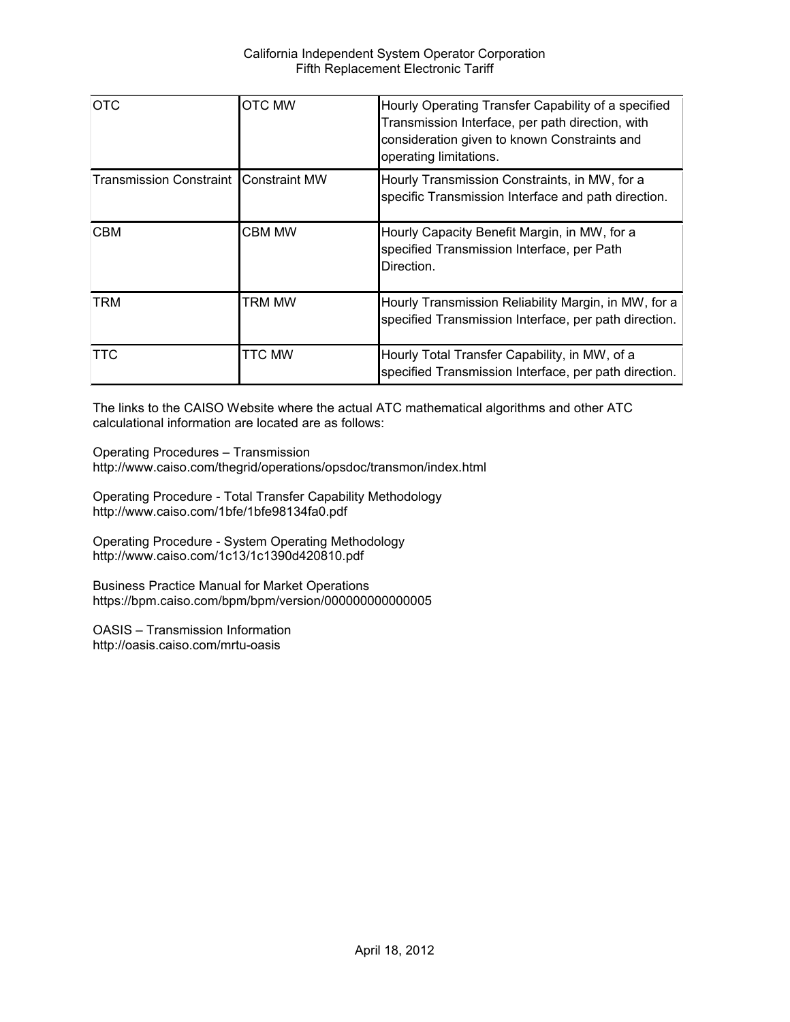| <b>OTC</b>                                     | OTC MW        | Hourly Operating Transfer Capability of a specified<br>Transmission Interface, per path direction, with<br>consideration given to known Constraints and<br>operating limitations. |
|------------------------------------------------|---------------|-----------------------------------------------------------------------------------------------------------------------------------------------------------------------------------|
| <b>Transmission Constraint I Constraint MW</b> |               | Hourly Transmission Constraints, in MW, for a<br>specific Transmission Interface and path direction.                                                                              |
| <b>CBM</b>                                     | <b>CBM MW</b> | Hourly Capacity Benefit Margin, in MW, for a<br>specified Transmission Interface, per Path<br>Direction.                                                                          |
| <b>TRM</b>                                     | trm mw        | Hourly Transmission Reliability Margin, in MW, for a<br>specified Transmission Interface, per path direction.                                                                     |
| <b>TTC</b>                                     | <b>TTC MW</b> | Hourly Total Transfer Capability, in MW, of a<br>specified Transmission Interface, per path direction.                                                                            |

The links to the CAISO Website where the actual ATC mathematical algorithms and other ATC calculational information are located are as follows:

Operating Procedures – Transmission http://www.caiso.com/thegrid/operations/opsdoc/transmon/index.html

Operating Procedure - Total Transfer Capability Methodology http://www.caiso.com/1bfe/1bfe98134fa0.pdf

Operating Procedure - System Operating Methodology http://www.caiso.com/1c13/1c1390d420810.pdf

Business Practice Manual for Market Operations https://bpm.caiso.com/bpm/bpm/version/000000000000005

OASIS – Transmission Information http://oasis.caiso.com/mrtu-oasis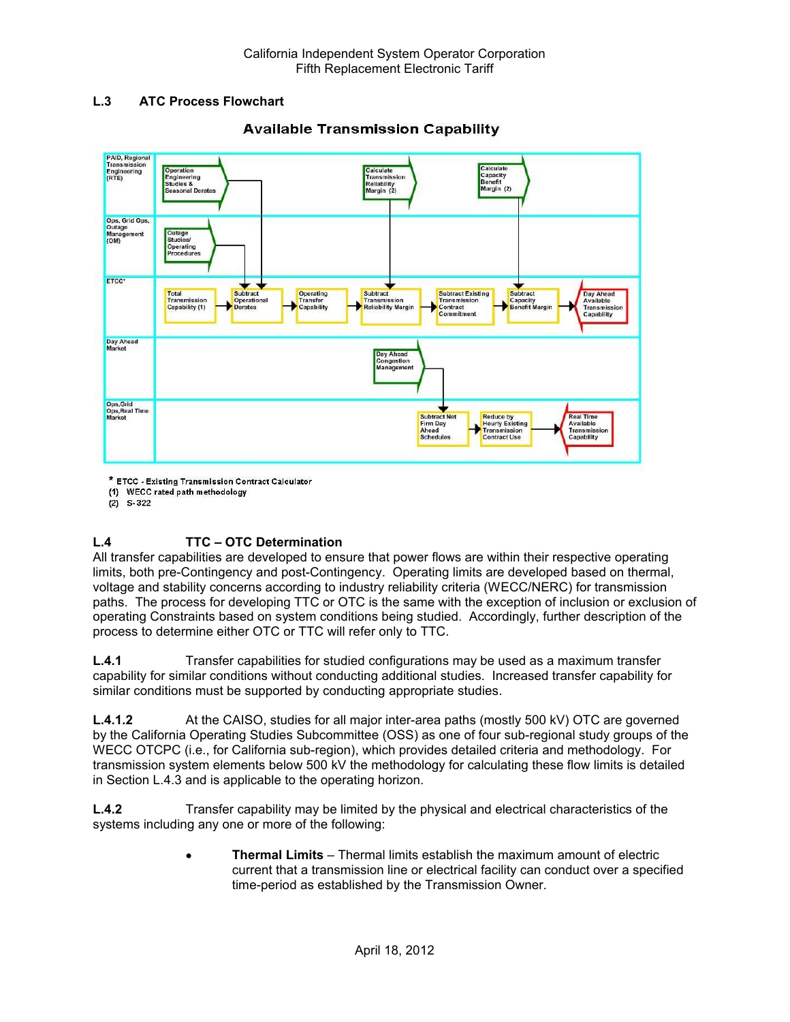## **L.3 ATC Process Flowchart**



# **Available Transmission Capability**

\* ETCC - Existing Transmission Contract Calculator

(1) WECC rated path methodology

 $(2)$  S-322

# **L.4 TTC – OTC Determination**

All transfer capabilities are developed to ensure that power flows are within their respective operating limits, both pre-Contingency and post-Contingency. Operating limits are developed based on thermal, voltage and stability concerns according to industry reliability criteria (WECC/NERC) for transmission paths. The process for developing TTC or OTC is the same with the exception of inclusion or exclusion of operating Constraints based on system conditions being studied. Accordingly, further description of the process to determine either OTC or TTC will refer only to TTC.

**L.4.1** Transfer capabilities for studied configurations may be used as a maximum transfer capability for similar conditions without conducting additional studies. Increased transfer capability for similar conditions must be supported by conducting appropriate studies.

**L.4.1.2** At the CAISO, studies for all major inter-area paths (mostly 500 kV) OTC are governed by the California Operating Studies Subcommittee (OSS) as one of four sub-regional study groups of the WECC OTCPC (i.e., for California sub-region), which provides detailed criteria and methodology. For transmission system elements below 500 kV the methodology for calculating these flow limits is detailed in Section L.4.3 and is applicable to the operating horizon.

**L.4.2** Transfer capability may be limited by the physical and electrical characteristics of the systems including any one or more of the following:

> **Thermal Limits** – Thermal limits establish the maximum amount of electric current that a transmission line or electrical facility can conduct over a specified time-period as established by the Transmission Owner.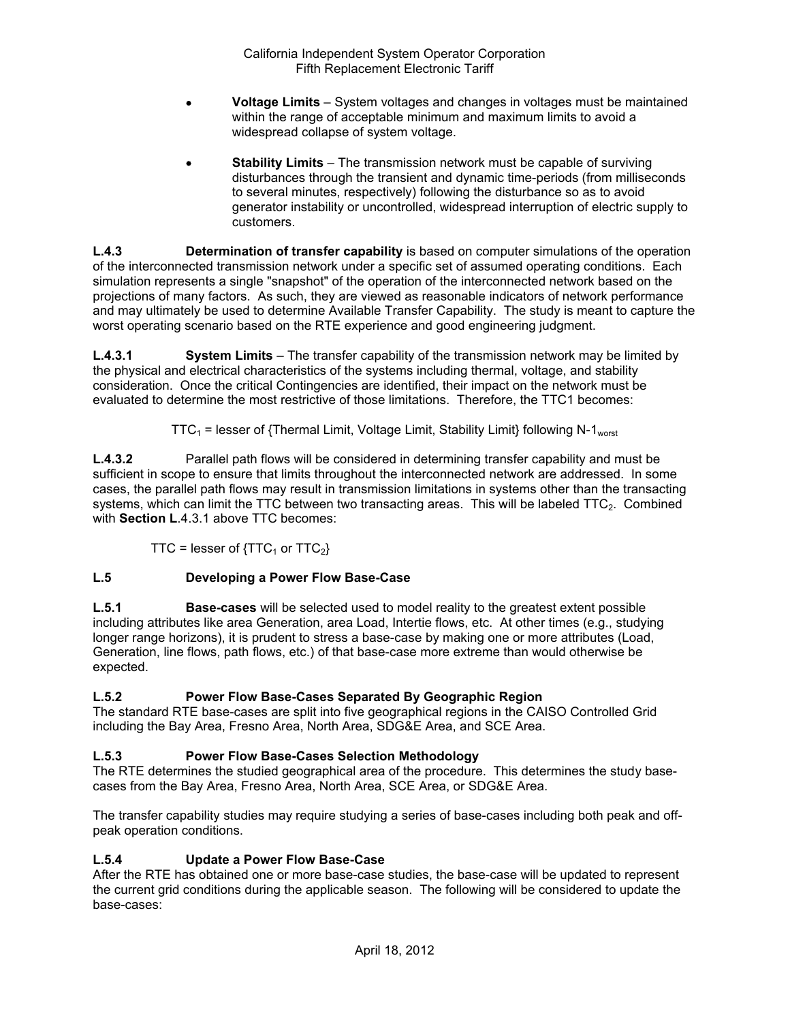- **Voltage Limits** System voltages and changes in voltages must be maintained within the range of acceptable minimum and maximum limits to avoid a widespread collapse of system voltage.
- **Stability Limits** The transmission network must be capable of surviving disturbances through the transient and dynamic time-periods (from milliseconds to several minutes, respectively) following the disturbance so as to avoid generator instability or uncontrolled, widespread interruption of electric supply to customers.

**L.4.3 Determination of transfer capability** is based on computer simulations of the operation of the interconnected transmission network under a specific set of assumed operating conditions. Each simulation represents a single "snapshot" of the operation of the interconnected network based on the projections of many factors. As such, they are viewed as reasonable indicators of network performance and may ultimately be used to determine Available Transfer Capability. The study is meant to capture the worst operating scenario based on the RTE experience and good engineering judgment.

**L.4.3.1 System Limits** – The transfer capability of the transmission network may be limited by the physical and electrical characteristics of the systems including thermal, voltage, and stability consideration. Once the critical Contingencies are identified, their impact on the network must be evaluated to determine the most restrictive of those limitations. Therefore, the TTC1 becomes:

 $TTC_1$  = lesser of {Thermal Limit, Voltage Limit, Stability Limit} following N-1<sub>worst</sub>

**L.4.3.2** Parallel path flows will be considered in determining transfer capability and must be sufficient in scope to ensure that limits throughout the interconnected network are addressed. In some cases, the parallel path flows may result in transmission limitations in systems other than the transacting systems, which can limit the TTC between two transacting areas. This will be labeled  $TTC_2$ . Combined with **Section L**.4.3.1 above TTC becomes:

TTC = lesser of  ${TTC<sub>1</sub>}$  or  $TTC<sub>2</sub>}$ 

# **L.5 Developing a Power Flow Base-Case**

**L.5.1 Base-cases** will be selected used to model reality to the greatest extent possible including attributes like area Generation, area Load, Intertie flows, etc. At other times (e.g., studying longer range horizons), it is prudent to stress a base-case by making one or more attributes (Load, Generation, line flows, path flows, etc.) of that base-case more extreme than would otherwise be expected.

# **L.5.2 Power Flow Base-Cases Separated By Geographic Region**

The standard RTE base-cases are split into five geographical regions in the CAISO Controlled Grid including the Bay Area, Fresno Area, North Area, SDG&E Area, and SCE Area.

# **L.5.3 Power Flow Base-Cases Selection Methodology**

The RTE determines the studied geographical area of the procedure. This determines the study basecases from the Bay Area, Fresno Area, North Area, SCE Area, or SDG&E Area.

The transfer capability studies may require studying a series of base-cases including both peak and offpeak operation conditions.

# **L.5.4 Update a Power Flow Base-Case**

After the RTE has obtained one or more base-case studies, the base-case will be updated to represent the current grid conditions during the applicable season. The following will be considered to update the base-cases: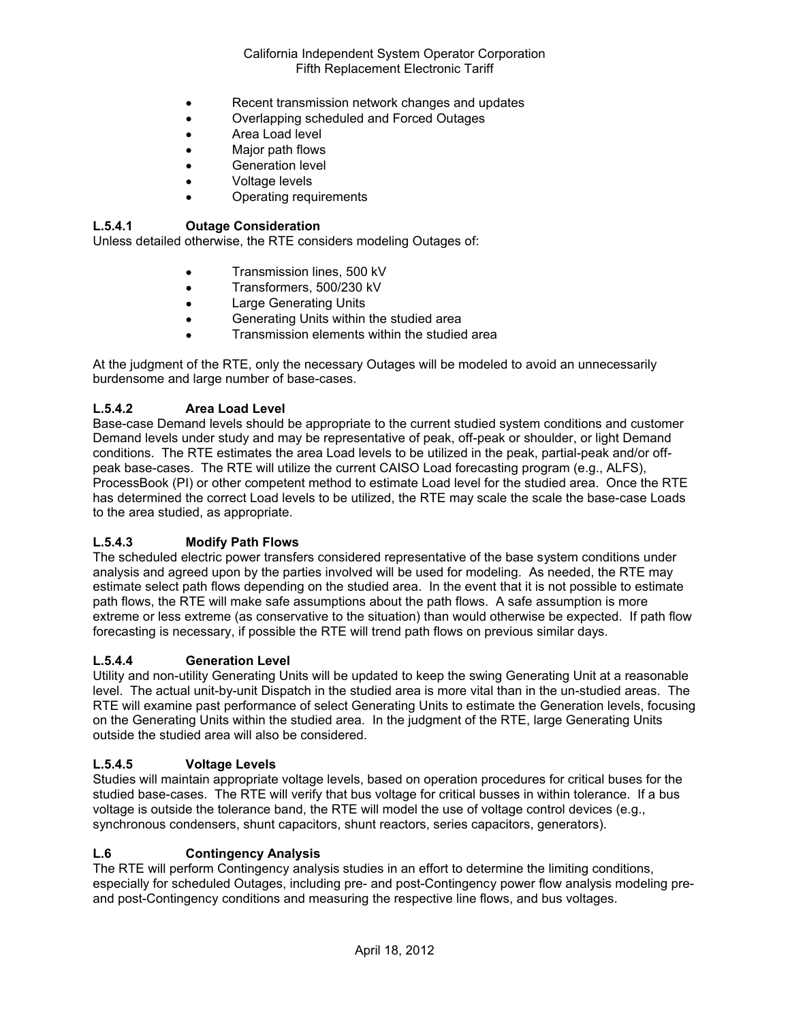- Recent transmission network changes and updates
- Overlapping scheduled and Forced Outages
- **•** Area Load level
- Major path flows
- Generation level
- Voltage levels
- Operating requirements

## **L.5.4.1 Outage Consideration**

Unless detailed otherwise, the RTE considers modeling Outages of:

- **•** Transmission lines, 500 kV
- Transformers, 500/230 kV
- Large Generating Units
- Generating Units within the studied area
- Transmission elements within the studied area

At the judgment of the RTE, only the necessary Outages will be modeled to avoid an unnecessarily burdensome and large number of base-cases.

### **L.5.4.2 Area Load Level**

Base-case Demand levels should be appropriate to the current studied system conditions and customer Demand levels under study and may be representative of peak, off-peak or shoulder, or light Demand conditions. The RTE estimates the area Load levels to be utilized in the peak, partial-peak and/or offpeak base-cases. The RTE will utilize the current CAISO Load forecasting program (e.g., ALFS), ProcessBook (PI) or other competent method to estimate Load level for the studied area. Once the RTE has determined the correct Load levels to be utilized, the RTE may scale the scale the base-case Loads to the area studied, as appropriate.

### **L.5.4.3 Modify Path Flows**

The scheduled electric power transfers considered representative of the base system conditions under analysis and agreed upon by the parties involved will be used for modeling. As needed, the RTE may estimate select path flows depending on the studied area. In the event that it is not possible to estimate path flows, the RTE will make safe assumptions about the path flows. A safe assumption is more extreme or less extreme (as conservative to the situation) than would otherwise be expected. If path flow forecasting is necessary, if possible the RTE will trend path flows on previous similar days.

#### **L.5.4.4 Generation Level**

Utility and non-utility Generating Units will be updated to keep the swing Generating Unit at a reasonable level. The actual unit-by-unit Dispatch in the studied area is more vital than in the un-studied areas. The RTE will examine past performance of select Generating Units to estimate the Generation levels, focusing on the Generating Units within the studied area. In the judgment of the RTE, large Generating Units outside the studied area will also be considered.

### **L.5.4.5 Voltage Levels**

Studies will maintain appropriate voltage levels, based on operation procedures for critical buses for the studied base-cases. The RTE will verify that bus voltage for critical busses in within tolerance. If a bus voltage is outside the tolerance band, the RTE will model the use of voltage control devices (e.g., synchronous condensers, shunt capacitors, shunt reactors, series capacitors, generators).

#### **L.6 Contingency Analysis**

The RTE will perform Contingency analysis studies in an effort to determine the limiting conditions, especially for scheduled Outages, including pre- and post-Contingency power flow analysis modeling preand post-Contingency conditions and measuring the respective line flows, and bus voltages.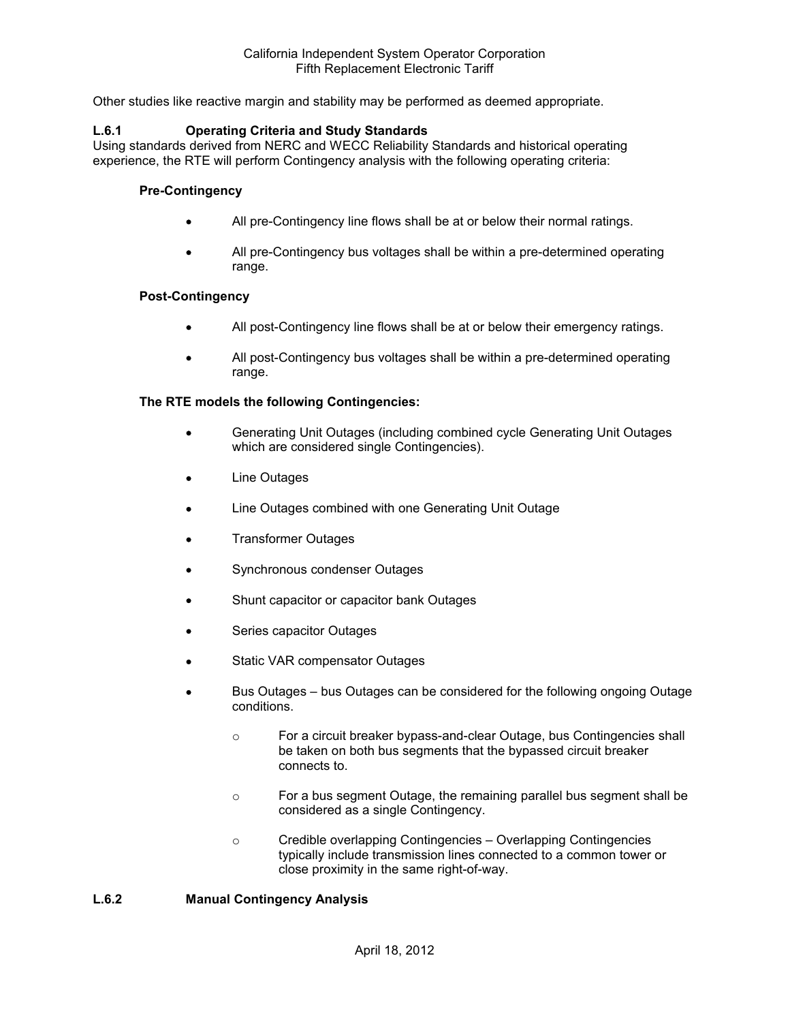Other studies like reactive margin and stability may be performed as deemed appropriate.

#### **L.6.1 Operating Criteria and Study Standards**

Using standards derived from NERC and WECC Reliability Standards and historical operating experience, the RTE will perform Contingency analysis with the following operating criteria:

#### **Pre-Contingency**

- All pre-Contingency line flows shall be at or below their normal ratings.
- All pre-Contingency bus voltages shall be within a pre-determined operating range.

#### **Post-Contingency**

- All post-Contingency line flows shall be at or below their emergency ratings.
- All post-Contingency bus voltages shall be within a pre-determined operating range.

#### **The RTE models the following Contingencies:**

- Generating Unit Outages (including combined cycle Generating Unit Outages which are considered single Contingencies).
- Line Outages
- Line Outages combined with one Generating Unit Outage
- Transformer Outages
- Synchronous condenser Outages
- Shunt capacitor or capacitor bank Outages
- Series capacitor Outages
- Static VAR compensator Outages
- Bus Outages bus Outages can be considered for the following ongoing Outage conditions.
	- o For a circuit breaker bypass-and-clear Outage, bus Contingencies shall be taken on both bus segments that the bypassed circuit breaker connects to.
	- o For a bus segment Outage, the remaining parallel bus segment shall be considered as a single Contingency.
	- o Credible overlapping Contingencies Overlapping Contingencies typically include transmission lines connected to a common tower or close proximity in the same right-of-way.

#### **L.6.2 Manual Contingency Analysis**